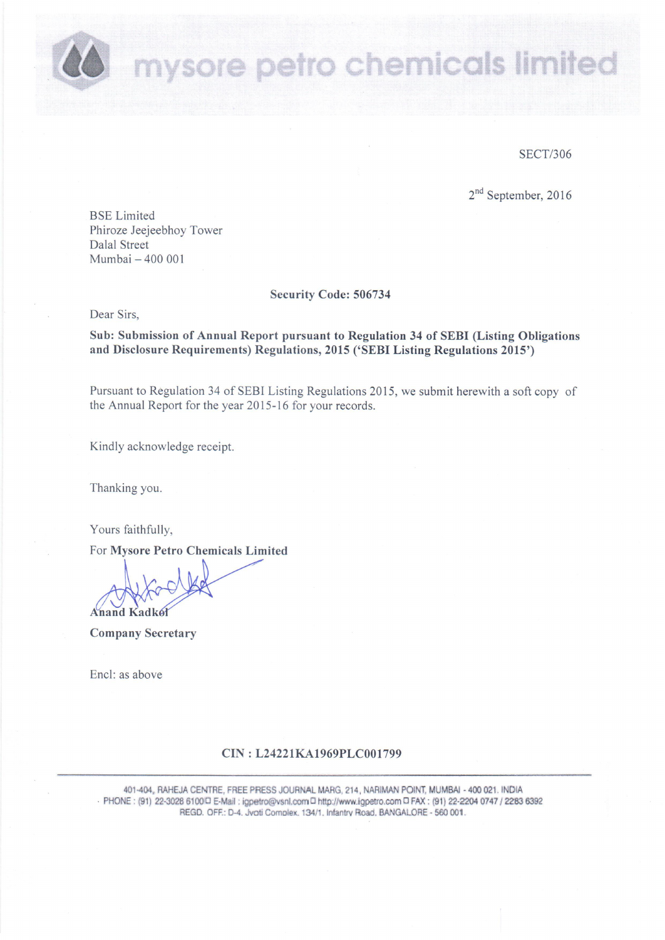mysore petro chemicals limited

**SECT/306** 

2<sup>nd</sup> September, 2016

**BSE** Limited Phiroze Jeejeebhoy Tower **Dalal Street** Mumbai - 400 001

**Security Code: 506734** 

Dear Sirs.

Sub: Submission of Annual Report pursuant to Regulation 34 of SEBI (Listing Obligations and Disclosure Requirements) Regulations, 2015 ('SEBI Listing Regulations 2015')

Pursuant to Regulation 34 of SEBI Listing Regulations 2015, we submit herewith a soft copy of the Annual Report for the year 2015-16 for your records.

Kindly acknowledge receipt.

Thanking you.

Yours faithfully,

For Mysore Petro Chemicals Limited

**Anand Kadkel** 

**Company Secretary** 

Encl: as above

# CIN: L24221KA1969PLC001799

401-404, RAHEJA CENTRE, FREE PRESS JOURNAL MARG, 214, NARIMAN POINT, MUMBAI - 400 021. INDIA - PHONE: (91) 22-3028 6100 E-Mail: igpetro@vsnl.com C http://www.igpetro.com C FAX: (91) 22-2204 0747 / 2283 6392 REGD. OFF.: D-4. Jyoti Complex, 134/1, Infantry Road, BANGALORE - 560 001.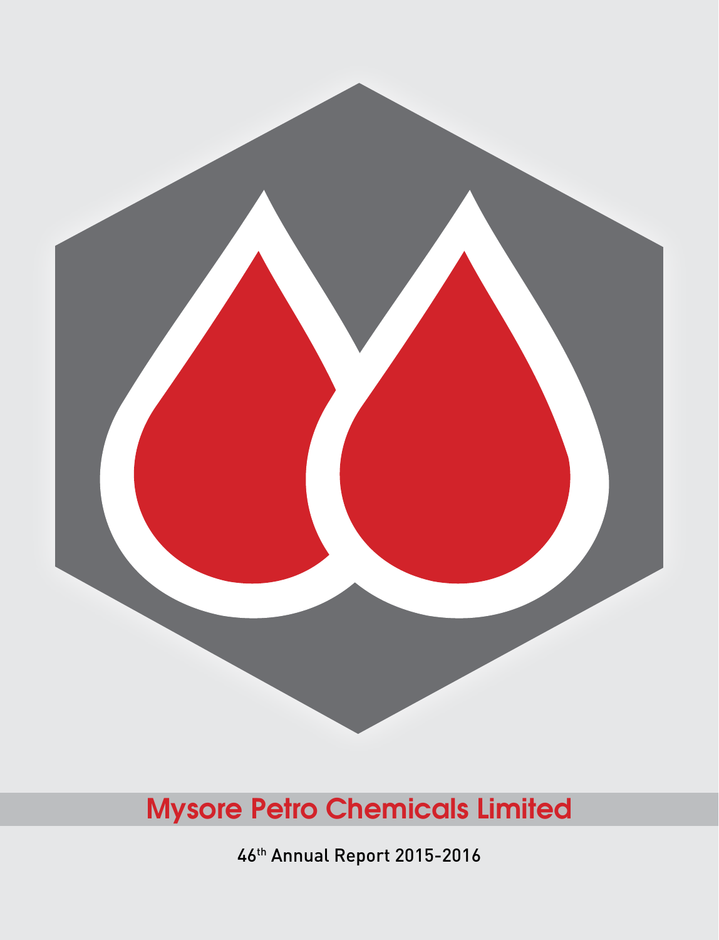

46th Annual Report 2015-2016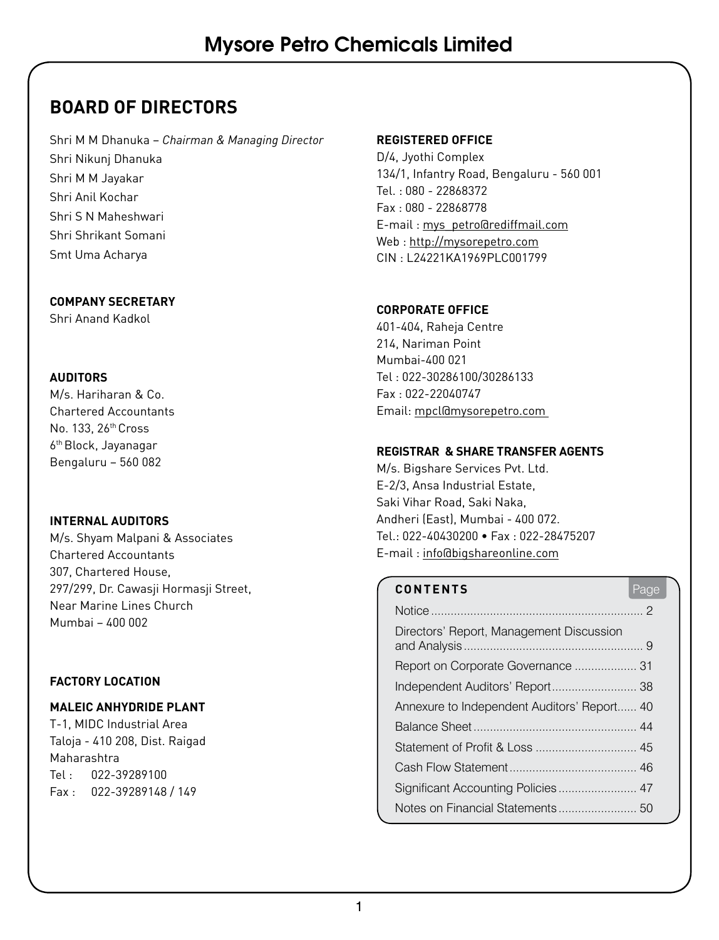# **BOARD OF DIRECTORS**

Shri M M Dhanuka – *Chairman & Managing Director* Shri Nikunj Dhanuka Shri M M Jayakar Shri Anil Kochar Shri S N Maheshwari Shri Shrikant Somani Smt Uma Acharya

#### **COMPANY SECRETARY**

Shri Anand Kadkol

#### **AUDITORS**

M/s. Hariharan & Co. Chartered Accountants No. 133, 26th Cross 6th Block, Jayanagar Bengaluru – 560 082

#### **INTERNAL AUDITORS**

M/s. Shyam Malpani & Associates Chartered Accountants 307, Chartered House, 297/299, Dr. Cawasji Hormasji Street, Near Marine Lines Church Mumbai – 400 002

#### **FACTORY LOCATION**

#### **MALEIC ANHYDRIDE PLANT**

T-1, MIDC Industrial Area Taloja - 410 208, Dist. Raigad Maharashtra Tel : 022-39289100 Fax : 022-39289148 / 149

#### **REGISTERED OFFICE**

D/4, Jyothi Complex 134/1, Infantry Road, Bengaluru - 560 001 Tel. : 080 - 22868372 Fax : 080 - 22868778 E-mail : mys\_petro@rediffmail.com Web : http://mysorepetro.com CIN : L24221KA1969PLC001799

#### **CORPORATE OFFICE**

401-404, Raheja Centre 214, Nariman Point Mumbai-400 021 Tel : 022-30286100/30286133 Fax : 022-22040747 Email: mpcl@mysorepetro.com

#### **REGISTRAR & SHARE TRANSFER AGENTS**

M/s. Bigshare Services Pvt. Ltd. E-2/3, Ansa Industrial Estate, Saki Vihar Road, Saki Naka, Andheri (East), Mumbai - 400 072. Tel.: 022-40430200 • Fax : 022-28475207 E-mail : info@bigshareonline.com

# **CONTENTS** Page

| Directors' Report, Management Discussion    |  |
|---------------------------------------------|--|
| Report on Corporate Governance  31          |  |
| Independent Auditors' Report 38             |  |
| Annexure to Independent Auditors' Report 40 |  |
|                                             |  |
|                                             |  |
|                                             |  |
|                                             |  |
|                                             |  |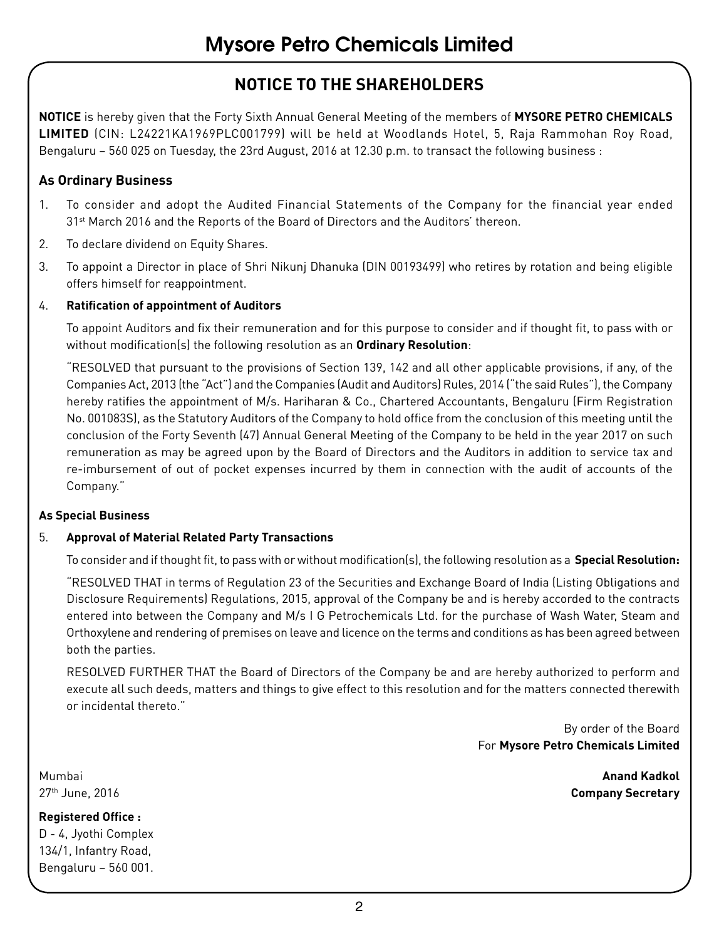# **NOTICE TO THE SHAREHOLDERS**

**NOTICE** is hereby given that the Forty Sixth Annual General Meeting of the members of **MYSORE PETRO CHEMICALS LIMITED** (CIN: L24221KA1969PLC001799) will be held at Woodlands Hotel, 5, Raja Rammohan Roy Road, Bengaluru – 560 025 on Tuesday, the 23rd August, 2016 at 12.30 p.m. to transact the following business :

### **As Ordinary Business**

- 1. To consider and adopt the Audited Financial Statements of the Company for the financial year ended 31st March 2016 and the Reports of the Board of Directors and the Auditors' thereon.
- 2. To declare dividend on Equity Shares.
- 3. To appoint a Director in place of Shri Nikunj Dhanuka (DIN 00193499) who retires by rotation and being eligible offers himself for reappointment.

#### 4. **Ratification of appointment of Auditors**

To appoint Auditors and fix their remuneration and for this purpose to consider and if thought fit, to pass with or without modification(s) the following resolution as an **Ordinary Resolution**:

"RESOLVED that pursuant to the provisions of Section 139, 142 and all other applicable provisions, if any, of the Companies Act, 2013 (the "Act") and the Companies (Audit and Auditors) Rules, 2014 ("the said Rules"), the Company hereby ratifies the appointment of M/s. Hariharan & Co., Chartered Accountants, Bengaluru (Firm Registration No. 001083S), as the Statutory Auditors of the Company to hold office from the conclusion of this meeting until the conclusion of the Forty Seventh (47) Annual General Meeting of the Company to be held in the year 2017 on such remuneration as may be agreed upon by the Board of Directors and the Auditors in addition to service tax and re-imbursement of out of pocket expenses incurred by them in connection with the audit of accounts of the Company."

#### **As Special Business**

#### 5. **Approval of Material Related Party Transactions**

To consider and if thought fit, to pass with or without modification(s), the following resolution as a **Special Resolution:**

"RESOLVED THAT in terms of Regulation 23 of the Securities and Exchange Board of India (Listing Obligations and Disclosure Requirements) Regulations, 2015, approval of the Company be and is hereby accorded to the contracts entered into between the Company and M/s I G Petrochemicals Ltd. for the purchase of Wash Water, Steam and Orthoxylene and rendering of premises on leave and licence on the terms and conditions as has been agreed between both the parties.

RESOLVED FURTHER THAT the Board of Directors of the Company be and are hereby authorized to perform and execute all such deeds, matters and things to give effect to this resolution and for the matters connected therewith or incidental thereto."

> By order of the Board For **Mysore Petro Chemicals Limited**

Mumbai **Anand Kadkol** 27th June, 2016 **Company Secretary**

#### **Registered Office :** D - 4, Jyothi Complex 134/1, Infantry Road, Bengaluru – 560 001.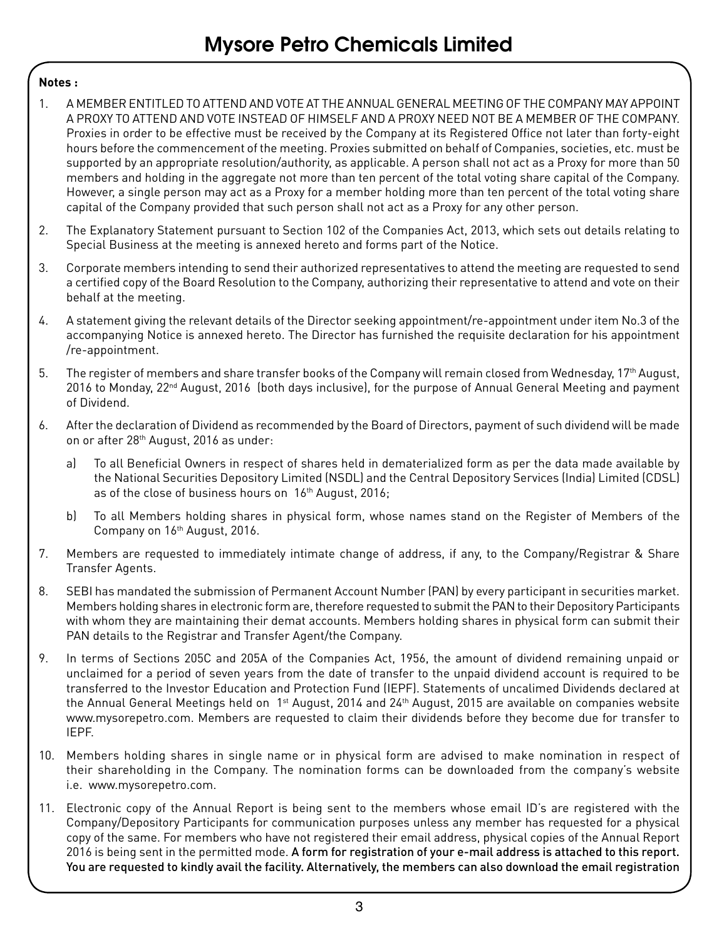#### **Notes :**

- 1. A MEMBER ENTITLED TO ATTEND AND VOTE AT THE ANNUAL GENERAL MEETING OF THE COMPANY MAY APPOINT A PROXY TO ATTEND AND VOTE INSTEAD OF HIMSELF AND A PROXY NEED NOT BE A MEMBER OF THE COMPANY. Proxies in order to be effective must be received by the Company at its Registered Office not later than forty-eight hours before the commencement of the meeting. Proxies submitted on behalf of Companies, societies, etc. must be supported by an appropriate resolution/authority, as applicable. A person shall not act as a Proxy for more than 50 members and holding in the aggregate not more than ten percent of the total voting share capital of the Company. However, a single person may act as a Proxy for a member holding more than ten percent of the total voting share capital of the Company provided that such person shall not act as a Proxy for any other person.
- 2. The Explanatory Statement pursuant to Section 102 of the Companies Act, 2013, which sets out details relating to Special Business at the meeting is annexed hereto and forms part of the Notice.
- 3. Corporate members intending to send their authorized representatives to attend the meeting are requested to send a certified copy of the Board Resolution to the Company, authorizing their representative to attend and vote on their behalf at the meeting.
- 4. A statement giving the relevant details of the Director seeking appointment/re-appointment under item No.3 of the accompanying Notice is annexed hereto. The Director has furnished the requisite declaration for his appointment /re-appointment.
- 5. The register of members and share transfer books of the Company will remain closed from Wednesday, 17<sup>th</sup> August, 2016 to Monday, 22<sup>nd</sup> August, 2016 (both days inclusive), for the purpose of Annual General Meeting and payment of Dividend.
- 6. After the declaration of Dividend as recommended by the Board of Directors, payment of such dividend will be made on or after 28<sup>th</sup> August, 2016 as under:
	- a) To all Beneficial Owners in respect of shares held in dematerialized form as per the data made available by the National Securities Depository Limited (NSDL) and the Central Depository Services (India) Limited (CDSL) as of the close of business hours on 16<sup>th</sup> August, 2016;
	- b) To all Members holding shares in physical form, whose names stand on the Register of Members of the Company on 16<sup>th</sup> August, 2016.
- 7. Members are requested to immediately intimate change of address, if any, to the Company/Registrar & Share Transfer Agents.
- 8. SEBI has mandated the submission of Permanent Account Number (PAN) by every participant in securities market. Members holding shares in electronic form are, therefore requested to submit the PAN to their Depository Participants with whom they are maintaining their demat accounts. Members holding shares in physical form can submit their PAN details to the Registrar and Transfer Agent/the Company.
- 9. In terms of Sections 205C and 205A of the Companies Act, 1956, the amount of dividend remaining unpaid or unclaimed for a period of seven years from the date of transfer to the unpaid dividend account is required to be transferred to the Investor Education and Protection Fund (IEPF). Statements of uncalimed Dividends declared at the Annual General Meetings held on 1<sup>st</sup> August, 2014 and 24<sup>th</sup> August, 2015 are available on companies website www.mysorepetro.com. Members are requested to claim their dividends before they become due for transfer to IEPF.
- 10. Members holding shares in single name or in physical form are advised to make nomination in respect of their shareholding in the Company. The nomination forms can be downloaded from the company's website i.e. www.mysorepetro.com.
- 11. Electronic copy of the Annual Report is being sent to the members whose email ID's are registered with the Company/Depository Participants for communication purposes unless any member has requested for a physical copy of the same. For members who have not registered their email address, physical copies of the Annual Report 2016 is being sent in the permitted mode. A form for registration of your e-mail address is attached to this report. You are requested to kindly avail the facility. Alternatively, the members can also download the email registration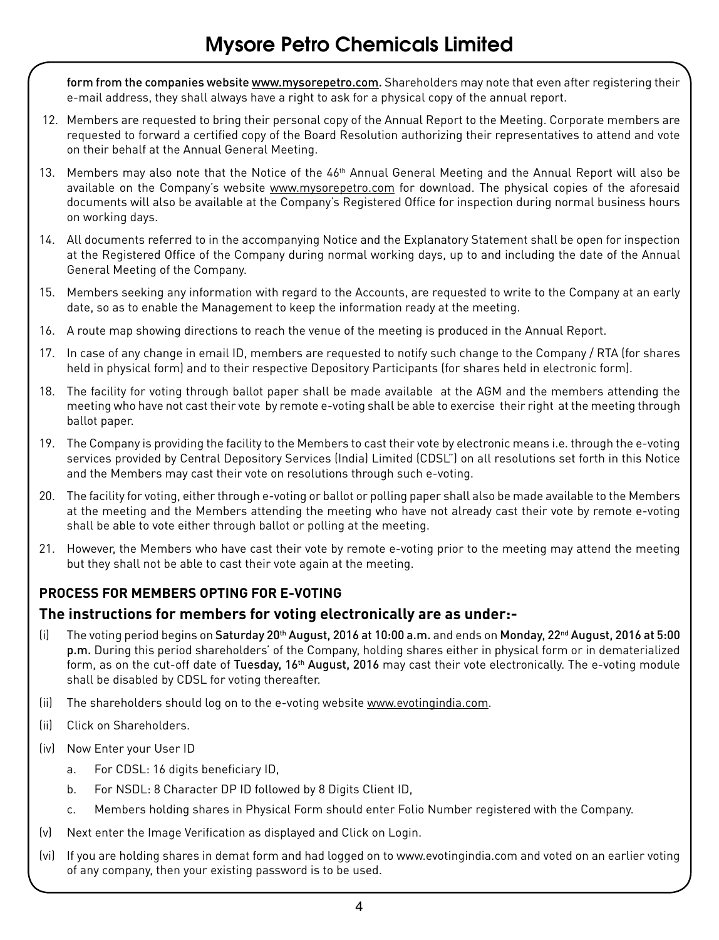form from the companies website www.mysorepetro.com. Shareholders may note that even after registering their e-mail address, they shall always have a right to ask for a physical copy of the annual report.

- 12. Members are requested to bring their personal copy of the Annual Report to the Meeting. Corporate members are requested to forward a certified copy of the Board Resolution authorizing their representatives to attend and vote on their behalf at the Annual General Meeting.
- 13. Members may also note that the Notice of the 46<sup>th</sup> Annual General Meeting and the Annual Report will also be available on the Company's website www.mysorepetro.com for download. The physical copies of the aforesaid documents will also be available at the Company's Registered Office for inspection during normal business hours on working days.
- 14. All documents referred to in the accompanying Notice and the Explanatory Statement shall be open for inspection at the Registered Office of the Company during normal working days, up to and including the date of the Annual General Meeting of the Company.
- 15. Members seeking any information with regard to the Accounts, are requested to write to the Company at an early date, so as to enable the Management to keep the information ready at the meeting.
- 16. A route map showing directions to reach the venue of the meeting is produced in the Annual Report.
- 17. In case of any change in email ID, members are requested to notify such change to the Company / RTA (for shares held in physical form) and to their respective Depository Participants (for shares held in electronic form).
- 18. The facility for voting through ballot paper shall be made available at the AGM and the members attending the meeting who have not cast their vote by remote e-voting shall be able to exercise their right at the meeting through ballot paper.
- 19. The Company is providing the facility to the Members to cast their vote by electronic means i.e. through the e-voting services provided by Central Depository Services (India) Limited (CDSL") on all resolutions set forth in this Notice and the Members may cast their vote on resolutions through such e-voting.
- 20. The facility for voting, either through e-voting or ballot or polling paper shall also be made available to the Members at the meeting and the Members attending the meeting who have not already cast their vote by remote e-voting shall be able to vote either through ballot or polling at the meeting.
- 21. However, the Members who have cast their vote by remote e-voting prior to the meeting may attend the meeting but they shall not be able to cast their vote again at the meeting.

# **PROCESS FOR MEMBERS OPTING FOR E-VOTING**

#### **The instructions for members for voting electronically are as under:-**

- (i) The voting period begins on Saturday 20<sup>th</sup> August, 2016 at 10:00 a.m. and ends on Monday, 22<sup>nd</sup> August, 2016 at 5:00 p.m. During this period shareholders' of the Company, holding shares either in physical form or in dematerialized form, as on the cut-off date of Tuesday, 16<sup>th</sup> August, 2016 may cast their vote electronically. The e-voting module shall be disabled by CDSL for voting thereafter.
- (ii) The shareholders should log on to the e-voting website www.evotingindia.com.
- (ii) Click on Shareholders.
- (iv) Now Enter your User ID
	- a. For CDSL: 16 digits beneficiary ID,
	- b. For NSDL: 8 Character DP ID followed by 8 Digits Client ID,
	- c. Members holding shares in Physical Form should enter Folio Number registered with the Company.
- (v) Next enter the Image Verification as displayed and Click on Login.
- (vi) If you are holding shares in demat form and had logged on to www.evotingindia.com and voted on an earlier voting of any company, then your existing password is to be used.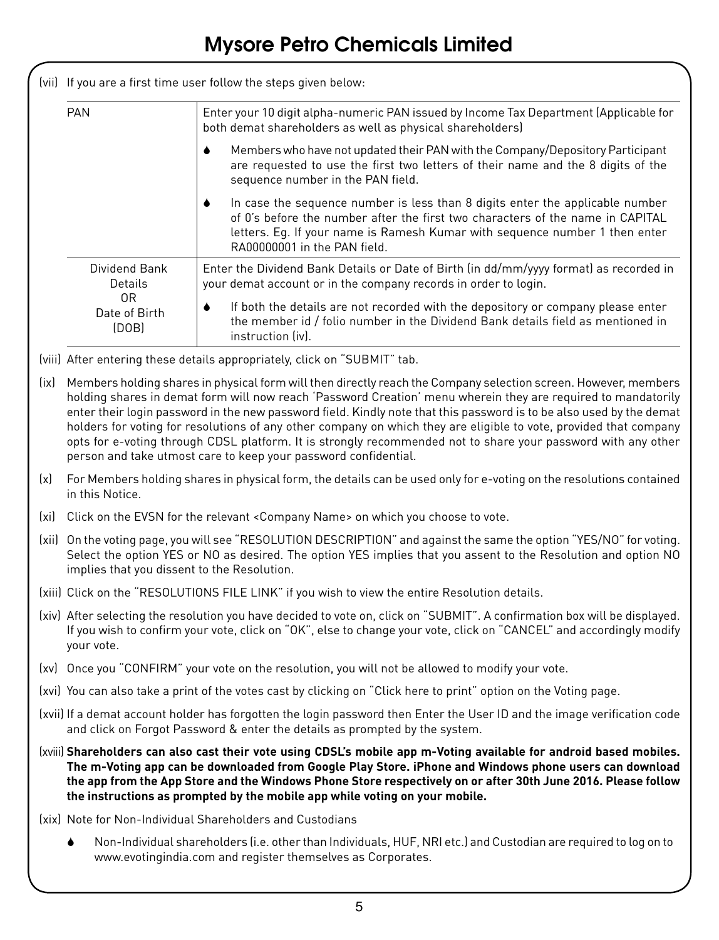|  |                              | (vii) If you are a first time user follow the steps given below:                                                                                                                                                                                                               |  |  |  |  |  |  |
|--|------------------------------|--------------------------------------------------------------------------------------------------------------------------------------------------------------------------------------------------------------------------------------------------------------------------------|--|--|--|--|--|--|
|  | <b>PAN</b>                   | Enter your 10 digit alpha-numeric PAN issued by Income Tax Department (Applicable for<br>both demat shareholders as well as physical shareholders)                                                                                                                             |  |  |  |  |  |  |
|  |                              | Members who have not updated their PAN with the Company/Depository Participant<br>are requested to use the first two letters of their name and the 8 digits of the<br>sequence number in the PAN field.                                                                        |  |  |  |  |  |  |
|  |                              | In case the sequence number is less than 8 digits enter the applicable number<br>of 0's before the number after the first two characters of the name in CAPITAL<br>letters. Eq. If your name is Ramesh Kumar with sequence number 1 then enter<br>RA00000001 in the PAN field. |  |  |  |  |  |  |
|  | Dividend Bank<br>Details     | Enter the Dividend Bank Details or Date of Birth (in dd/mm/yyyy format) as recorded in<br>your demat account or in the company records in order to login.                                                                                                                      |  |  |  |  |  |  |
|  | 0R<br>Date of Birth<br>(DOB) | If both the details are not recorded with the depository or company please enter<br>the member id / folio number in the Dividend Bank details field as mentioned in<br>instruction (iv).                                                                                       |  |  |  |  |  |  |

- (viii) After entering these details appropriately, click on "SUBMIT" tab.
- (ix) Members holding shares in physical form will then directly reach the Company selection screen. However, members holding shares in demat form will now reach 'Password Creation' menu wherein they are required to mandatorily enter their login password in the new password field. Kindly note that this password is to be also used by the demat holders for voting for resolutions of any other company on which they are eligible to vote, provided that company opts for e-voting through CDSL platform. It is strongly recommended not to share your password with any other person and take utmost care to keep your password confidential.
- (x) For Members holding shares in physical form, the details can be used only for e-voting on the resolutions contained in this Notice.
- (xi) Click on the EVSN for the relevant <Company Name> on which you choose to vote.
- (xii) On the voting page, you will see "RESOLUTION DESCRIPTION" and against the same the option "YES/NO" for voting. Select the option YES or NO as desired. The option YES implies that you assent to the Resolution and option NO implies that you dissent to the Resolution.
- (xiii) Click on the "RESOLUTIONS FILE LINK" if you wish to view the entire Resolution details.
- (xiv) After selecting the resolution you have decided to vote on, click on "SUBMIT". A confirmation box will be displayed. If you wish to confirm your vote, click on "OK", else to change your vote, click on "CANCEL" and accordingly modify your vote.
- (xv) Once you "CONFIRM" your vote on the resolution, you will not be allowed to modify your vote.
- (xvi) You can also take a print of the votes cast by clicking on "Click here to print" option on the Voting page.
- (xvii) If a demat account holder has forgotten the login password then Enter the User ID and the image verification code and click on Forgot Password & enter the details as prompted by the system.
- (xviii) **Shareholders can also cast their vote using CDSL's mobile app m-Voting available for android based mobiles. The m-Voting app can be downloaded from Google Play Store. iPhone and Windows phone users can download the app from the App Store and the Windows Phone Store respectively on or after 30th June 2016. Please follow the instructions as prompted by the mobile app while voting on your mobile.**
- (xix) Note for Non-Individual Shareholders and Custodians
	- 6 Non-Individual shareholders (i.e. other than Individuals, HUF, NRI etc.) and Custodian are required to log on to www.evotingindia.com and register themselves as Corporates.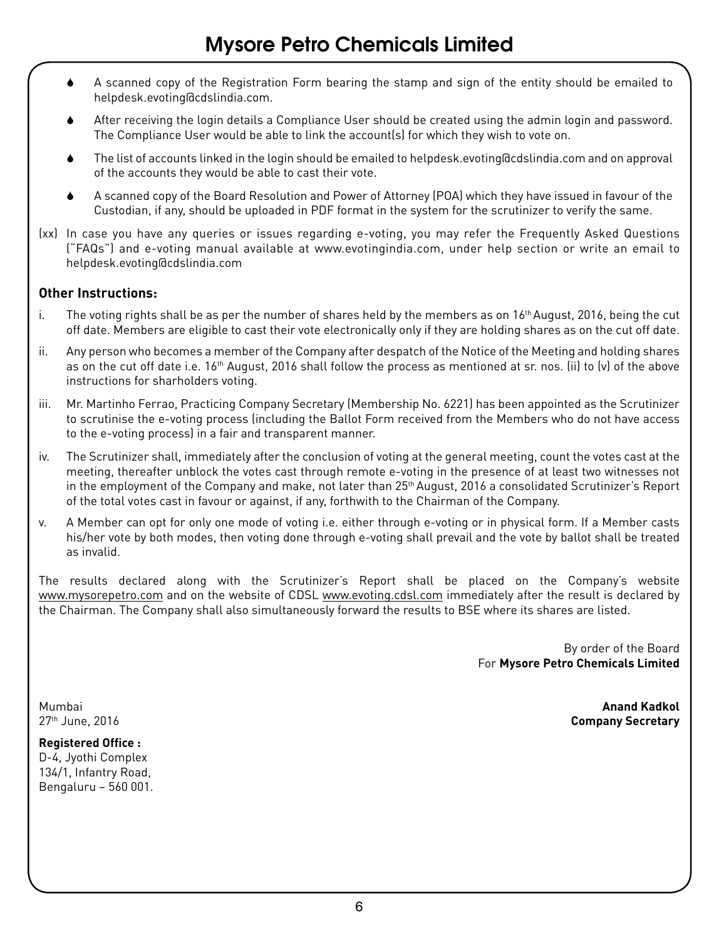- 6 A scanned copy of the Registration Form bearing the stamp and sign of the entity should be emailed to helpdesk.evoting@cdslindia.com.
- After receiving the login details a Compliance User should be created using the admin login and password. The Compliance User would be able to link the account(s) for which they wish to vote on.
- The list of accounts linked in the login should be emailed to helpdesk.evoting@cdslindia.com and on approval of the accounts they would be able to cast their vote.
- 6 A scanned copy of the Board Resolution and Power of Attorney (POA) which they have issued in favour of the Custodian, if any, should be uploaded in PDF format in the system for the scrutinizer to verify the same.
- (xx) In case you have any queries or issues regarding e-voting, you may refer the Frequently Asked Questions ("FAQs") and e-voting manual available at www.evotingindia.com, under help section or write an email to helpdesk.evoting@cdslindia.com

#### **Other Instructions:**

- i. The voting rights shall be as per the number of shares held by the members as on  $16<sup>th</sup>$  August, 2016, being the cut off date. Members are eligible to cast their vote electronically only if they are holding shares as on the cut off date.
- ii. Any person who becomes a member of the Company after despatch of the Notice of the Meeting and holding shares as on the cut off date i.e.  $16<sup>th</sup>$  August, 2016 shall follow the process as mentioned at sr. nos. (ii) to (v) of the above instructions for sharholders voting.
- iii. Mr. Martinho Ferrao, Practicing Company Secretary (Membership No. 6221) has been appointed as the Scrutinizer to scrutinise the e-voting process (including the Ballot Form received from the Members who do not have access to the e-voting process) in a fair and transparent manner.
- iv. The Scrutinizer shall, immediately after the conclusion of voting at the general meeting, count the votes cast at the meeting, thereafter unblock the votes cast through remote e-voting in the presence of at least two witnesses not in the employment of the Company and make, not later than 25<sup>th</sup> August, 2016 a consolidated Scrutinizer's Report of the total votes cast in favour or against, if any, forthwith to the Chairman of the Company.
- v. A Member can opt for only one mode of voting i.e. either through e-voting or in physical form. If a Member casts his/her vote by both modes, then voting done through e-voting shall prevail and the vote by ballot shall be treated as invalid.

The results declared along with the Scrutinizer's Report shall be placed on the Company's website www.mysorepetro.com and on the website of CDSL www.evoting.cdsl.com immediately after the result is declared by the Chairman. The Company shall also simultaneously forward the results to BSE where its shares are listed.

> By order of the Board For **Mysore Petro Chemicals Limited**

Mumbai **Anand Kadkol** 27th June, 2016 **Company Secretary**

**Registered Office :** D-4, Jyothi Complex 134/1, Infantry Road, Bengaluru – 560 001.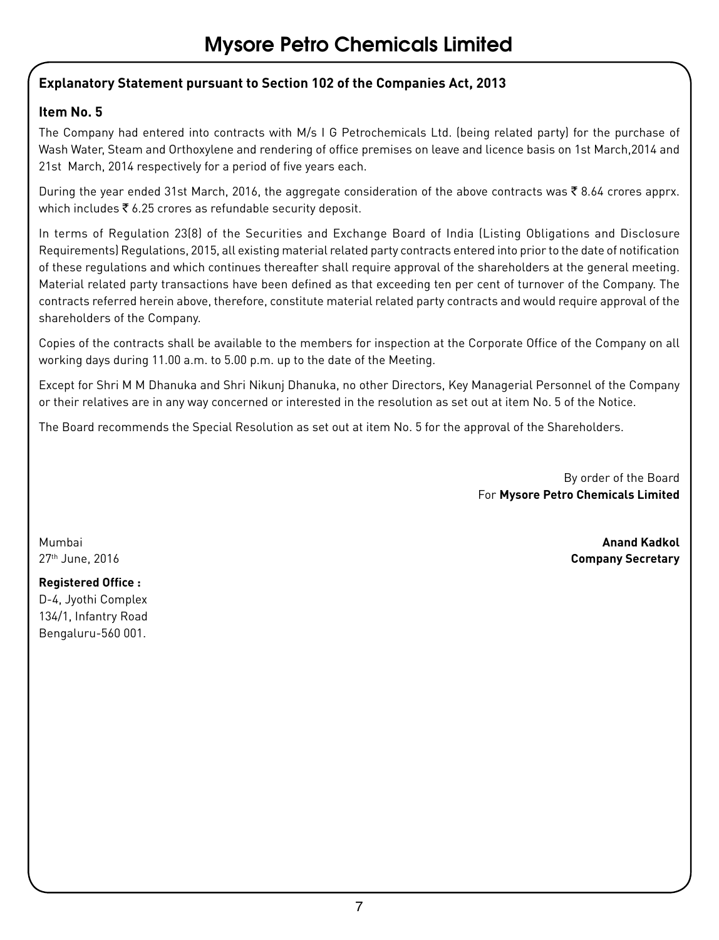# **Explanatory Statement pursuant to Section 102 of the Companies Act, 2013**

# **Item No. 5**

The Company had entered into contracts with M/s I G Petrochemicals Ltd. (being related party) for the purchase of Wash Water, Steam and Orthoxylene and rendering of office premises on leave and licence basis on 1st March,2014 and 21st March, 2014 respectively for a period of five years each.

During the year ended 31st March, 2016, the aggregate consideration of the above contracts was  $\bar{\tau}$  8.64 crores apprx. which includes  $\bar{\bar{\xi}}$  6.25 crores as refundable security deposit.

In terms of Regulation 23(8) of the Securities and Exchange Board of India (Listing Obligations and Disclosure Requirements) Regulations, 2015, all existing material related party contracts entered into prior to the date of notification of these regulations and which continues thereafter shall require approval of the shareholders at the general meeting. Material related party transactions have been defined as that exceeding ten per cent of turnover of the Company. The contracts referred herein above, therefore, constitute material related party contracts and would require approval of the shareholders of the Company.

Copies of the contracts shall be available to the members for inspection at the Corporate Office of the Company on all working days during 11.00 a.m. to 5.00 p.m. up to the date of the Meeting.

Except for Shri M M Dhanuka and Shri Nikunj Dhanuka, no other Directors, Key Managerial Personnel of the Company or their relatives are in any way concerned or interested in the resolution as set out at item No. 5 of the Notice.

The Board recommends the Special Resolution as set out at item No. 5 for the approval of the Shareholders.

By order of the Board For **Mysore Petro Chemicals Limited** 

Mumbai **Anand Kadkol** 27th June, 2016 **Company Secretary**

# **Registered Office :**

D-4, Jyothi Complex 134/1, Infantry Road Bengaluru-560 001.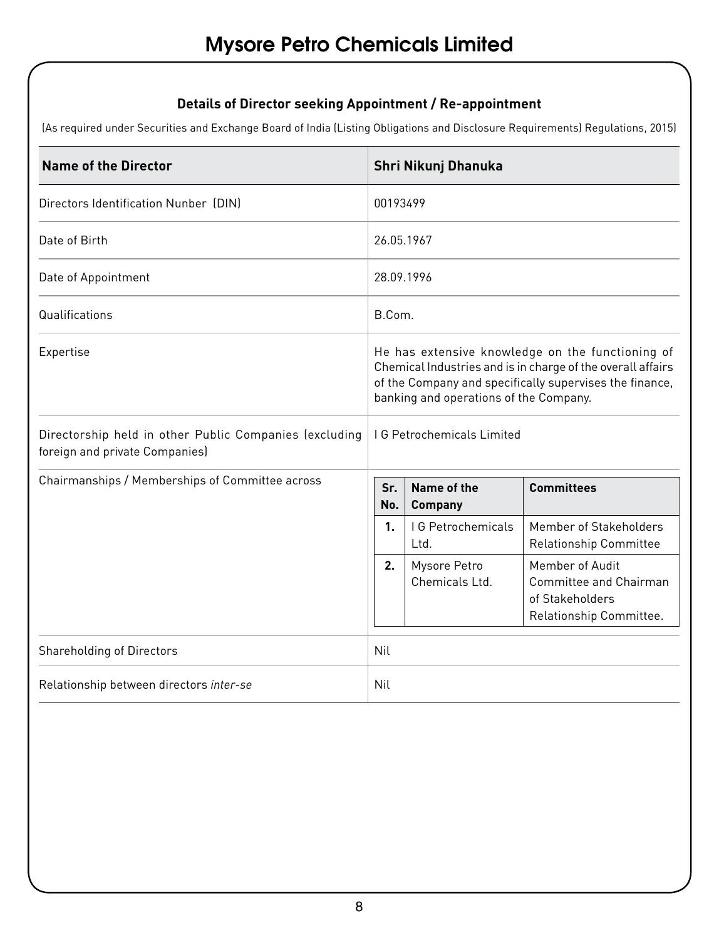# **Details of Director seeking Appointment / Re-appointment**

(As required under Securities and Exchange Board of India (Listing Obligations and Disclosure Requirements) Regulations, 2015)

| Name of the Director                                                                     | Shri Nikunj Dhanuka                                                                                                                                                                                                  |                          |                                                                                         |  |  |  |
|------------------------------------------------------------------------------------------|----------------------------------------------------------------------------------------------------------------------------------------------------------------------------------------------------------------------|--------------------------|-----------------------------------------------------------------------------------------|--|--|--|
| Directors Identification Nunber (DIN)                                                    | 00193499                                                                                                                                                                                                             |                          |                                                                                         |  |  |  |
| Date of Birth                                                                            | 26.05.1967                                                                                                                                                                                                           |                          |                                                                                         |  |  |  |
| Date of Appointment                                                                      | 28.09.1996                                                                                                                                                                                                           |                          |                                                                                         |  |  |  |
| Qualifications                                                                           | B.Com.                                                                                                                                                                                                               |                          |                                                                                         |  |  |  |
| Expertise                                                                                | He has extensive knowledge on the functioning of<br>Chemical Industries and is in charge of the overall affairs<br>of the Company and specifically supervises the finance,<br>banking and operations of the Company. |                          |                                                                                         |  |  |  |
| Directorship held in other Public Companies (excluding<br>foreign and private Companies) | <b>IG Petrochemicals Limited</b>                                                                                                                                                                                     |                          |                                                                                         |  |  |  |
| Chairmanships / Memberships of Committee across                                          | Name of the<br>Sr.<br><b>Company</b><br>No.                                                                                                                                                                          |                          | <b>Committees</b>                                                                       |  |  |  |
|                                                                                          | 1 <sub>1</sub><br>Ltd.                                                                                                                                                                                               | <b>IG Petrochemicals</b> | Member of Stakeholders<br><b>Relationship Committee</b>                                 |  |  |  |
|                                                                                          | Mysore Petro<br>2.<br>Chemicals Ltd.                                                                                                                                                                                 |                          | Member of Audit<br>Committee and Chairman<br>of Stakeholders<br>Relationship Committee. |  |  |  |
| Shareholding of Directors                                                                | Nil                                                                                                                                                                                                                  |                          |                                                                                         |  |  |  |
| Relationship between directors inter-se                                                  | Nil                                                                                                                                                                                                                  |                          |                                                                                         |  |  |  |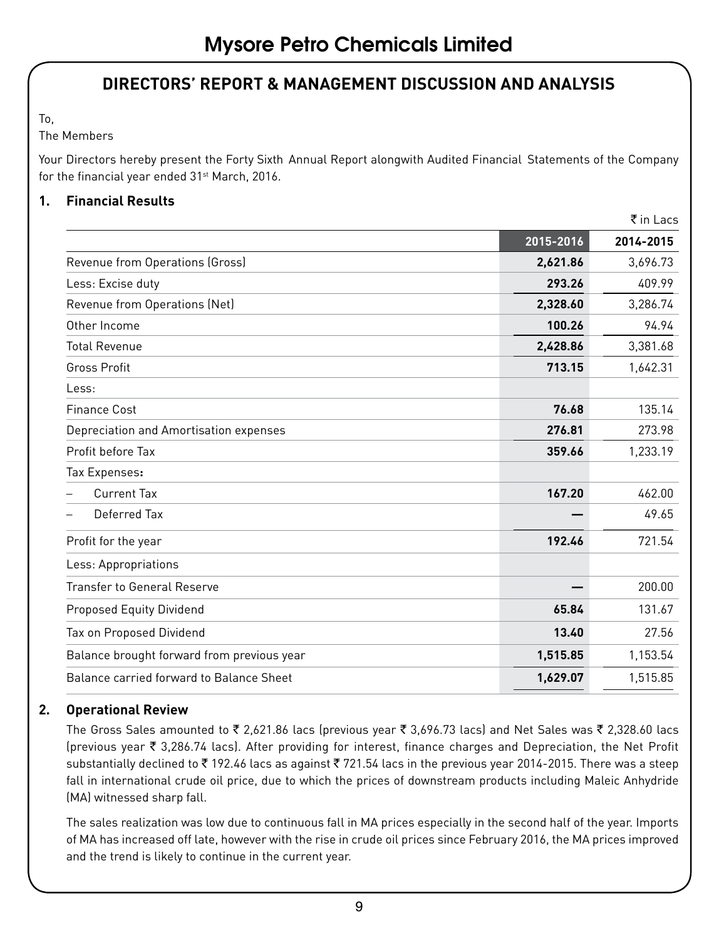# **DIRECTORS' REPORT & MANAGEMENT DISCUSSION AND ANALYSIS**

To,

#### The Members

Your Directors hereby present the Forty Sixth Annual Report alongwith Audited Financial Statements of the Company for the financial year ended 31<sup>st</sup> March, 2016.

#### **1. Financial Results**

|                                            |           | $\bar{\tau}$ in Lacs |
|--------------------------------------------|-----------|----------------------|
|                                            | 2015-2016 | 2014-2015            |
| Revenue from Operations (Gross)            | 2,621.86  | 3,696.73             |
| Less: Excise duty                          | 293.26    | 409.99               |
| Revenue from Operations (Net)              | 2,328.60  | 3,286.74             |
| Other Income                               | 100.26    | 94.94                |
| <b>Total Revenue</b>                       | 2,428.86  | 3,381.68             |
| <b>Gross Profit</b>                        | 713.15    | 1,642.31             |
| Less:                                      |           |                      |
| <b>Finance Cost</b>                        | 76.68     | 135.14               |
| Depreciation and Amortisation expenses     | 276.81    | 273.98               |
| Profit before Tax                          | 359.66    | 1,233.19             |
| Tax Expenses:                              |           |                      |
| Current Tax                                | 167.20    | 462.00               |
| Deferred Tax                               |           | 49.65                |
| Profit for the year                        | 192.46    | 721.54               |
| Less: Appropriations                       |           |                      |
| <b>Transfer to General Reserve</b>         |           | 200.00               |
| Proposed Equity Dividend                   | 65.84     | 131.67               |
| Tax on Proposed Dividend                   | 13.40     | 27.56                |
| Balance brought forward from previous year | 1,515.85  | 1,153.54             |
| Balance carried forward to Balance Sheet   | 1,629.07  | 1,515.85             |
|                                            |           |                      |

#### **2. Operational Review**

The Gross Sales amounted to  $\bar{\tau}$  2,621.86 lacs (previous year  $\bar{\tau}$  3,696.73 lacs) and Net Sales was  $\bar{\tau}$  2,328.60 lacs (previous year ₹ 3,286.74 lacs). After providing for interest, finance charges and Depreciation, the Net Profit substantially declined to ₹192.46 lacs as against ₹721.54 lacs in the previous year 2014-2015. There was a steep fall in international crude oil price, due to which the prices of downstream products including Maleic Anhydride (MA) witnessed sharp fall.

The sales realization was low due to continuous fall in MA prices especially in the second half of the year. Imports of MA has increased off late, however with the rise in crude oil prices since February 2016, the MA prices improved and the trend is likely to continue in the current year.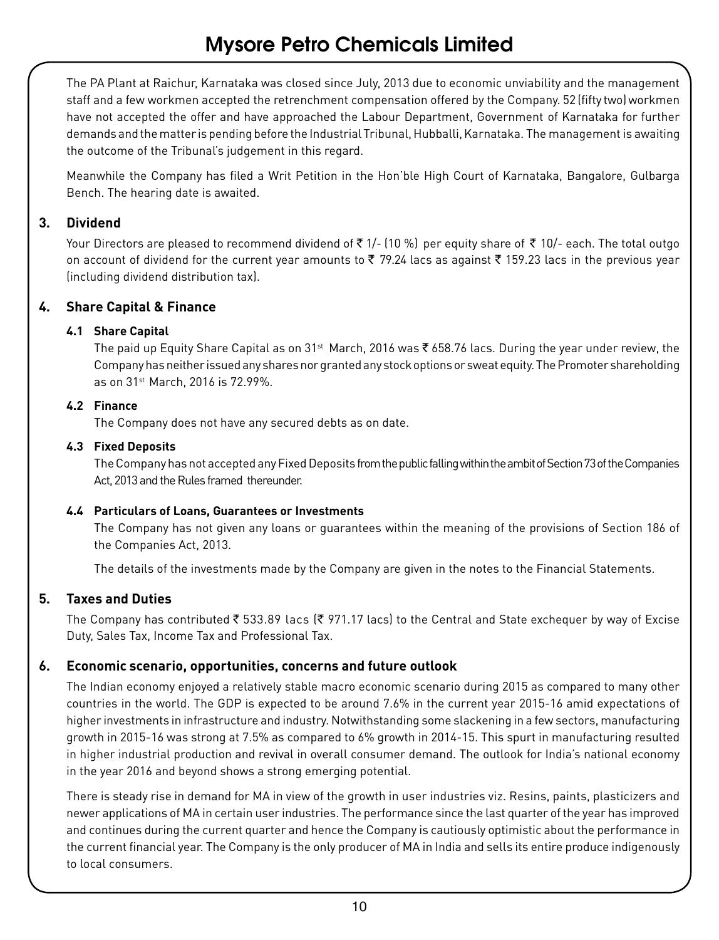The PA Plant at Raichur, Karnataka was closed since July, 2013 due to economic unviability and the management staff and a few workmen accepted the retrenchment compensation offered by the Company. 52 (fifty two) workmen have not accepted the offer and have approached the Labour Department, Government of Karnataka for further demands and the matter is pending before the Industrial Tribunal, Hubballi, Karnataka. The management is awaiting the outcome of the Tribunal's judgement in this regard.

Meanwhile the Company has filed a Writ Petition in the Hon'ble High Court of Karnataka, Bangalore, Gulbarga Bench. The hearing date is awaited.

#### **3. Dividend**

Your Directors are pleased to recommend dividend of  $\bar{z}$  1/- (10 %) per equity share of  $\bar{z}$  10/- each. The total outgo on account of dividend for the current year amounts to  $\bar{\tau}$  79.24 lacs as against  $\bar{\tau}$  159.23 lacs in the previous year (including dividend distribution tax).

# **4. Share Capital & Finance**

#### **4.1 Share Capital**

The paid up Equity Share Capital as on 31<sup>st</sup> March, 2016 was ₹ 658.76 lacs. During the year under review, the Company has neither issued any shares nor granted any stock options or sweat equity. The Promoter shareholding as on 31st March, 2016 is 72.99%.

#### **4.2 Finance**

The Company does not have any secured debts as on date.

#### **4.3 Fixed Deposits**

The Company has not accepted any Fixed Deposits from the public falling within the ambit of Section 73 of the Companies Act, 2013 and the Rules framed thereunder.

#### **4.4 Particulars of Loans, Guarantees or Investments**

The Company has not given any loans or guarantees within the meaning of the provisions of Section 186 of the Companies Act, 2013.

The details of the investments made by the Company are given in the notes to the Financial Statements.

# **5. Taxes and Duties**

The Company has contributed  $\bar{\zeta}$  533.89 lacs ( $\bar{\zeta}$  971.17 lacs) to the Central and State exchequer by way of Excise Duty, Sales Tax, Income Tax and Professional Tax.

#### **6. Economic scenario, opportunities, concerns and future outlook**

The Indian economy enjoyed a relatively stable macro economic scenario during 2015 as compared to many other countries in the world. The GDP is expected to be around 7.6% in the current year 2015-16 amid expectations of higher investments in infrastructure and industry. Notwithstanding some slackening in a few sectors, manufacturing growth in 2015-16 was strong at 7.5% as compared to 6% growth in 2014-15. This spurt in manufacturing resulted in higher industrial production and revival in overall consumer demand. The outlook for India's national economy in the year 2016 and beyond shows a strong emerging potential.

There is steady rise in demand for MA in view of the growth in user industries viz. Resins, paints, plasticizers and newer applications of MA in certain user industries. The performance since the last quarter of the year has improved and continues during the current quarter and hence the Company is cautiously optimistic about the performance in the current financial year. The Company is the only producer of MA in India and sells its entire produce indigenously to local consumers.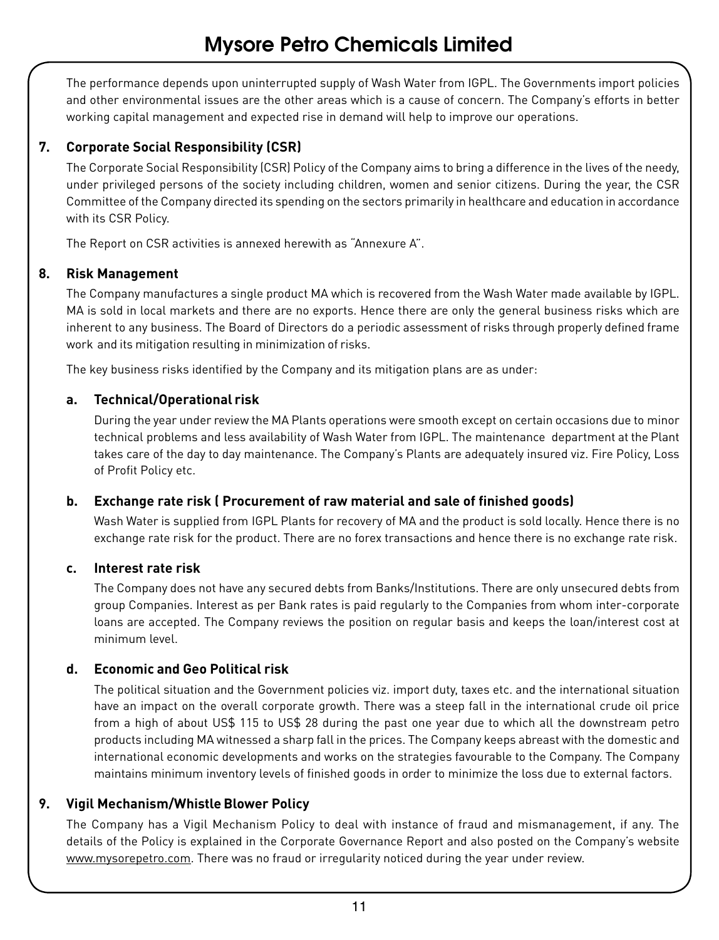The performance depends upon uninterrupted supply of Wash Water from IGPL. The Governments import policies and other environmental issues are the other areas which is a cause of concern. The Company's efforts in better working capital management and expected rise in demand will help to improve our operations.

# **7. Corporate Social Responsibility (CSR)**

The Corporate Social Responsibility (CSR) Policy of the Company aims to bring a difference in the lives of the needy, under privileged persons of the society including children, women and senior citizens. During the year, the CSR Committee of the Company directed its spending on the sectors primarily in healthcare and education in accordance with its CSR Policy.

The Report on CSR activities is annexed herewith as "Annexure A".

#### **8. Risk Management**

The Company manufactures a single product MA which is recovered from the Wash Water made available by IGPL. MA is sold in local markets and there are no exports. Hence there are only the general business risks which are inherent to any business. The Board of Directors do a periodic assessment of risks through properly defined frame work and its mitigation resulting in minimization of risks.

The key business risks identified by the Company and its mitigation plans are as under:

#### **a. Technical/Operational risk**

During the year under review the MA Plants operations were smooth except on certain occasions due to minor technical problems and less availability of Wash Water from IGPL. The maintenance department at the Plant takes care of the day to day maintenance. The Company's Plants are adequately insured viz. Fire Policy, Loss of Profit Policy etc.

#### **b. Exchange rate risk ( Procurement of raw material and sale of finished goods)**

Wash Water is supplied from IGPL Plants for recovery of MA and the product is sold locally. Hence there is no exchange rate risk for the product. There are no forex transactions and hence there is no exchange rate risk.

#### **c. Interest rate risk**

The Company does not have any secured debts from Banks/Institutions. There are only unsecured debts from group Companies. Interest as per Bank rates is paid regularly to the Companies from whom inter-corporate loans are accepted. The Company reviews the position on regular basis and keeps the loan/interest cost at minimum level.

# **d. Economic and Geo Political risk**

The political situation and the Government policies viz. import duty, taxes etc. and the international situation have an impact on the overall corporate growth. There was a steep fall in the international crude oil price from a high of about US\$ 115 to US\$ 28 during the past one year due to which all the downstream petro products including MA witnessed a sharp fall in the prices. The Company keeps abreast with the domestic and international economic developments and works on the strategies favourable to the Company. The Company maintains minimum inventory levels of finished goods in order to minimize the loss due to external factors.

# **9. Vigil Mechanism/Whistle Blower Policy**

The Company has a Vigil Mechanism Policy to deal with instance of fraud and mismanagement, if any. The details of the Policy is explained in the Corporate Governance Report and also posted on the Company's website www.mysorepetro.com. There was no fraud or irregularity noticed during the year under review.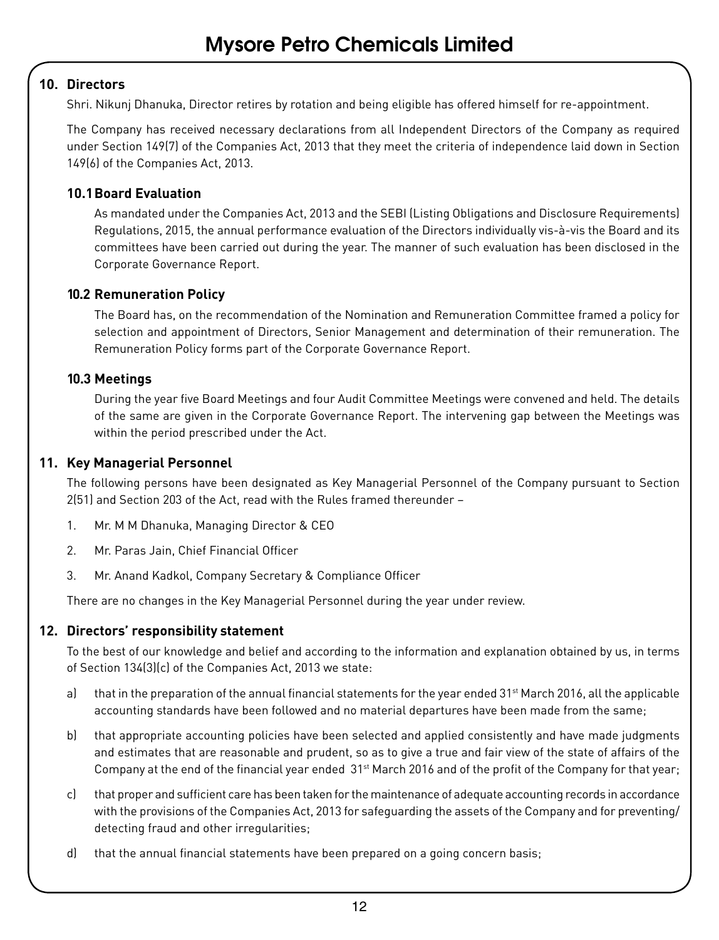#### **10. Directors**

Shri. Nikunj Dhanuka, Director retires by rotation and being eligible has offered himself for re-appointment.

The Company has received necessary declarations from all Independent Directors of the Company as required under Section 149(7) of the Companies Act, 2013 that they meet the criteria of independence laid down in Section 149(6) of the Companies Act, 2013.

#### **10.1Board Evaluation**

As mandated under the Companies Act, 2013 and the SEBI (Listing Obligations and Disclosure Requirements) Regulations, 2015, the annual performance evaluation of the Directors individually vis-à-vis the Board and its committees have been carried out during the year. The manner of such evaluation has been disclosed in the Corporate Governance Report.

#### **10.2 Remuneration Policy**

The Board has, on the recommendation of the Nomination and Remuneration Committee framed a policy for selection and appointment of Directors, Senior Management and determination of their remuneration. The Remuneration Policy forms part of the Corporate Governance Report.

#### **10.3 Meetings**

During the year five Board Meetings and four Audit Committee Meetings were convened and held. The details of the same are given in the Corporate Governance Report. The intervening gap between the Meetings was within the period prescribed under the Act.

#### **11. Key Managerial Personnel**

The following persons have been designated as Key Managerial Personnel of the Company pursuant to Section 2(51) and Section 203 of the Act, read with the Rules framed thereunder –

- 1. Mr. M M Dhanuka, Managing Director & CEO
- 2. Mr. Paras Jain, Chief Financial Officer
- 3. Mr. Anand Kadkol, Company Secretary & Compliance Officer

There are no changes in the Key Managerial Personnel during the year under review.

#### **12. Directors' responsibility statement**

To the best of our knowledge and belief and according to the information and explanation obtained by us, in terms of Section 134(3)(c) of the Companies Act, 2013 we state:

- a) that in the preparation of the annual financial statements for the year ended  $31st$  March 2016, all the applicable accounting standards have been followed and no material departures have been made from the same;
- b) that appropriate accounting policies have been selected and applied consistently and have made judgments and estimates that are reasonable and prudent, so as to give a true and fair view of the state of affairs of the Company at the end of the financial year ended  $31<sup>st</sup>$  March 2016 and of the profit of the Company for that year;
- c) that proper and sufficient care has been taken for the maintenance of adequate accounting records in accordance with the provisions of the Companies Act, 2013 for safeguarding the assets of the Company and for preventing/ detecting fraud and other irregularities;
- d) that the annual financial statements have been prepared on a going concern basis;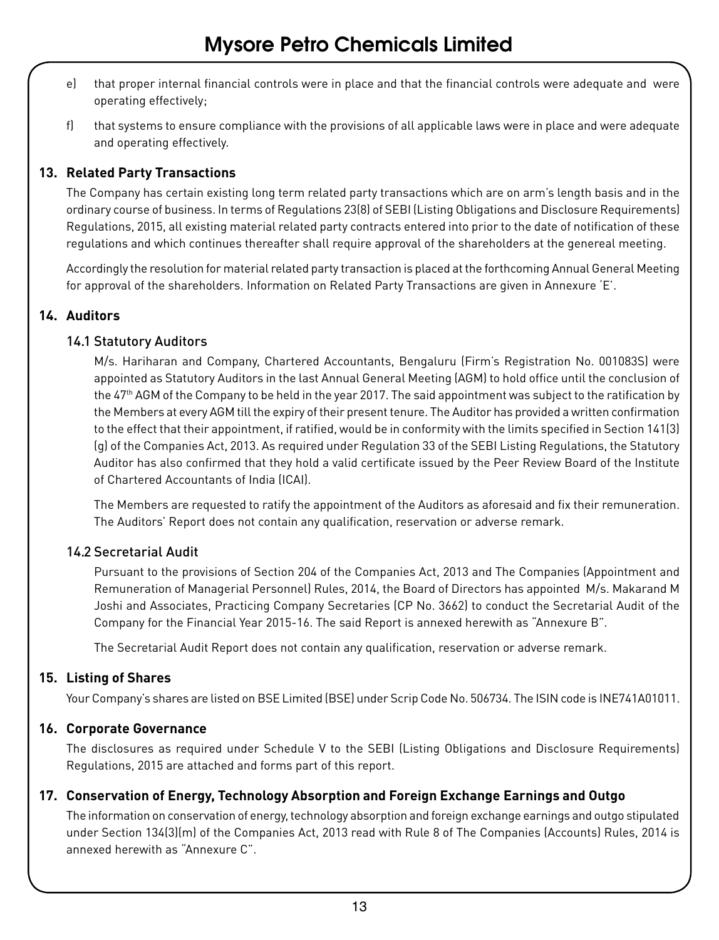- e) that proper internal financial controls were in place and that the financial controls were adequate and were operating effectively;
- f) that systems to ensure compliance with the provisions of all applicable laws were in place and were adequate and operating effectively.

### **13. Related Party Transactions**

The Company has certain existing long term related party transactions which are on arm's length basis and in the ordinary course of business. In terms of Regulations 23(8) of SEBI (Listing Obligations and Disclosure Requirements) Regulations, 2015, all existing material related party contracts entered into prior to the date of notification of these regulations and which continues thereafter shall require approval of the shareholders at the genereal meeting.

Accordingly the resolution for material related party transaction is placed at the forthcoming Annual General Meeting for approval of the shareholders. Information on Related Party Transactions are given in Annexure 'E'.

#### **14. Auditors**

#### 14.1 Statutory Auditors

M/s. Hariharan and Company, Chartered Accountants, Bengaluru (Firm's Registration No. 001083S) were appointed as Statutory Auditors in the last Annual General Meeting (AGM) to hold office until the conclusion of the 47<sup>th</sup> AGM of the Company to be held in the year 2017. The said appointment was subject to the ratification by the Members at every AGM till the expiry of their present tenure. The Auditor has provided a written confirmation to the effect that their appointment, if ratified, would be in conformity with the limits specified in Section 141(3) (g) of the Companies Act, 2013. As required under Regulation 33 of the SEBI Listing Regulations, the Statutory Auditor has also confirmed that they hold a valid certificate issued by the Peer Review Board of the Institute of Chartered Accountants of India (ICAI).

The Members are requested to ratify the appointment of the Auditors as aforesaid and fix their remuneration. The Auditors' Report does not contain any qualification, reservation or adverse remark.

#### 14.2 Secretarial Audit

Pursuant to the provisions of Section 204 of the Companies Act, 2013 and The Companies (Appointment and Remuneration of Managerial Personnel) Rules, 2014, the Board of Directors has appointed M/s. Makarand M Joshi and Associates, Practicing Company Secretaries (CP No. 3662) to conduct the Secretarial Audit of the Company for the Financial Year 2015-16. The said Report is annexed herewith as "Annexure B".

The Secretarial Audit Report does not contain any qualification, reservation or adverse remark.

#### **15. Listing of Shares**

Your Company's shares are listed on BSE Limited (BSE) under Scrip Code No. 506734. The ISIN code is INE741A01011.

#### **16. Corporate Governance**

The disclosures as required under Schedule V to the SEBI (Listing Obligations and Disclosure Requirements) Regulations, 2015 are attached and forms part of this report.

#### **17. Conservation of Energy, Technology Absorption and Foreign Exchange Earnings and Outgo**

The information on conservation of energy, technology absorption and foreign exchange earnings and outgo stipulated under Section 134(3)(m) of the Companies Act, 2013 read with Rule 8 of The Companies (Accounts) Rules, 2014 is annexed herewith as "Annexure C".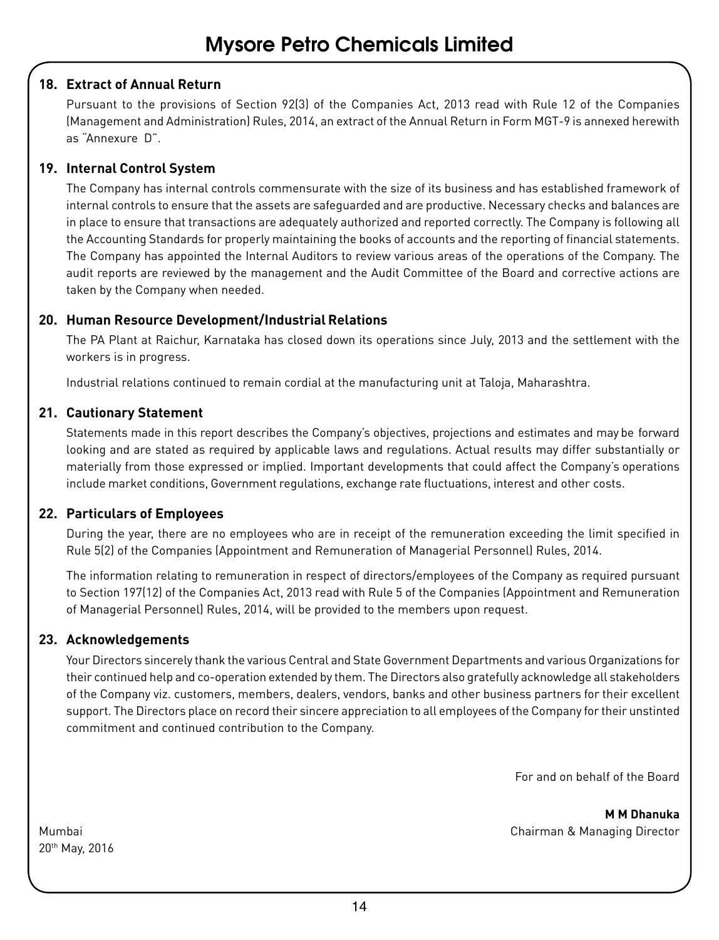#### **18. Extract of Annual Return**

Pursuant to the provisions of Section 92(3) of the Companies Act, 2013 read with Rule 12 of the Companies (Management and Administration) Rules, 2014, an extract of the Annual Return in Form MGT-9 is annexed herewith as "Annexure D".

#### **19. Internal Control System**

The Company has internal controls commensurate with the size of its business and has established framework of internal controls to ensure that the assets are safeguarded and are productive. Necessary checks and balances are in place to ensure that transactions are adequately authorized and reported correctly. The Company is following all the Accounting Standards for properly maintaining the books of accounts and the reporting of financial statements. The Company has appointed the Internal Auditors to review various areas of the operations of the Company. The audit reports are reviewed by the management and the Audit Committee of the Board and corrective actions are taken by the Company when needed.

#### **20. Human Resource Development/Industrial Relations**

The PA Plant at Raichur, Karnataka has closed down its operations since July, 2013 and the settlement with the workers is in progress.

Industrial relations continued to remain cordial at the manufacturing unit at Taloja, Maharashtra.

#### **21. Cautionary Statement**

Statements made in this report describes the Company's objectives, projections and estimates and may be forward looking and are stated as required by applicable laws and regulations. Actual results may differ substantially or materially from those expressed or implied. Important developments that could affect the Company's operations include market conditions, Government regulations, exchange rate fluctuations, interest and other costs.

#### **22. Particulars of Employees**

During the year, there are no employees who are in receipt of the remuneration exceeding the limit specified in Rule 5(2) of the Companies (Appointment and Remuneration of Managerial Personnel) Rules, 2014.

The information relating to remuneration in respect of directors/employees of the Company as required pursuant to Section 197(12) of the Companies Act, 2013 read with Rule 5 of the Companies (Appointment and Remuneration of Managerial Personnel) Rules, 2014, will be provided to the members upon request.

#### **23. Acknowledgements**

Your Directors sincerely thank the various Central and State Government Departments and various Organizations for their continued help and co-operation extended by them. The Directors also gratefully acknowledge all stakeholders of the Company viz. customers, members, dealers, vendors, banks and other business partners for their excellent support. The Directors place on record their sincere appreciation to all employees of the Company for their unstinted commitment and continued contribution to the Company.

For and on behalf of the Board

**M M Dhanuka** Mumbai Chairman & Managing Director

20th May, 2016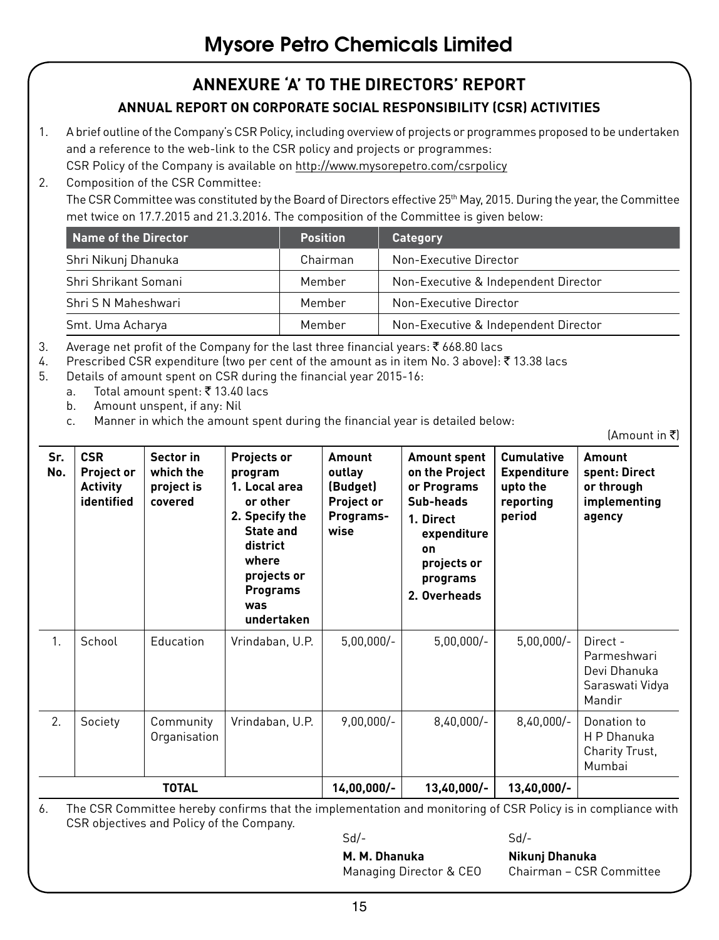# **ANNEXURE 'A' TO THE DIRECTORS' REPORT**

# **ANNUAL REPORT ON CORPORATE SOCIAL RESPONSIBILITY (CSR) ACTIVITIES**

- 1. A brief outline of the Company's CSR Policy, including overview of projects or programmes proposed to be undertaken and a reference to the web-link to the CSR policy and projects or programmes: CSR Policy of the Company is available on http://www.mysorepetro.com/csrpolicy
- 2. Composition of the CSR Committee: The CSR Committee was constituted by the Board of Directors effective 25<sup>th</sup> May, 2015. During the year, the Committee met twice on 17.7.2015 and 21.3.2016. The composition of the Committee is given below:

| Name of the Director | <b>Position</b> | Category                             |
|----------------------|-----------------|--------------------------------------|
| Shri Nikunj Dhanuka  | Chairman        | Non-Executive Director               |
| Shri Shrikant Somani | Member          | Non-Executive & Independent Director |
| Shri S N Maheshwari  | Member          | Non-Executive Director               |
| Smt. Uma Acharya     | Member          | Non-Executive & Independent Director |

- 3. Average net profit of the Company for the last three financial years:  $\bar{\xi}$  668.80 lacs
- 4. Prescribed CSR expenditure (two per cent of the amount as in item No. 3 above): ₹13.38 lacs
- 5. Details of amount spent on CSR during the financial year 2015-16:
	- a. Total amount spent: ₹13.40 lacs
		- b. Amount unspent, if any: Nil
		- c. Manner in which the amount spent during the financial year is detailed below:

 $[Amount in ₹]$ 

| Sr.<br>No.     | <b>CSR</b><br><b>Project or</b><br><b>Activity</b><br>identified | Sector in<br>which the<br>project is<br>covered | Projects or<br>program<br>1. Local area<br>or other<br>2. Specify the<br><b>State and</b><br>district<br>where<br>projects or<br><b>Programs</b><br>was<br>undertaken | Amount<br>outlay<br>(Budget)<br>Project or<br>Programs-<br>wise | <b>Amount spent</b><br>on the Project<br>or Programs<br>Sub-heads<br>1. Direct<br>expenditure<br>on<br>projects or<br>programs<br>2. Overheads | <b>Cumulative</b><br><b>Expenditure</b><br>upto the<br>reporting<br>period | Amount<br>spent: Direct<br>or through<br>implementing<br>agency      |
|----------------|------------------------------------------------------------------|-------------------------------------------------|-----------------------------------------------------------------------------------------------------------------------------------------------------------------------|-----------------------------------------------------------------|------------------------------------------------------------------------------------------------------------------------------------------------|----------------------------------------------------------------------------|----------------------------------------------------------------------|
| $\mathbf{1}$ . | School                                                           | Education                                       | Vrindaban, U.P.                                                                                                                                                       | $5,00,000/-$                                                    | $5,00,000/-$                                                                                                                                   | $5,00,000/$ -                                                              | Direct -<br>Parmeshwari<br>Devi Dhanuka<br>Saraswati Vidya<br>Mandir |
| 2.             | Society                                                          | Community<br>Organisation                       | Vrindaban, U.P.                                                                                                                                                       | $9,00,000/-$                                                    | $8,40,000/-$                                                                                                                                   | $8,40,000/-$                                                               | Donation to<br>H P Dhanuka<br>Charity Trust,<br>Mumbai               |
|                |                                                                  | <b>TOTAL</b>                                    |                                                                                                                                                                       | $14,00,000/-$                                                   | $13,40,000/-$                                                                                                                                  | 13,40,000/-                                                                |                                                                      |

6. The CSR Committee hereby confirms that the implementation and monitoring of CSR Policy is in compliance with CSR objectives and Policy of the Company.

Sd/- Sd/-

**M. M. Dhanuka Nikunj Dhanuka**

Managing Director & CEO Chairman – CSR Committee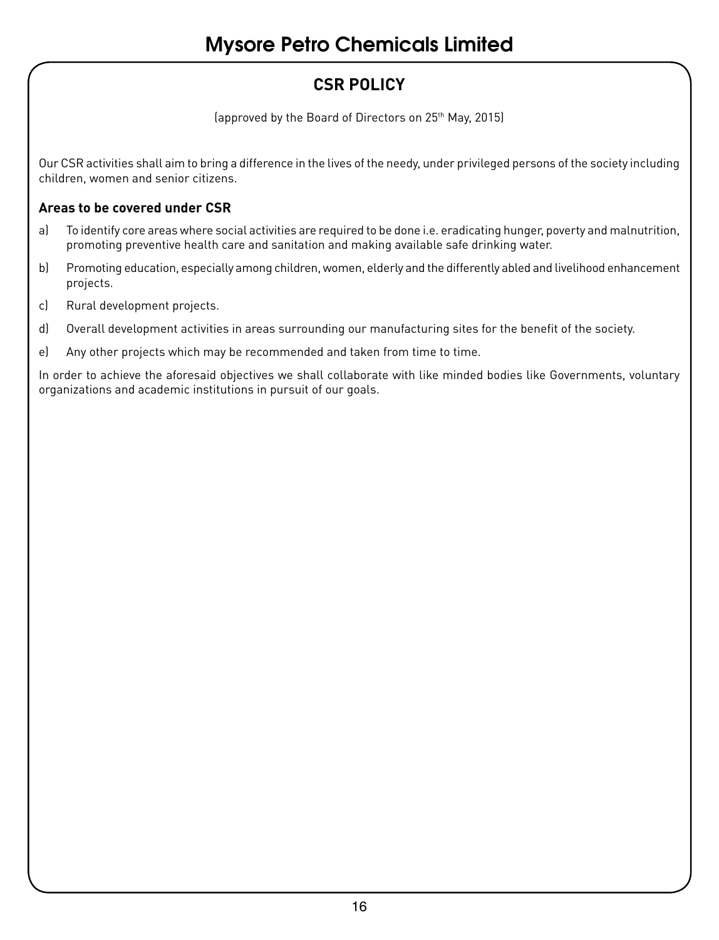# **CSR POLICY**

(approved by the Board of Directors on 25th May, 2015)

Our CSR activities shall aim to bring a difference in the lives of the needy, under privileged persons of the society including children, women and senior citizens.

## **Areas to be covered under CSR**

- a) To identify core areas where social activities are required to be done i.e. eradicating hunger, poverty and malnutrition, promoting preventive health care and sanitation and making available safe drinking water.
- b) Promoting education, especially among children, women, elderly and the differently abled and livelihood enhancement projects.
- c) Rural development projects.
- d) Overall development activities in areas surrounding our manufacturing sites for the benefit of the society.
- e) Any other projects which may be recommended and taken from time to time.

In order to achieve the aforesaid objectives we shall collaborate with like minded bodies like Governments, voluntary organizations and academic institutions in pursuit of our goals.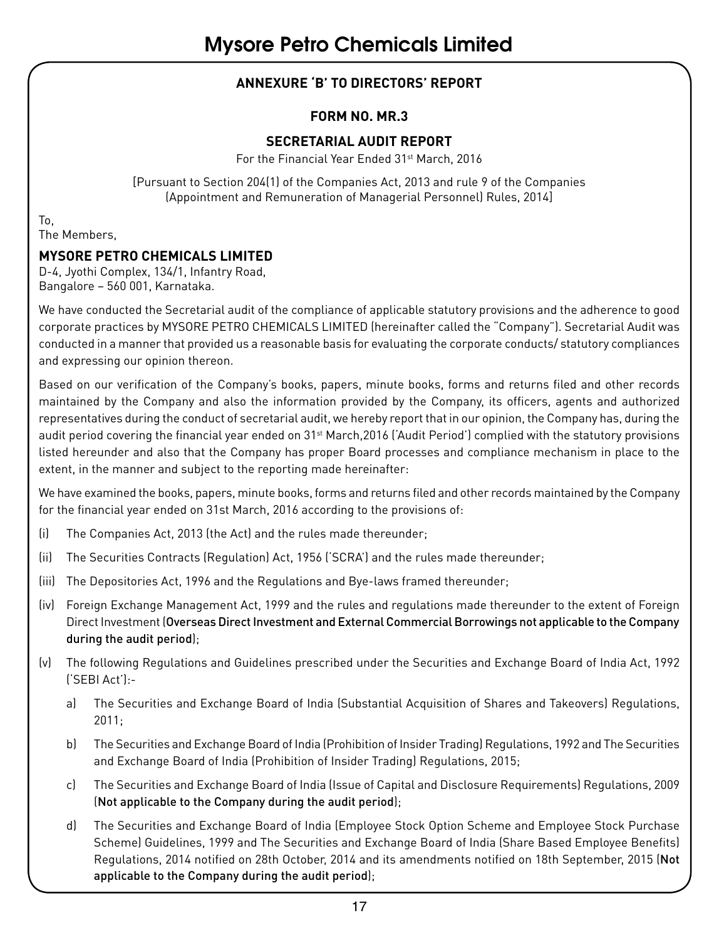# **ANNEXURE 'B' TO DIRECTORS' REPORT**

#### **FORM NO. MR.3**

#### **SECRETARIAL AUDIT REPORT**

For the Financial Year Ended 31<sup>st</sup> March, 2016

[Pursuant to Section 204(1) of the Companies Act, 2013 and rule 9 of the Companies (Appointment and Remuneration of Managerial Personnel) Rules, 2014]

To, The Members,

## **MYSORE PETRO CHEMICALS LIMITED**

D-4, Jyothi Complex, 134/1, Infantry Road, Bangalore – 560 001, Karnataka.

We have conducted the Secretarial audit of the compliance of applicable statutory provisions and the adherence to good corporate practices by MYSORE PETRO CHEMICALS LIMITED (hereinafter called the "Company"). Secretarial Audit was conducted in a manner that provided us a reasonable basis for evaluating the corporate conducts/ statutory compliances and expressing our opinion thereon.

Based on our verification of the Company's books, papers, minute books, forms and returns filed and other records maintained by the Company and also the information provided by the Company, its officers, agents and authorized representatives during the conduct of secretarial audit, we hereby report that in our opinion, the Company has, during the audit period covering the financial year ended on 31st March,2016 ('Audit Period') complied with the statutory provisions listed hereunder and also that the Company has proper Board processes and compliance mechanism in place to the extent, in the manner and subject to the reporting made hereinafter:

We have examined the books, papers, minute books, forms and returns filed and other records maintained by the Company for the financial year ended on 31st March, 2016 according to the provisions of:

- (i) The Companies Act, 2013 (the Act) and the rules made thereunder;
- (ii) The Securities Contracts (Regulation) Act, 1956 ('SCRA') and the rules made thereunder;
- (iii) The Depositories Act, 1996 and the Regulations and Bye-laws framed thereunder;
- (iv) Foreign Exchange Management Act, 1999 and the rules and regulations made thereunder to the extent of Foreign Direct Investment (Overseas Direct Investment and External Commercial Borrowings not applicable to the Company during the audit period);
- (v) The following Regulations and Guidelines prescribed under the Securities and Exchange Board of India Act, 1992 ('SEBI Act'):
	- a) The Securities and Exchange Board of India (Substantial Acquisition of Shares and Takeovers) Regulations, 2011;
	- b) The Securities and Exchange Board of India (Prohibition of Insider Trading) Regulations, 1992 and The Securities and Exchange Board of India (Prohibition of Insider Trading) Regulations, 2015;
	- c) The Securities and Exchange Board of India (Issue of Capital and Disclosure Requirements) Regulations, 2009 (Not applicable to the Company during the audit period);
	- d) The Securities and Exchange Board of India (Employee Stock Option Scheme and Employee Stock Purchase Scheme) Guidelines, 1999 and The Securities and Exchange Board of India (Share Based Employee Benefits) Regulations, 2014 notified on 28th October, 2014 and its amendments notified on 18th September, 2015 (Not applicable to the Company during the audit period);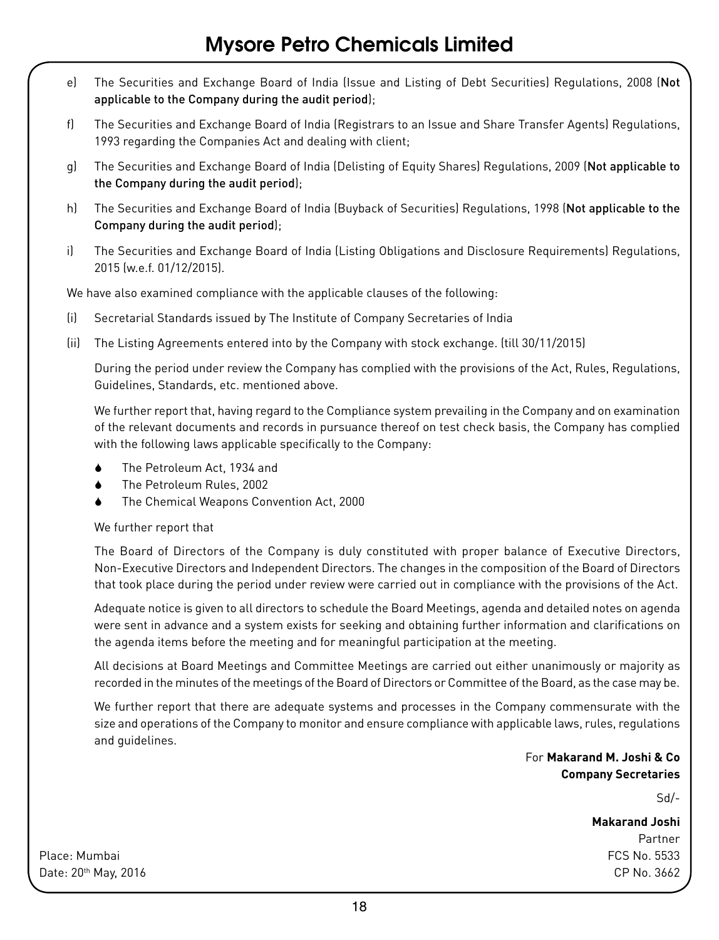- e) The Securities and Exchange Board of India (Issue and Listing of Debt Securities) Regulations, 2008 (Not applicable to the Company during the audit period);
- f) The Securities and Exchange Board of India (Registrars to an Issue and Share Transfer Agents) Regulations, 1993 regarding the Companies Act and dealing with client;
- g) The Securities and Exchange Board of India (Delisting of Equity Shares) Regulations, 2009 (Not applicable to the Company during the audit period);
- h) The Securities and Exchange Board of India (Buyback of Securities) Regulations, 1998 (Not applicable to the Company during the audit period);
- i) The Securities and Exchange Board of India (Listing Obligations and Disclosure Requirements) Regulations, 2015 (w.e.f. 01/12/2015).

We have also examined compliance with the applicable clauses of the following:

- (i) Secretarial Standards issued by The Institute of Company Secretaries of India
- (ii) The Listing Agreements entered into by the Company with stock exchange. (till 30/11/2015)

During the period under review the Company has complied with the provisions of the Act, Rules, Regulations, Guidelines, Standards, etc. mentioned above.

We further report that, having regard to the Compliance system prevailing in the Company and on examination of the relevant documents and records in pursuance thereof on test check basis, the Company has complied with the following laws applicable specifically to the Company:

- The Petroleum Act, 1934 and
- The Petroleum Rules, 2002
- 6 The Chemical Weapons Convention Act, 2000

#### We further report that

The Board of Directors of the Company is duly constituted with proper balance of Executive Directors, Non-Executive Directors and Independent Directors. The changes in the composition of the Board of Directors that took place during the period under review were carried out in compliance with the provisions of the Act.

Adequate notice is given to all directors to schedule the Board Meetings, agenda and detailed notes on agenda were sent in advance and a system exists for seeking and obtaining further information and clarifications on the agenda items before the meeting and for meaningful participation at the meeting.

All decisions at Board Meetings and Committee Meetings are carried out either unanimously or majority as recorded in the minutes of the meetings of the Board of Directors or Committee of the Board, as the case may be.

We further report that there are adequate systems and processes in the Company commensurate with the size and operations of the Company to monitor and ensure compliance with applicable laws, rules, regulations and guidelines.

> For **Makarand M. Joshi & Co Company Secretaries**

> > Sd/-

**Makarand Joshi** Partner

Place: Mumbai FCS No. 5533 Date: 20th May, 2016 CP No. 3662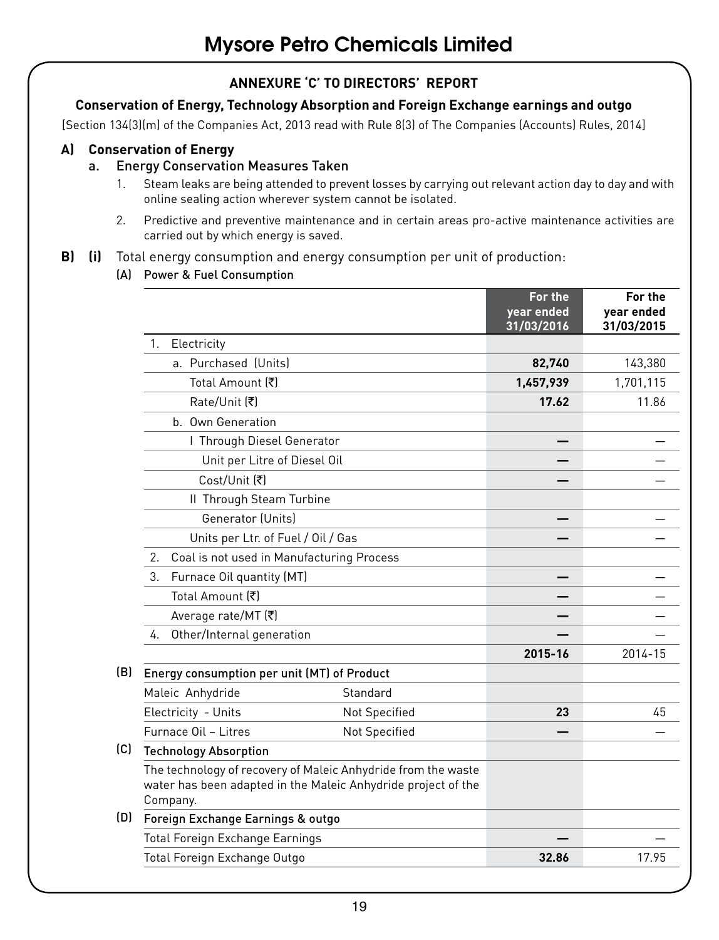# **ANNEXURE 'C' TO DIRECTORS' REPORT**

#### **Conservation of Energy, Technology Absorption and Foreign Exchange earnings and outgo**

[Section 134(3)(m) of the Companies Act, 2013 read with Rule 8(3) of The Companies (Accounts) Rules, 2014]

#### **A) Conservation of Energy**

#### a. Energy Conservation Measures Taken

- 1. Steam leaks are being attended to prevent losses by carrying out relevant action day to day and with online sealing action wherever system cannot be isolated.
- 2. Predictive and preventive maintenance and in certain areas pro-active maintenance activities are carried out by which energy is saved.

#### **B) (i)** Total energy consumption and energy consumption per unit of production:

(A) Power & Fuel Consumption

|     |                                                                                                                                            |               | For the<br>year ended<br>31/03/2016 | For the<br>vear ended<br>31/03/2015 |
|-----|--------------------------------------------------------------------------------------------------------------------------------------------|---------------|-------------------------------------|-------------------------------------|
|     | 1.<br>Electricity                                                                                                                          |               |                                     |                                     |
|     | a. Purchased (Units)                                                                                                                       |               | 82,740                              | 143,380                             |
|     | Total Amount (₹)                                                                                                                           |               | 1,457,939                           | 1,701,115                           |
|     | Rate/Unit [₹]                                                                                                                              |               | 17.62                               | 11.86                               |
|     | b. Own Generation                                                                                                                          |               |                                     |                                     |
|     | I Through Diesel Generator                                                                                                                 |               |                                     |                                     |
|     | Unit per Litre of Diesel Oil                                                                                                               |               |                                     |                                     |
|     | Cost/Unit [₹]                                                                                                                              |               |                                     |                                     |
|     | II Through Steam Turbine                                                                                                                   |               |                                     |                                     |
|     | Generator (Units)                                                                                                                          |               |                                     |                                     |
|     | Units per Ltr. of Fuel / Oil / Gas                                                                                                         |               |                                     |                                     |
|     | $\mathfrak{p}$<br>Coal is not used in Manufacturing Process                                                                                |               |                                     |                                     |
|     | 3.<br>Furnace Oil quantity (MT)                                                                                                            |               |                                     |                                     |
|     | Total Amount [₹]                                                                                                                           |               |                                     |                                     |
|     | Average rate/MT [₹]                                                                                                                        |               |                                     |                                     |
|     | Other/Internal generation<br>4.                                                                                                            |               |                                     |                                     |
|     |                                                                                                                                            |               | 2015-16                             | 2014-15                             |
| (B) | Energy consumption per unit (MT) of Product                                                                                                |               |                                     |                                     |
|     | Maleic Anhydride                                                                                                                           | Standard      |                                     |                                     |
|     | Electricity - Units                                                                                                                        | Not Specified | 23                                  | 45                                  |
|     | Furnace Oil - Litres                                                                                                                       | Not Specified |                                     |                                     |
| (C) | <b>Technology Absorption</b>                                                                                                               |               |                                     |                                     |
|     | The technology of recovery of Maleic Anhydride from the waste<br>water has been adapted in the Maleic Anhydride project of the<br>Company. |               |                                     |                                     |
| (D) | Foreign Exchange Earnings & outgo                                                                                                          |               |                                     |                                     |
|     | <b>Total Foreign Exchange Earnings</b>                                                                                                     |               |                                     |                                     |
|     | Total Foreign Exchange Outgo                                                                                                               |               | 32.86                               | 17.95                               |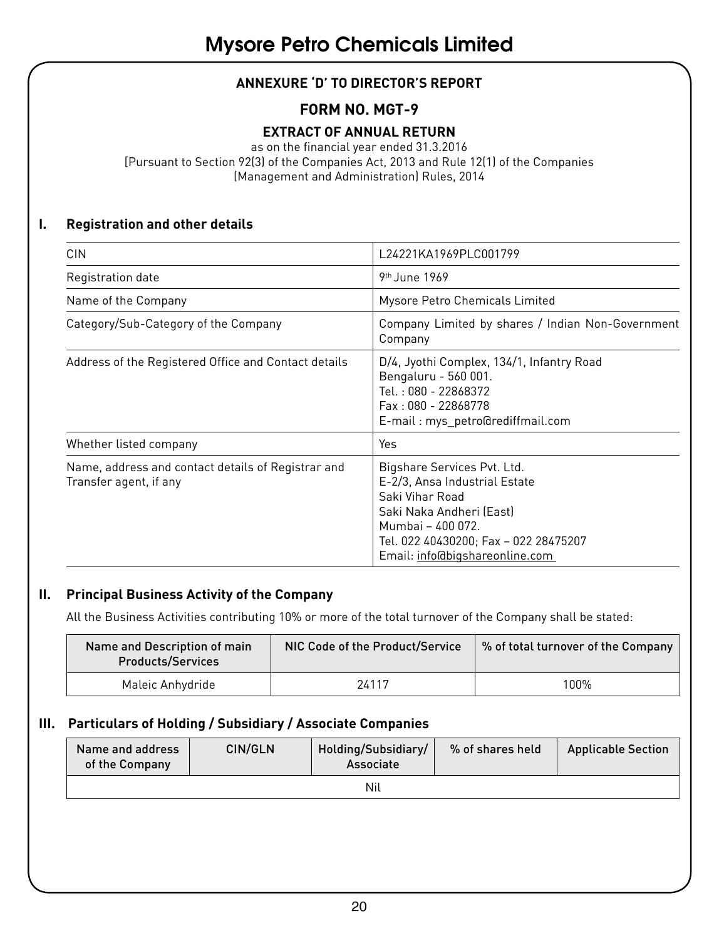# **ANNEXURE 'D' TO DIRECTOR'S REPORT**

# **FORM NO. MGT-9**

# **EXTRACT OF ANNUAL RETURN**

as on the financial year ended 31.3.2016

[Pursuant to Section 92(3) of the Companies Act, 2013 and Rule 12(1) of the Companies (Management and Administration) Rules, 2014

### **I. Registration and other details**

| <b>CIN</b>                                                                   | L24221KA1969PLC001799                                                                                                                                                                                       |
|------------------------------------------------------------------------------|-------------------------------------------------------------------------------------------------------------------------------------------------------------------------------------------------------------|
| Registration date                                                            | 9 <sup>th</sup> June 1969                                                                                                                                                                                   |
| Name of the Company                                                          | Mysore Petro Chemicals Limited                                                                                                                                                                              |
| Category/Sub-Category of the Company                                         | Company Limited by shares / Indian Non-Government<br>Company                                                                                                                                                |
| Address of the Registered Office and Contact details                         | D/4, Jyothi Complex, 134/1, Infantry Road<br>Bengaluru - 560 001.<br>Tel.: 080 - 22868372<br>Fax: 080 - 22868778<br>E-mail: mys petro@rediffmail.com                                                        |
| Whether listed company                                                       | Yes                                                                                                                                                                                                         |
| Name, address and contact details of Registrar and<br>Transfer agent, if any | Bigshare Services Pvt. Ltd.<br>E-2/3, Ansa Industrial Estate<br>Saki Vihar Road<br>Saki Naka Andheri (East)<br>Mumbai - 400 072.<br>Tel. 022 40430200; Fax - 022 28475207<br>Email: info@bigshareonline.com |

#### **II. Principal Business Activity of the Company**

All the Business Activities contributing 10% or more of the total turnover of the Company shall be stated:

| Name and Description of main<br><b>Products/Services</b> | NIC Code of the Product/Service | % of total turnover of the Company |
|----------------------------------------------------------|---------------------------------|------------------------------------|
| Maleic Anhydride                                         | 24117                           | 100%                               |

## **III. Particulars of Holding / Subsidiary / Associate Companies**

| Name and address<br>of the Company | CIN/GLN | Holding/Subsidiary/<br>Associate | % of shares held | <b>Applicable Section</b> |  |
|------------------------------------|---------|----------------------------------|------------------|---------------------------|--|
|                                    |         | Nil                              |                  |                           |  |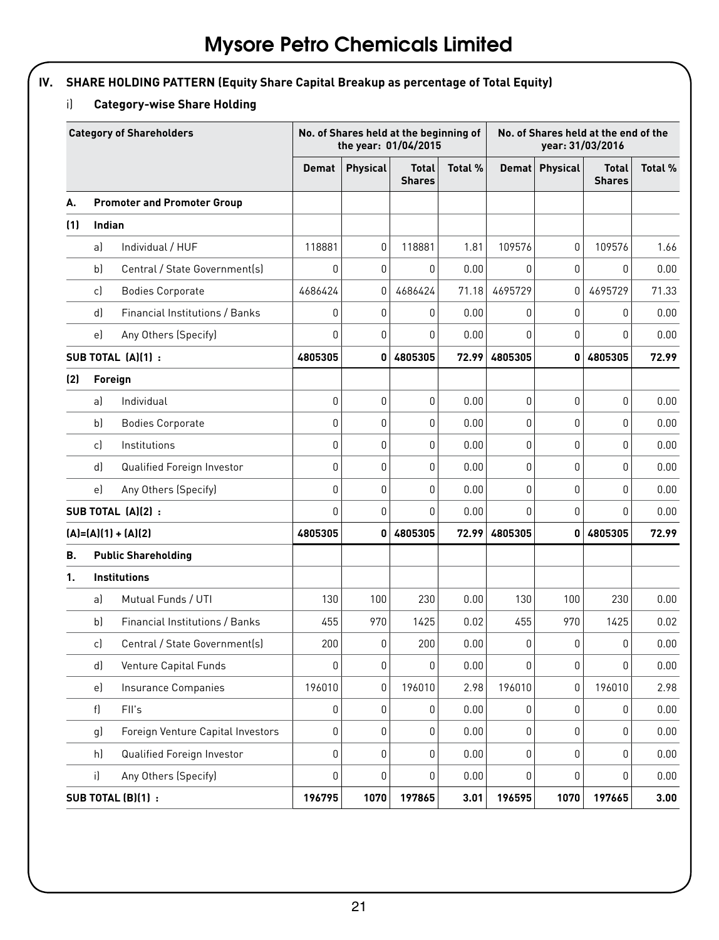# **IV. SHARE HOLDING PATTERN (Equity Share Capital Breakup as percentage of Total Equity)**

# i) **Category-wise Share Holding**

|     | <b>Category of Shareholders</b> |                                    |              | No. of Shares held at the beginning of<br>the year: 01/04/2015 |                               |         |              | No. of Shares held at the end of the<br>year: 31/03/2016 |                               |         |  |
|-----|---------------------------------|------------------------------------|--------------|----------------------------------------------------------------|-------------------------------|---------|--------------|----------------------------------------------------------|-------------------------------|---------|--|
|     |                                 |                                    | <b>Demat</b> | <b>Physical</b>                                                | <b>Total</b><br><b>Shares</b> | Total % | <b>Demat</b> | <b>Physical</b>                                          | <b>Total</b><br><b>Shares</b> | Total % |  |
| А.  |                                 | <b>Promoter and Promoter Group</b> |              |                                                                |                               |         |              |                                                          |                               |         |  |
| (1) | Indian                          |                                    |              |                                                                |                               |         |              |                                                          |                               |         |  |
|     | a)                              | Individual / HUF                   | 118881       | 0                                                              | 118881                        | 1.81    | 109576       | 0                                                        | 109576                        | 1.66    |  |
|     | b)                              | Central / State Government(s)      | 0            | 0                                                              | 0                             | 0.00    | 0            | 0                                                        | 0                             | 0.00    |  |
|     | c)                              | <b>Bodies Corporate</b>            | 4686424      | 0                                                              | 4686424                       | 71.18   | 4695729      | 0                                                        | 4695729                       | 71.33   |  |
|     | d)                              | Financial Institutions / Banks     | 0            | $\overline{0}$                                                 | $\Omega$                      | 0.00    | 0            | $\mathbf{0}$                                             | 0                             | 0.00    |  |
|     | e)                              | Any Others (Specify)               | 0            | 0                                                              | $\mathbf{0}$                  | 0.00    | 0            | 0                                                        | 0                             | 0.00    |  |
|     |                                 | SUB TOTAL (A)(1):                  | 4805305      | 0                                                              | 4805305                       | 72.99   | 4805305      | 0                                                        | 4805305                       | 72.99   |  |
| (2) |                                 | Foreign                            |              |                                                                |                               |         |              |                                                          |                               |         |  |
|     | a)                              | Individual                         | 0            | 0                                                              | $\mathbf{0}$                  | 0.00    | 0            | 0                                                        | 0                             | 0.00    |  |
|     | b)                              | <b>Bodies Corporate</b>            | 0            | 0                                                              | 0                             | 0.00    | 0            | 0                                                        | 0                             | 0.00    |  |
|     | c)                              | Institutions                       | 0            | 0                                                              | $\mathbf{0}$                  | 0.00    | 0            | 0                                                        | 0                             | 0.00    |  |
|     | d)                              | Qualified Foreign Investor         | 0            | 0                                                              | $\mathbf{0}$                  | 0.00    | 0            | $\mathbf{0}$                                             | 0                             | 0.00    |  |
|     | e)                              | Any Others (Specify)               | $\mathbf{0}$ | $\overline{0}$                                                 | $\mathbf{0}$                  | 0.00    | 0            | $\mathbf{0}$                                             | 0                             | 0.00    |  |
|     |                                 | SUB TOTAL (A)(2):                  | 0            | 0                                                              | $\mathbf{0}$                  | 0.00    | 0            | $\mathbf{0}$                                             | 0                             | 0.00    |  |
|     |                                 | $(A)=(A)(1)+(A)(2)$                | 4805305      | 0                                                              | 4805305                       | 72.99   | 4805305      | $\mathbf{0}$                                             | 4805305                       | 72.99   |  |
| В.  |                                 | <b>Public Shareholding</b>         |              |                                                                |                               |         |              |                                                          |                               |         |  |
| 1.  |                                 | Institutions                       |              |                                                                |                               |         |              |                                                          |                               |         |  |
|     | a)                              | Mutual Funds / UTI                 | 130          | 100                                                            | 230                           | 0.00    | 130          | 100                                                      | 230                           | 0.00    |  |
|     | b)                              | Financial Institutions / Banks     | 455          | 970                                                            | 1425                          | 0.02    | 455          | 970                                                      | 1425                          | 0.02    |  |
|     | c)                              | Central / State Government(s)      | 200          | 0                                                              | 200                           | 0.00    | 0            | $\mathbf{0}$                                             | 0                             | 0.00    |  |
|     | d)                              | Venture Capital Funds              | 0            | 0                                                              | $\mathbf{0}$                  | 0.00    | 0            | $\mathbf{0}$                                             | 0                             | 0.00    |  |
|     | e)                              | Insurance Companies                | 196010       | 0                                                              | 196010                        | 2.98    | 196010       | $\mathbf{0}$                                             | 196010                        | 2.98    |  |
|     | f)                              | FII's                              | 0            | 0                                                              | 0                             | 0.00    | 0            | 0                                                        | 0                             | 0.00    |  |
|     | g)                              | Foreign Venture Capital Investors  | 0            | 0                                                              | 0                             | 0.00    | 0            | $\mathbf 0$                                              | 0                             | 0.00    |  |
|     | h)                              | Qualified Foreign Investor         | 0            | 0                                                              | 0                             | 0.00    | 0            | 0                                                        | 0                             | 0.00    |  |
|     | i)                              | Any Others (Specify)               | 0            | 0                                                              | $\mathbf{0}$                  | 0.00    | 0            | 0                                                        | 0                             | 0.00    |  |
|     |                                 | SUB TOTAL (B)(1) :                 | 196795       | 1070                                                           | 197865                        | 3.01    | 196595       | 1070                                                     | 197665                        | 3.00    |  |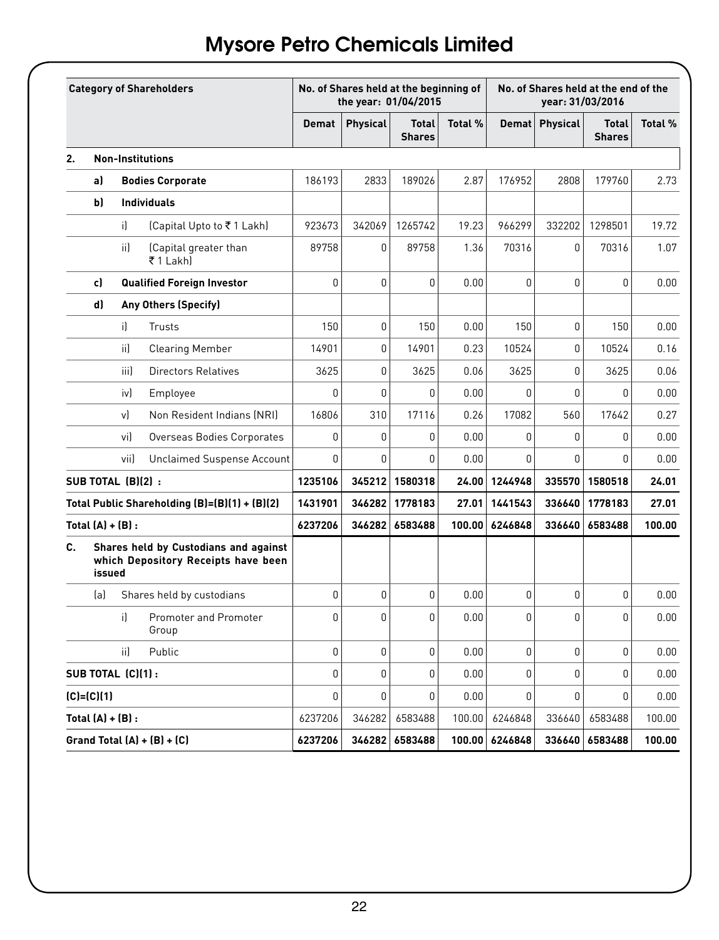|    | <b>Category of Shareholders</b> |              |                                                                              | No. of Shares held at the beginning of<br>the year: 01/04/2015 |          |                               |         | No. of Shares held at the end of the<br>year: 31/03/2016 |              |                               |         |
|----|---------------------------------|--------------|------------------------------------------------------------------------------|----------------------------------------------------------------|----------|-------------------------------|---------|----------------------------------------------------------|--------------|-------------------------------|---------|
|    |                                 |              |                                                                              | <b>Demat</b>                                                   | Physical | <b>Total</b><br><b>Shares</b> | Total % | Demat                                                    | Physical     | <b>Total</b><br><b>Shares</b> | Total % |
| 2. | <b>Non-Institutions</b>         |              |                                                                              |                                                                |          |                               |         |                                                          |              |                               |         |
|    | al                              |              | <b>Bodies Corporate</b>                                                      | 186193                                                         | 2833     | 189026                        | 2.87    | 176952                                                   | 2808         | 179760                        | 2.73    |
|    | b)                              |              | <b>Individuals</b>                                                           |                                                                |          |                               |         |                                                          |              |                               |         |
|    |                                 | i)           | (Capital Upto to ₹1 Lakh)                                                    | 923673                                                         | 342069   | 1265742                       | 19.23   | 966299                                                   | 332202       | 1298501                       | 19.72   |
|    |                                 | ii)          | (Capital greater than<br>₹1 Lakhl                                            | 89758                                                          | 0        | 89758                         | 1.36    | 70316                                                    | $\mathbf{0}$ | 70316                         | 1.07    |
|    | c)                              |              | Qualified Foreign Investor                                                   | 0                                                              | 0        | $\mathbf{0}$                  | 0.00    | 0                                                        | 0            | 0                             | 0.00    |
|    | d)                              |              | <b>Any Others (Specify)</b>                                                  |                                                                |          |                               |         |                                                          |              |                               |         |
|    |                                 | $\mathbf{i}$ | Trusts                                                                       | 150                                                            | 0        | 150                           | 0.00    | 150                                                      | 0            | 150                           | 0.00    |
|    |                                 | ii)          | Clearing Member                                                              | 14901                                                          | 0        | 14901                         | 0.23    | 10524                                                    | 0            | 10524                         | 0.16    |
|    |                                 | iii)         | Directors Relatives                                                          | 3625                                                           | 0        | 3625                          | 0.06    | 3625                                                     | 0            | 3625                          | 0.06    |
|    |                                 | iv)          | Employee                                                                     | 0                                                              | 0        | $\mathbf{0}$                  | 0.00    | $\mathbf{0}$                                             | 0            | U                             | 0.00    |
|    |                                 | v)           | Non Resident Indians (NRI)                                                   | 16806                                                          | 310      | 17116                         | 0.26    | 17082                                                    | 560          | 17642                         | 0.27    |
|    |                                 | vi)          | Overseas Bodies Corporates                                                   | 0                                                              | 0        | 0                             | 0.00    | 0                                                        | 0            | 0                             | 0.00    |
|    |                                 | vii)         | Unclaimed Suspense Account                                                   | 0                                                              | 0        | 0                             | 0.00    | 0                                                        | $\mathbf{0}$ | 0                             | 0.00    |
|    | SUB TOTAL (B)(2):               |              |                                                                              | 1235106                                                        | 345212   | 1580318                       | 24.00   | 1244948                                                  | 335570       | 1580518                       | 24.01   |
|    |                                 |              | Total Public Shareholding (B)=(B)(1) + (B)(2)                                | 1431901                                                        | 346282   | 1778183                       | 27.01   | 1441543                                                  | 336640       | 1778183                       | 27.01   |
|    | Total $(A) + (B)$ :             |              |                                                                              | 6237206                                                        | 346282   | 6583488                       | 100.00  | 6246848                                                  | 336640       | 6583488                       | 100.00  |
| C. | issued                          |              | Shares held by Custodians and against<br>which Depository Receipts have been |                                                                |          |                               |         |                                                          |              |                               |         |
|    | (a)                             |              | Shares held by custodians                                                    | 0                                                              | 0        | 0                             | 0.00    | 0                                                        | 0            | 0                             | 0.00    |
|    |                                 | il.          | <b>Promoter and Promoter</b><br>Group                                        | 0                                                              | 0        | 0                             | 0.00    | 0                                                        | 0            | 0                             | 0.00    |
|    |                                 | iil          | <b>Public</b>                                                                | 0                                                              | 0        | $\mathbf{0}$                  | 0.00    | 0                                                        | 0            | 0                             | 0.00    |
|    | SUB TOTAL (C)(1):               |              |                                                                              | 0                                                              | 0        | 0                             | 0.00    | $\mathbf{0}$                                             | 0            | 0                             | 0.00    |
|    | $[C]=[C][1]$                    |              |                                                                              | 0                                                              | 0        | $\mathbf{0}$                  | 0.00    | 0                                                        | $\mathbf{0}$ | 0                             | 0.00    |
|    | Total $(A) + (B)$ :             |              |                                                                              | 6237206                                                        | 346282   | 6583488                       | 100.00  | 6246848                                                  | 336640       | 6583488                       | 100.00  |
|    |                                 |              | Grand Total $(A) + (B) + (C)$                                                | 6237206                                                        | 346282   | 6583488                       | 100.00  | 6246848                                                  | 336640       | 6583488                       | 100.00  |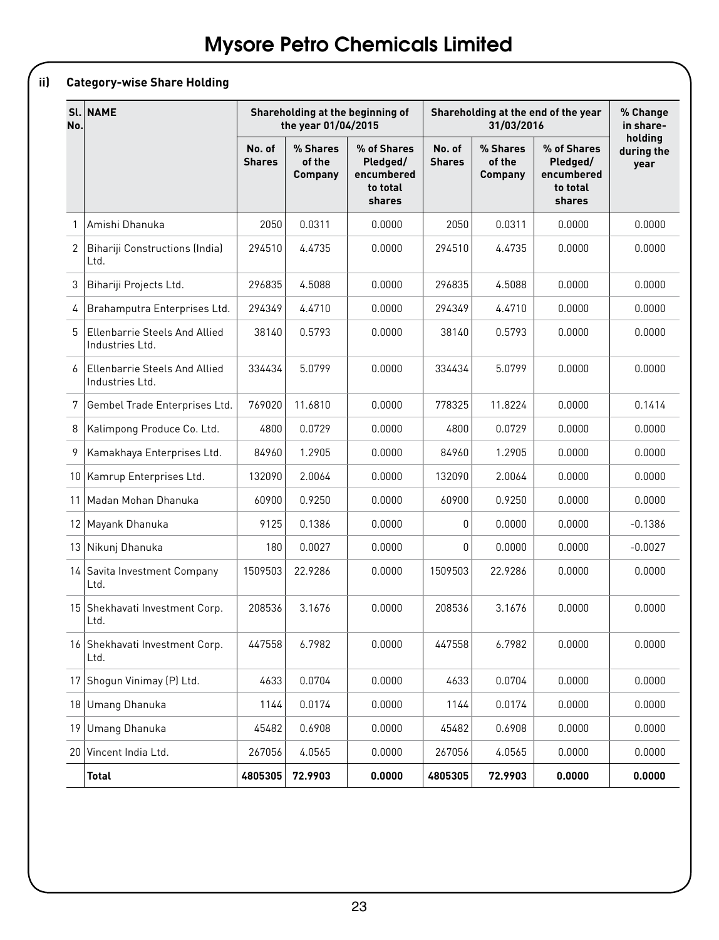# **ii) Category-wise Share Holding**

| SL <sub>1</sub><br>No. | <b>NAME</b>                                             |                         | the year 01/04/2015                  | Shareholding at the beginning of                            |                         | 31/03/2016                           | Shareholding at the end of the year                         | % Change<br>in share-         |
|------------------------|---------------------------------------------------------|-------------------------|--------------------------------------|-------------------------------------------------------------|-------------------------|--------------------------------------|-------------------------------------------------------------|-------------------------------|
|                        |                                                         | No. of<br><b>Shares</b> | % Shares<br>of the<br><b>Company</b> | % of Shares<br>Pledged/<br>encumbered<br>to total<br>shares | No. of<br><b>Shares</b> | % Shares<br>of the<br><b>Company</b> | % of Shares<br>Pledged/<br>encumbered<br>to total<br>shares | holding<br>during the<br>year |
| $\mathbf{1}$           | Amishi Dhanuka                                          | 2050                    | 0.0311                               | 0.0000                                                      | 2050                    | 0.0311                               | 0.0000                                                      | 0.0000                        |
| $\overline{2}$         | Bihariji Constructions (India)<br>Ltd.                  | 294510                  | 4.4735                               | 0.0000                                                      | 294510                  | 4.4735                               | 0.0000                                                      | 0.0000                        |
| 3                      | Bihariji Projects Ltd.                                  | 296835                  | 4.5088                               | 0.0000                                                      | 296835                  | 4.5088                               | 0.0000                                                      | 0.0000                        |
| 4                      | Brahamputra Enterprises Ltd.                            | 294349                  | 4.4710                               | 0.0000                                                      | 294349                  | 4.4710                               | 0.0000                                                      | 0.0000                        |
| 5                      | Ellenbarrie Steels And Allied<br>Industries Ltd.        | 38140                   | 0.5793                               | 0.0000                                                      | 38140                   | 0.5793                               | 0.0000                                                      | 0.0000                        |
| 6                      | <b>Ellenbarrie Steels And Allied</b><br>Industries Ltd. | 334434                  | 5.0799                               | 0.0000                                                      | 334434                  | 5.0799                               | 0.0000                                                      | 0.0000                        |
| 7                      | Gembel Trade Enterprises Ltd.                           | 769020                  | 11.6810                              | 0.0000                                                      | 778325                  | 11.8224                              | 0.0000                                                      | 0.1414                        |
| 8                      | Kalimpong Produce Co. Ltd.                              | 4800                    | 0.0729                               | 0.0000                                                      | 4800                    | 0.0729                               | 0.0000                                                      | 0.0000                        |
| 9                      | Kamakhaya Enterprises Ltd.                              | 84960                   | 1.2905                               | 0.0000                                                      | 84960                   | 1.2905                               | 0.0000                                                      | 0.0000                        |
| 10 <sup>1</sup>        | Kamrup Enterprises Ltd.                                 | 132090                  | 2.0064                               | 0.0000                                                      | 132090                  | 2.0064                               | 0.0000                                                      | 0.0000                        |
| 11                     | Madan Mohan Dhanuka                                     | 60900                   | 0.9250                               | 0.0000                                                      | 60900                   | 0.9250                               | 0.0000                                                      | 0.0000                        |
| 12                     | Mayank Dhanuka                                          | 9125                    | 0.1386                               | 0.0000                                                      | 0                       | 0.0000                               | 0.0000                                                      | -0.1386                       |
|                        | 13   Nikunj Dhanuka                                     | 180                     | 0.0027                               | 0.0000                                                      | 0                       | 0.0000                               | 0.0000                                                      | $-0.0027$                     |
| 14                     | Savita Investment Company<br>Ltd.                       | 1509503                 | 22.9286                              | 0.0000                                                      | 1509503                 | 22.9286                              | 0.0000                                                      | 0.0000                        |
|                        | 15 Shekhavati Investment Corp.<br>Ltd.                  | 208536                  | 3.1676                               | 0.0000                                                      | 208536                  | 3.1676                               | 0.0000                                                      | 0.0000                        |
|                        | 16 Shekhavati Investment Corp.<br>Ltd.                  | 447558                  | 6.7982                               | 0.0000                                                      | 447558                  | 6.7982                               | 0.0000                                                      | 0.0000                        |
| 17 <sup>1</sup>        | Shogun Vinimay (P) Ltd.                                 | 4633                    | 0.0704                               | 0.0000                                                      | 4633                    | 0.0704                               | 0.0000                                                      | 0.0000                        |
| 18                     | Umang Dhanuka                                           | 1144                    | 0.0174                               | 0.0000                                                      | 1144                    | 0.0174                               | 0.0000                                                      | 0.0000                        |
| 19                     | Umang Dhanuka                                           | 45482                   | 0.6908                               | 0.0000                                                      | 45482                   | 0.6908                               | 0.0000                                                      | 0.0000                        |
| 20 <sup>1</sup>        | Vincent India Ltd.                                      | 267056                  | 4.0565                               | 0.0000                                                      | 267056                  | 4.0565                               | 0.0000                                                      | 0.0000                        |
|                        | <b>Total</b>                                            | 4805305                 | 72.9903                              | 0.0000                                                      | 4805305                 | 72.9903                              | 0.0000                                                      | 0.0000                        |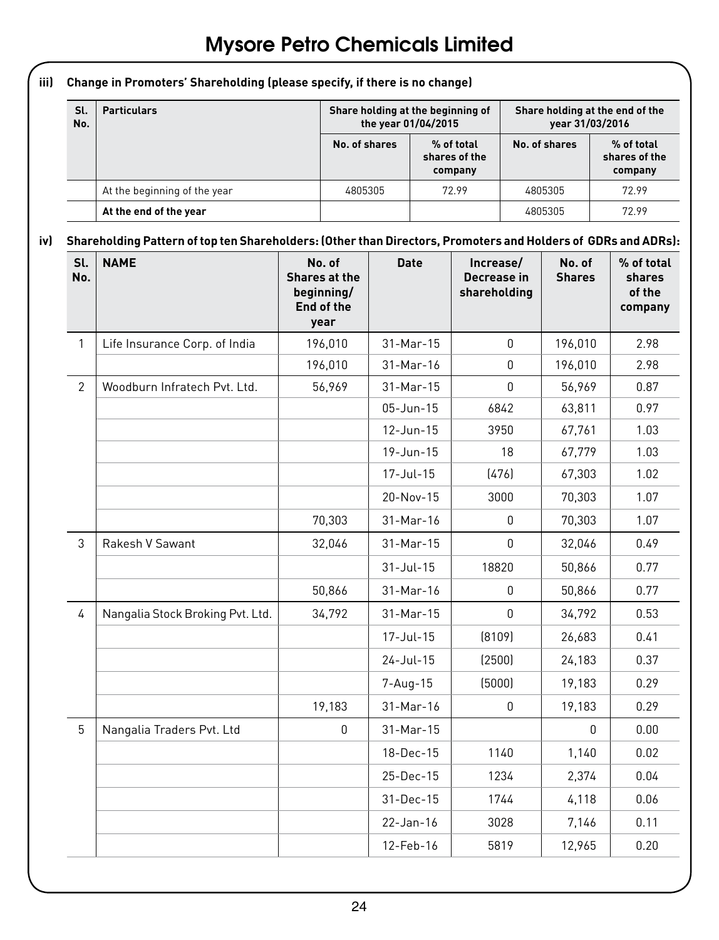**iii) Change in Promoters' Shareholding (please specify, if there is no change) Sl. No. Particulars Particulars Share holding at the beginning of**  $\blacksquare$ **the year 01/04/2015 Share holding at the end of the year 31/03/2016 No. of shares % of total shares of the company No. of shares % of total shares of the company** At the beginning of the year  $\vert$  4805305 72.99 4805305 72.99 **At the end of the year** 4805305 72.99 **iv) Shareholding Pattern of top ten Shareholders: (Other than Directors, Promoters and Holders of GDRs and ADRs):** Sl. | NAME **No. No. of Shares at the Date Increase/ Decrease in No. of Shares % of total shares** 

| No.            |                                  | Shares at the<br>beginning/<br>End of the<br>year |                 | Decrease in<br>shareholding | <b>Shares</b> | shares<br>of the<br>company |
|----------------|----------------------------------|---------------------------------------------------|-----------------|-----------------------------|---------------|-----------------------------|
| $\mathbf{1}$   | Life Insurance Corp. of India    | 196,010                                           | 31-Mar-15       | $\mathbf{0}$                | 196,010       | 2.98                        |
|                |                                  | 196,010                                           | 31-Mar-16       | 0                           | 196,010       | 2.98                        |
| 2              | Woodburn Infratech Pvt. Ltd.     | 56,969                                            | 31-Mar-15       | $\mathbf{0}$                | 56,969        | 0.87                        |
|                |                                  |                                                   | $05 - Jun - 15$ | 6842                        | 63,811        | 0.97                        |
|                |                                  |                                                   | $12 - Jun - 15$ | 3950                        | 67,761        | 1.03                        |
|                |                                  |                                                   | 19-Jun-15       | 18                          | 67,779        | 1.03                        |
|                |                                  |                                                   | 17-Jul-15       | (476)                       | 67,303        | 1.02                        |
|                |                                  |                                                   | 20-Nov-15       | 3000                        | 70,303        | 1.07                        |
|                |                                  | 70,303                                            | 31-Mar-16       | 0                           | 70,303        | 1.07                        |
| 3              | Rakesh V Sawant                  | 32,046                                            | $31-Mar-15$     | $\mathbf{0}$                | 32,046        | 0.49                        |
|                |                                  |                                                   | $31 -$ Jul-15   | 18820                       | 50,866        | 0.77                        |
|                |                                  | 50,866                                            | 31-Mar-16       | 0                           | 50.866        | 0.77                        |
| $\overline{4}$ | Nangalia Stock Broking Pvt. Ltd. | 34,792                                            | 31-Mar-15       | $\Omega$                    | 34,792        | 0.53                        |
|                |                                  |                                                   | 17-Jul-15       | [8109]                      | 26,683        | 0.41                        |
|                |                                  |                                                   | $24 - Jul - 15$ | (2500)                      | 24,183        | 0.37                        |
|                |                                  |                                                   | 7-Aug-15        | (5000)                      | 19,183        | 0.29                        |
|                |                                  | 19,183                                            | 31-Mar-16       | 0                           | 19,183        | 0.29                        |
| 5              | Nangalia Traders Pvt. Ltd        | $\mathbf{0}$                                      | $31-Mar-15$     |                             | $\Omega$      | 0.00                        |
|                |                                  |                                                   | 18-Dec-15       | 1140                        | 1,140         | 0.02                        |
|                |                                  |                                                   | 25-Dec-15       | 1234                        | 2,374         | 0.04                        |
|                |                                  |                                                   | $31 - Dec - 15$ | 1744                        | 4,118         | 0.06                        |
|                |                                  |                                                   | 22-Jan-16       | 3028                        | 7,146         | 0.11                        |
|                |                                  |                                                   | 12-Feb-16       | 5819                        | 12,965        | 0.20                        |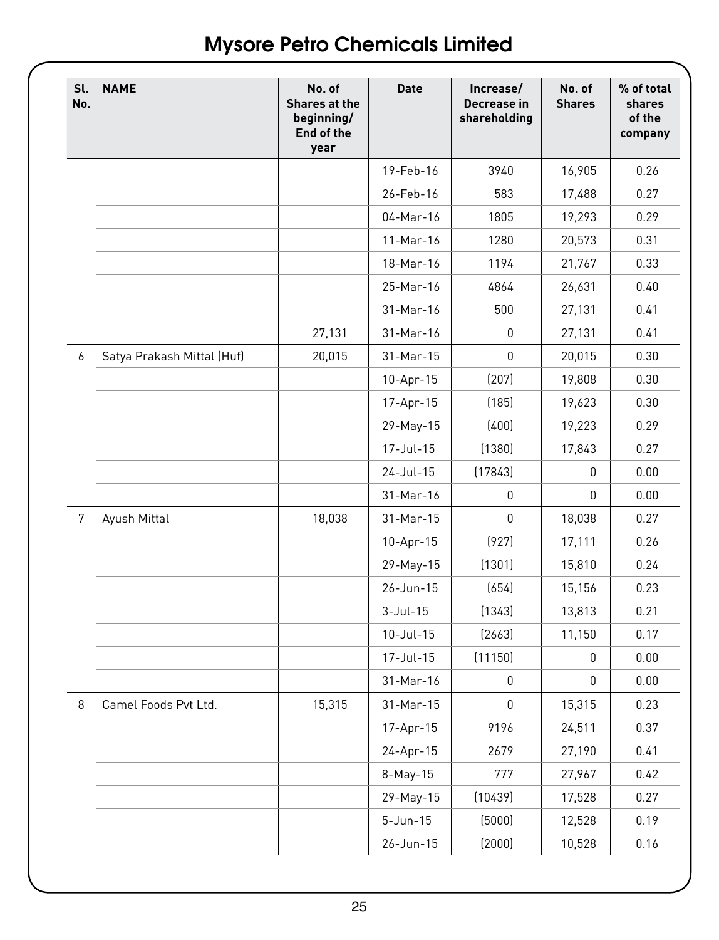| Sl.<br>No. | <b>NAME</b>                | No. of<br>Shares at the<br>beginning/<br>End of the<br>year | <b>Date</b>    | Increase/<br>Decrease in<br>shareholding | No. of<br><b>Shares</b> | % of total<br>shares<br>of the<br>company |
|------------|----------------------------|-------------------------------------------------------------|----------------|------------------------------------------|-------------------------|-------------------------------------------|
|            |                            |                                                             | 19-Feb-16      | 3940                                     | 16,905                  | 0.26                                      |
|            |                            |                                                             | 26-Feb-16      | 583                                      | 17,488                  | 0.27                                      |
|            |                            |                                                             | 04-Mar-16      | 1805                                     | 19,293                  | 0.29                                      |
|            |                            |                                                             | 11-Mar-16      | 1280                                     | 20,573                  | 0.31                                      |
|            |                            |                                                             | 18-Mar-16      | 1194                                     | 21,767                  | 0.33                                      |
|            |                            |                                                             | 25-Mar-16      | 4864                                     | 26,631                  | 0.40                                      |
|            |                            |                                                             | 31-Mar-16      | 500                                      | 27,131                  | 0.41                                      |
|            |                            | 27,131                                                      | 31-Mar-16      | 0                                        | 27,131                  | 0.41                                      |
| 6          | Satya Prakash Mittal (Huf) | 20,015                                                      | 31-Mar-15      | 0                                        | 20,015                  | 0.30                                      |
|            |                            |                                                             | 10-Apr-15      | (207)                                    | 19,808                  | 0.30                                      |
|            |                            |                                                             | 17-Apr-15      | (185)                                    | 19,623                  | 0.30                                      |
|            |                            |                                                             | 29-May-15      | (400)                                    | 19,223                  | 0.29                                      |
|            |                            |                                                             | 17-Jul-15      | (1380)                                   | 17,843                  | 0.27                                      |
|            |                            |                                                             | 24-Jul-15      | (17843)                                  | 0                       | 0.00                                      |
|            |                            |                                                             | 31-Mar-16      | 0                                        | 0                       | 0.00                                      |
| 7          | Ayush Mittal               | 18,038                                                      | 31-Mar-15      | 0                                        | 18,038                  | 0.27                                      |
|            |                            |                                                             | 10-Apr-15      | (927)                                    | 17,111                  | 0.26                                      |
|            |                            |                                                             | 29-May-15      | (1301)                                   | 15,810                  | 0.24                                      |
|            |                            |                                                             | 26-Jun-15      | (654)                                    | 15,156                  | 0.23                                      |
|            |                            |                                                             | $3-Jul-15$     | (1343)                                   | 13,813                  | 0.21                                      |
|            |                            |                                                             | $10$ -Jul-15   | (2663)                                   | 11,150                  | 0.17                                      |
|            |                            |                                                             | 17-Jul-15      | (11150)                                  | 0                       | 0.00                                      |
|            |                            |                                                             | 31-Mar-16      | 0                                        | 0                       | 0.00                                      |
| 8          | Camel Foods Pvt Ltd.       | 15,315                                                      | 31-Mar-15      | 0                                        | 15,315                  | 0.23                                      |
|            |                            |                                                             | 17-Apr-15      | 9196                                     | 24,511                  | 0.37                                      |
|            |                            |                                                             | 24-Apr-15      | 2679                                     | 27,190                  | 0.41                                      |
|            |                            |                                                             | 8-May-15       | 777                                      | 27,967                  | 0.42                                      |
|            |                            |                                                             | 29-May-15      | (10439)                                  | 17,528                  | 0.27                                      |
|            |                            |                                                             | $5 - Jun - 15$ | (5000)                                   | 12,528                  | 0.19                                      |
|            |                            |                                                             | 26-Jun-15      | (2000)                                   | 10,528                  | 0.16                                      |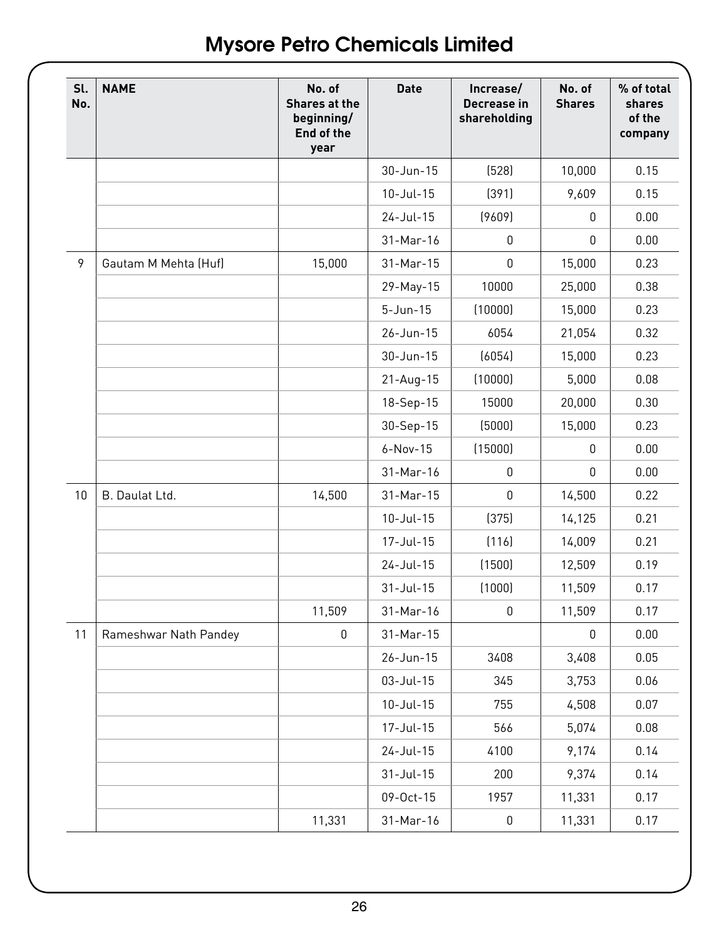| Sl.<br>No. | <b>NAME</b>           | No. of<br>Shares at the<br>beginning/<br>End of the<br>year | <b>Date</b>     | Increase/<br>Decrease in<br>shareholding | No. of<br><b>Shares</b> | % of total<br>shares<br>of the<br>company |
|------------|-----------------------|-------------------------------------------------------------|-----------------|------------------------------------------|-------------------------|-------------------------------------------|
|            |                       |                                                             | 30-Jun-15       | (528)                                    | 10,000                  | 0.15                                      |
|            |                       |                                                             | 10-Jul-15       | (391)                                    | 9,609                   | 0.15                                      |
|            |                       |                                                             | 24-Jul-15       | (9609)                                   | 0                       | 0.00                                      |
|            |                       |                                                             | 31-Mar-16       | 0                                        | 0                       | 0.00                                      |
| 9          | Gautam M Mehta (Huf)  | 15,000                                                      | 31-Mar-15       | $\mathbf{0}$                             | 15,000                  | 0.23                                      |
|            |                       |                                                             | 29-May-15       | 10000                                    | 25,000                  | 0.38                                      |
|            |                       |                                                             | $5 - Jun - 15$  | (10000)                                  | 15,000                  | 0.23                                      |
|            |                       |                                                             | 26-Jun-15       | 6054                                     | 21,054                  | 0.32                                      |
|            |                       |                                                             | 30-Jun-15       | (6054)                                   | 15,000                  | 0.23                                      |
|            |                       |                                                             | $21 - Aug - 15$ | (10000)                                  | 5,000                   | 0.08                                      |
|            |                       |                                                             | 18-Sep-15       | 15000                                    | 20,000                  | 0.30                                      |
|            |                       |                                                             | 30-Sep-15       | (5000)                                   | 15,000                  | 0.23                                      |
|            |                       |                                                             | $6-Nov-15$      | (15000)                                  | 0                       | 0.00                                      |
|            |                       |                                                             | 31-Mar-16       | 0                                        | 0                       | 0.00                                      |
| 10         | B. Daulat Ltd.        | 14,500                                                      | 31-Mar-15       | 0                                        | 14,500                  | 0.22                                      |
|            |                       |                                                             | 10-Jul-15       | (375)                                    | 14,125                  | 0.21                                      |
|            |                       |                                                             | 17-Jul-15       | (116)                                    | 14,009                  | 0.21                                      |
|            |                       |                                                             | 24-Jul-15       | (1500)                                   | 12,509                  | 0.19                                      |
|            |                       |                                                             | $31 -$ Jul-15   | (1000)                                   | 11,509                  | 0.17                                      |
|            |                       | 11,509                                                      | 31-Mar-16       | 0                                        | 11,509                  | 0.17                                      |
| 11         | Rameshwar Nath Pandey | 0                                                           | 31-Mar-15       |                                          | 0                       | 0.00                                      |
|            |                       |                                                             | 26-Jun-15       | 3408                                     | 3,408                   | 0.05                                      |
|            |                       |                                                             | 03-Jul-15       | 345                                      | 3,753                   | 0.06                                      |
|            |                       |                                                             | $10 - Jul - 15$ | 755                                      | 4,508                   | 0.07                                      |
|            |                       |                                                             | 17-Jul-15       | 566                                      | 5,074                   | 0.08                                      |
|            |                       |                                                             | 24-Jul-15       | 4100                                     | 9,174                   | 0.14                                      |
|            |                       |                                                             | $31 -$ Jul-15   | 200                                      | 9,374                   | 0.14                                      |
|            |                       |                                                             | 09-Oct-15       | 1957                                     | 11,331                  | 0.17                                      |
|            |                       | 11,331                                                      | 31-Mar-16       | 0                                        | 11,331                  | 0.17                                      |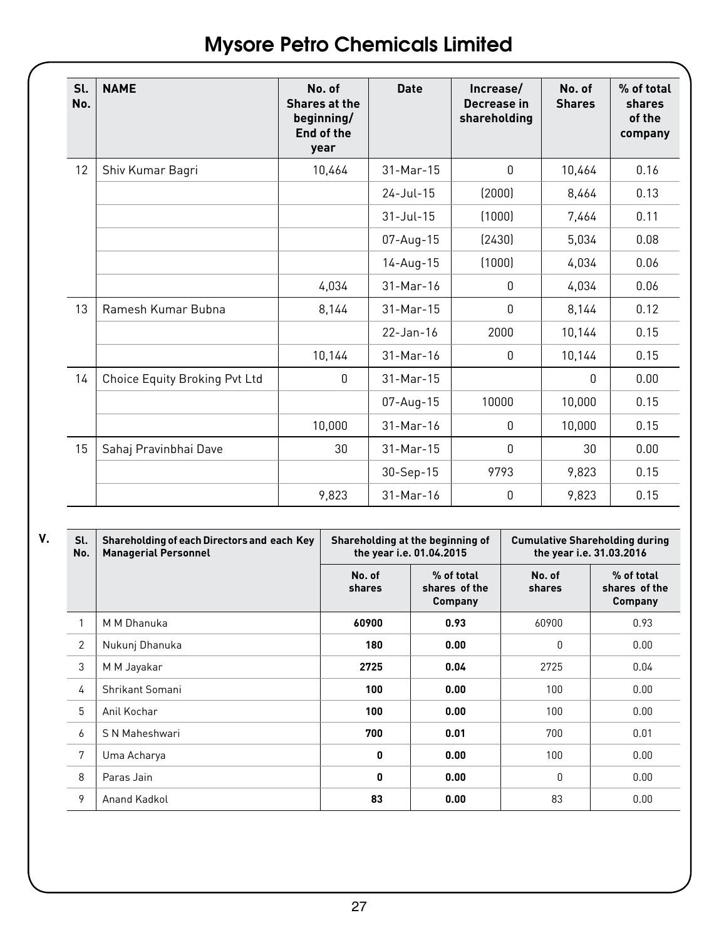| Sl.<br>No. | <b>NAME</b>                   | No. of<br>Shares at the<br>beginning/<br>End of the<br>year | Date            | Increase/<br>Decrease in<br>shareholding | No. of<br><b>Shares</b> | % of total<br>shares<br>of the<br>company |
|------------|-------------------------------|-------------------------------------------------------------|-----------------|------------------------------------------|-------------------------|-------------------------------------------|
| 12         | Shiv Kumar Bagri              | 10,464                                                      | $31-Mar-15$     | $\mathbf{0}$                             | 10,464                  | 0.16                                      |
|            |                               |                                                             | $24 - Jul - 15$ | (2000)                                   | 8,464                   | 0.13                                      |
|            |                               |                                                             | $31 -$ Jul - 15 | (1000)                                   | 7,464                   | 0.11                                      |
|            |                               |                                                             | $07$ -Aug-15    | [2430]                                   | 5,034                   | 0.08                                      |
|            |                               |                                                             | $14 - Aug - 15$ | (1000)                                   | 4,034                   | 0.06                                      |
|            |                               | 4,034                                                       | $31-Mar-16$     | $\mathbf{0}$                             | 4,034                   | 0.06                                      |
| 13         | Ramesh Kumar Bubna            | 8,144                                                       | $31-Mar-15$     | $\mathbf{0}$                             | 8.144                   | 0.12                                      |
|            |                               |                                                             | $22 - Jan - 16$ | 2000                                     | 10,144                  | 0.15                                      |
|            |                               | 10,144                                                      | $31-Mar-16$     | $\Omega$                                 | 10,144                  | 0.15                                      |
| 14         | Choice Equity Broking Pvt Ltd | $\mathbf{0}$                                                | $31-Mar-15$     |                                          | $\mathbf{0}$            | 0.00                                      |
|            |                               |                                                             | 07-Aug-15       | 10000                                    | 10.000                  | 0.15                                      |
|            |                               | 10.000                                                      | $31-Mar-16$     | $\mathbf{0}$                             | 10.000                  | 0.15                                      |
| 15         | Sahaj Pravinbhai Dave         | 30                                                          | $31-Mar-15$     | $\mathbf{0}$                             | 30                      | 0.00                                      |
|            |                               |                                                             | 30-Sep-15       | 9793                                     | 9,823                   | 0.15                                      |
|            |                               | 9.823                                                       | $31-Mar-16$     | 0                                        | 9,823                   | 0.15                                      |

**V. Sl.** 

| Sl.<br>No.     | Shareholding of each Directors and each Key<br><b>Managerial Personnel</b> |                  | Shareholding at the beginning of<br>the year i.e. 01.04.2015 | <b>Cumulative Shareholding during</b><br>the year i.e. 31.03.2016 |                                        |  |
|----------------|----------------------------------------------------------------------------|------------------|--------------------------------------------------------------|-------------------------------------------------------------------|----------------------------------------|--|
|                |                                                                            | No. of<br>shares | % of total<br>shares of the<br><b>Company</b>                | No. of<br>shares                                                  | % of total<br>shares of the<br>Company |  |
|                | M M Dhanuka                                                                | 60900            | 0.93                                                         | 60900                                                             | 0.93                                   |  |
| $\overline{2}$ | Nukunj Dhanuka                                                             | 180              | 0.00                                                         | 0                                                                 | 0.00                                   |  |
| 3              | M M Jayakar                                                                | 2725             | 0.04                                                         | 2725                                                              | 0.04                                   |  |
| 4              | Shrikant Somani                                                            | 100              | 0.00                                                         | 100                                                               | 0.00                                   |  |
| 5              | Anil Kochar                                                                | 100              | 0.00                                                         | 100                                                               | 0.00                                   |  |
| 6              | S N Maheshwari                                                             | 700              | 0.01                                                         | 700                                                               | 0.01                                   |  |
| 7              | Uma Acharya                                                                | 0                | 0.00                                                         | 100                                                               | 0.00                                   |  |
| 8              | Paras Jain                                                                 | 0                | 0.00                                                         | $\Omega$                                                          | 0.00                                   |  |
| 9              | Anand Kadkol                                                               | 83               | 0.00                                                         | 83                                                                | 0.00                                   |  |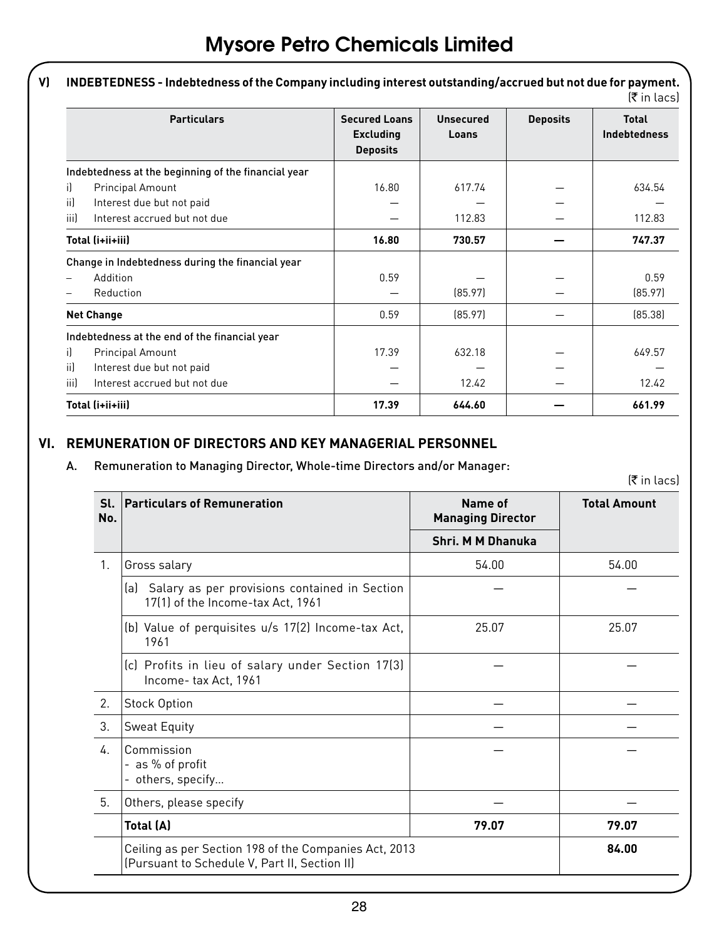| <b>Particulars</b>                                  | <b>Secured Loans</b><br><b>Excluding</b><br><b>Deposits</b> | Unsecured<br>Loans | <b>Deposits</b> | <b>Total</b><br><b>Indebtedness</b> |
|-----------------------------------------------------|-------------------------------------------------------------|--------------------|-----------------|-------------------------------------|
| Indebtedness at the beginning of the financial year |                                                             |                    |                 |                                     |
| i)<br><b>Principal Amount</b>                       | 16.80                                                       | 617.74             |                 | 634.54                              |
| ii)<br>Interest due but not paid                    |                                                             |                    |                 |                                     |
| iii)<br>Interest accrued but not due                |                                                             | 112.83             |                 | 112.83                              |
| Total (i+ii+iii)                                    | 16.80                                                       | 730.57             |                 | 747.37                              |
| Change in Indebtedness during the financial year    |                                                             |                    |                 |                                     |
| Addition                                            | 0.59                                                        |                    |                 | 0.59                                |
| Reduction                                           |                                                             | [85.97]            |                 | [85.97]                             |
| <b>Net Change</b>                                   | 0.59                                                        | [85.97]            |                 | (85.38)                             |
| Indebtedness at the end of the financial year       |                                                             |                    |                 |                                     |
| il.<br>Principal Amount                             | 17.39                                                       | 632.18             |                 | 649.57                              |
| ii)<br>Interest due but not paid                    |                                                             |                    |                 |                                     |
| iii)<br>Interest accrued but not due                |                                                             | 12.42              |                 | 12.42                               |
| Total (i+ii+iii)                                    | 17.39                                                       | 644.60             |                 | 661.99                              |

# **VI. REMUNERATION OF DIRECTORS AND KEY MANAGERIAL PERSONNEL**

# A. Remuneration to Managing Director, Whole-time Directors and/or Manager:

| SI.<br>No. | <b>Particulars of Remuneration</b>                                                                     | Name of<br><b>Managing Director</b> | <b>Total Amount</b> |
|------------|--------------------------------------------------------------------------------------------------------|-------------------------------------|---------------------|
|            |                                                                                                        | Shri, M M Dhanuka                   |                     |
| 1.         | Gross salary                                                                                           | 54.00                               | 54.00               |
|            | (a) Salary as per provisions contained in Section<br>17(1) of the Income-tax Act, 1961                 |                                     |                     |
|            | (b) Value of perquisites u/s 17(2) Income-tax Act,<br>1961                                             | 25.07                               | 25.07               |
|            | (c) Profits in lieu of salary under Section 17(3)<br>Income-tax Act, 1961                              |                                     |                     |
| 2.         | <b>Stock Option</b>                                                                                    |                                     |                     |
| 3.         | Sweat Equity                                                                                           |                                     |                     |
| 4          | Commission<br>- as % of profit<br>- others, specify                                                    |                                     |                     |
| 5.         | Others, please specify                                                                                 |                                     |                     |
|            | Total (A)                                                                                              | 79.07                               | 79.07               |
|            | Ceiling as per Section 198 of the Companies Act, 2013<br>(Pursuant to Schedule V, Part II, Section II) |                                     | 84.00               |

**V) INDEBTEDNESS - Indebtedness of the Company including interest outstanding/accrued but not due for payment.**

(` in lacs)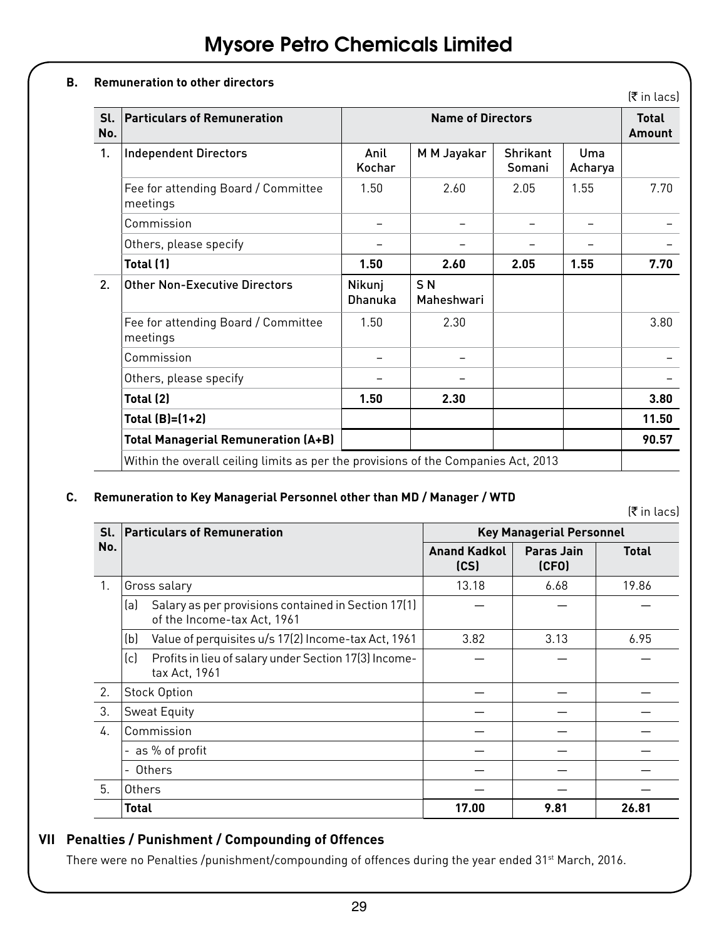#### **B. Remuneration to other directors**

|            |                                                                                    |                   |                              |                    |                | रिं in lacs)           |
|------------|------------------------------------------------------------------------------------|-------------------|------------------------------|--------------------|----------------|------------------------|
| SI.<br>No. | <b>Particulars of Remuneration</b>                                                 |                   | <b>Name of Directors</b>     |                    |                | <b>Total</b><br>Amount |
| 1.         | <b>Independent Directors</b>                                                       | Anil<br>Kochar    | M M Jayakar                  | Shrikant<br>Somani | Uma<br>Acharya |                        |
|            | Fee for attending Board / Committee<br>meetings                                    | 1.50              | 2.60                         | 2.05               | 1.55           | 7.70                   |
|            | Commission                                                                         |                   |                              |                    |                |                        |
|            | Others, please specify                                                             |                   |                              |                    |                |                        |
|            | Total (1)                                                                          | 1.50              | 2.60                         | 2.05               | 1.55           | 7.70                   |
| 2.         | <b>Other Non-Executive Directors</b>                                               | Nikunj<br>Dhanuka | S <sub>N</sub><br>Maheshwari |                    |                |                        |
|            | Fee for attending Board / Committee<br>meetings                                    | 1.50              | 2.30                         |                    |                | 3.80                   |
|            | Commission                                                                         |                   |                              |                    |                |                        |
|            | Others, please specify                                                             |                   |                              |                    |                |                        |
|            | Total (2)                                                                          | 1.50              | 2.30                         |                    |                | 3.80                   |
|            | Total (B)=(1+2)                                                                    |                   |                              |                    |                | 11.50                  |
|            | <b>Total Managerial Remuneration (A+B)</b>                                         |                   |                              |                    |                | 90.57                  |
|            | Within the overall ceiling limits as per the provisions of the Companies Act, 2013 |                   |                              |                    |                |                        |

#### **C. Remuneration to Key Managerial Personnel other than MD / Manager / WTD**

(` in lacs)

| Sl.     | <b>Particulars of Remuneration</b>                                                        |                             | <b>Key Managerial Personnel</b> |              |
|---------|-------------------------------------------------------------------------------------------|-----------------------------|---------------------------------|--------------|
| No.     |                                                                                           | <b>Anand Kadkol</b><br>(CS) | Paras Jain<br>(CFO)             | <b>Total</b> |
| $1_{.}$ | Gross salary                                                                              | 13.18                       | 6.68                            | 19.86        |
|         | Salary as per provisions contained in Section 17(1)<br>(a)<br>of the Income-tax Act, 1961 |                             |                                 |              |
|         | Value of perquisites u/s 17(2) Income-tax Act, 1961<br>(b)                                | 3.82                        | 3.13                            | 6.95         |
|         | (c)<br>Profits in lieu of salary under Section 17(3) Income-<br>tax Act, 1961             |                             |                                 |              |
| 2.      | <b>Stock Option</b>                                                                       |                             |                                 |              |
| 3.      | Sweat Equity                                                                              |                             |                                 |              |
| 4.      | Commission                                                                                |                             |                                 |              |
|         | as % of profit                                                                            |                             |                                 |              |
|         | Others                                                                                    |                             |                                 |              |
| 5.      | Others                                                                                    |                             |                                 |              |
|         | <b>Total</b>                                                                              | 17.00                       | 9.81                            | 26.81        |

# **VII Penalties / Punishment / Compounding of Offences**

There were no Penalties /punishment/compounding of offences during the year ended 31<sup>st</sup> March, 2016.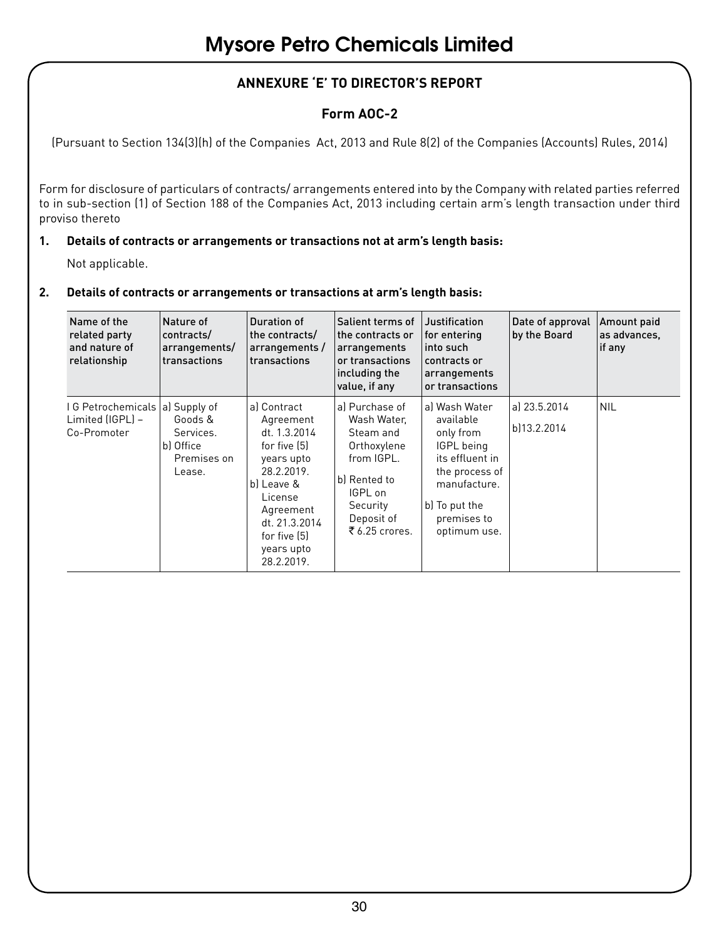# **ANNEXURE 'E' TO DIRECTOR'S REPORT**

# **Form AOC-2**

(Pursuant to Section 134(3)(h) of the Companies Act, 2013 and Rule 8(2) of the Companies (Accounts) Rules, 2014)

Form for disclosure of particulars of contracts/ arrangements entered into by the Company with related parties referred to in sub-section (1) of Section 188 of the Companies Act, 2013 including certain arm's length transaction under third proviso thereto

#### **1. Details of contracts or arrangements or transactions not at arm's length basis:**

Not applicable.

#### **2. Details of contracts or arrangements or transactions at arm's length basis:**

| Name of the<br>related party<br>and nature of<br>relationship       | Nature of<br>contracts/<br>arrangements/<br>transactions   | Duration of<br>the contracts/<br>arrangements /<br>transactions                                                                                                                         | Salient terms of<br>the contracts or<br>arrangements<br>or transactions<br>including the<br>value, if any                                      | Justification<br>for entering<br>into such<br>contracts or<br>arrangements<br>or transactions                                                              | Date of approval<br>by the Board | Amount paid<br>as advances,<br>if any |
|---------------------------------------------------------------------|------------------------------------------------------------|-----------------------------------------------------------------------------------------------------------------------------------------------------------------------------------------|------------------------------------------------------------------------------------------------------------------------------------------------|------------------------------------------------------------------------------------------------------------------------------------------------------------|----------------------------------|---------------------------------------|
| I G Petrochemicals (a) Supply of<br>Limited (IGPL) -<br>Co-Promoter | Goods &<br>Services.<br>b) Office<br>Premises on<br>Lease. | al Contract<br>Agreement<br>dt. 1.3.2014<br>for five [5]<br>years upto<br>28.2.2019.<br>bl Leave &<br>License<br>Agreement<br>dt. 21.3.2014<br>for five [5]<br>years upto<br>28.2.2019. | al Purchase of<br>Wash Water.<br>Steam and<br>Orthoxylene<br>from IGPL.<br>b) Rented to<br>IGPL on<br>Security<br>Deposit of<br>₹ 6.25 crores. | al Wash Water<br>available<br>only from<br>IGPL being<br>its effluent in<br>the process of<br>manufacture.<br>b) To put the<br>premises to<br>optimum use. | al 23.5.2014<br>bl13.2.2014      | <b>NIL</b>                            |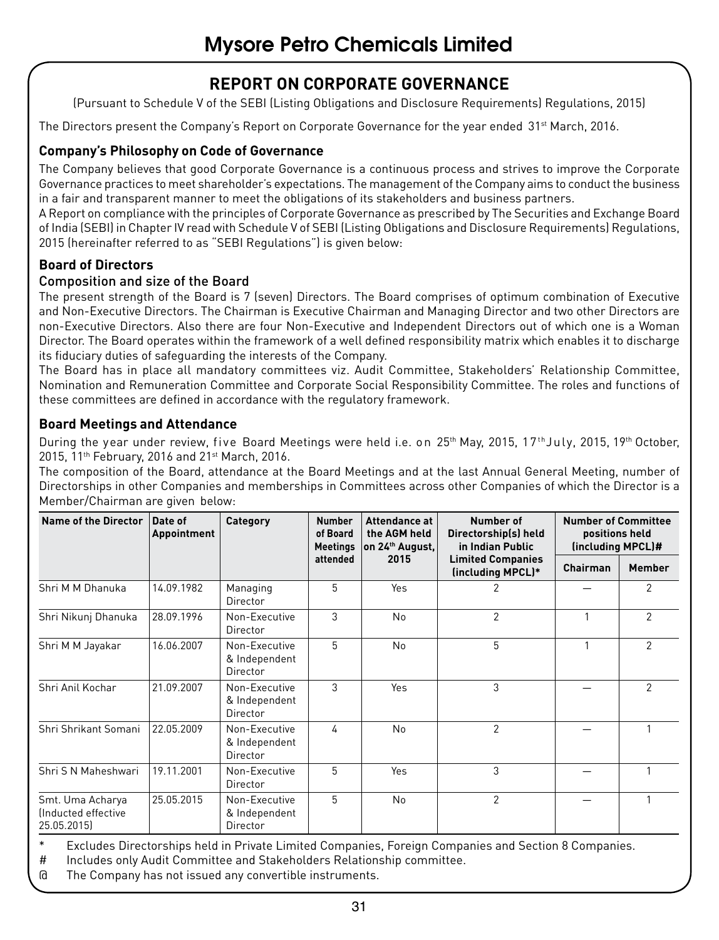# **REPORT ON CORPORATE GOVERNANCE**

(Pursuant to Schedule V of the SEBI (Listing Obligations and Disclosure Requirements) Regulations, 2015)

The Directors present the Company's Report on Corporate Governance for the year ended 31<sup>st</sup> March, 2016.

### **Company's Philosophy on Code of Governance**

The Company believes that good Corporate Governance is a continuous process and strives to improve the Corporate Governance practices to meet shareholder's expectations. The management of the Company aims to conduct the business in a fair and transparent manner to meet the obligations of its stakeholders and business partners.

A Report on compliance with the principles of Corporate Governance as prescribed by The Securities and Exchange Board of India (SEBI) in Chapter IV read with Schedule V of SEBI (Listing Obligations and Disclosure Requirements) Regulations, 2015 (hereinafter referred to as "SEBI Regulations") is given below:

#### **Board of Directors**

#### Composition and size of the Board

The present strength of the Board is 7 (seven) Directors. The Board comprises of optimum combination of Executive and Non-Executive Directors. The Chairman is Executive Chairman and Managing Director and two other Directors are non-Executive Directors. Also there are four Non-Executive and Independent Directors out of which one is a Woman Director. The Board operates within the framework of a well defined responsibility matrix which enables it to discharge its fiduciary duties of safeguarding the interests of the Company.

The Board has in place all mandatory committees viz. Audit Committee, Stakeholders' Relationship Committee, Nomination and Remuneration Committee and Corporate Social Responsibility Committee. The roles and functions of these committees are defined in accordance with the regulatory framework.

#### **Board Meetings and Attendance**

During the year under review, five Board Meetings were held i.e. on 25<sup>th</sup> May, 2015, 17<sup>th</sup>July, 2015, 19<sup>th</sup> October, 2015, 11<sup>th</sup> February, 2016 and 21<sup>st</sup> March, 2016.

The composition of the Board, attendance at the Board Meetings and at the last Annual General Meeting, number of Directorships in other Companies and memberships in Committees across other Companies of which the Director is a Member/Chairman are given below:

| Name of the Director                                  | Date of<br>Appointment | Category                                   | <b>Number</b><br>of Board<br>Meetings | Attendance at<br>the AGM held<br>on 24th August, | Number of<br>Directorship(s) held<br>in Indian Public | <b>Number of Committee</b><br>positions held<br>(including MPCL)# |                |
|-------------------------------------------------------|------------------------|--------------------------------------------|---------------------------------------|--------------------------------------------------|-------------------------------------------------------|-------------------------------------------------------------------|----------------|
|                                                       |                        |                                            | attended                              | 2015                                             | <b>Limited Companies</b><br>(including MPCL)*         | Chairman                                                          | <b>Member</b>  |
| Shri M M Dhanuka                                      | 14.09.1982             | Managing<br>Director                       | 5                                     | Yes                                              | 2                                                     |                                                                   | $\overline{c}$ |
| Shri Nikunj Dhanuka                                   | 28.09.1996             | Non-Executive<br>Director                  | 3                                     | No                                               | $\overline{2}$                                        | 1                                                                 | $\mathcal{P}$  |
| Shri M M Jayakar                                      | 16.06.2007             | Non-Executive<br>& Independent<br>Director | 5                                     | No                                               | 5                                                     |                                                                   | $\mathcal{P}$  |
| Shri Anil Kochar                                      | 21.09.2007             | Non-Executive<br>& Independent<br>Director | 3                                     | Yes                                              | 3                                                     |                                                                   | $\mathfrak{p}$ |
| Shri Shrikant Somani                                  | 22.05.2009             | Non-Executive<br>& Independent<br>Director | 4                                     | N <sub>0</sub>                                   | $\overline{2}$                                        |                                                                   |                |
| Shri S N Maheshwari                                   | 19.11.2001             | Non-Executive<br>Director                  | 5                                     | Yes                                              | 3                                                     |                                                                   |                |
| Smt. Uma Acharya<br>Inducted effective<br>25.05.2015) | 25.05.2015             | Non-Executive<br>& Independent<br>Director | 5                                     | No                                               | $\mathfrak{p}$                                        |                                                                   |                |

Excludes Directorships held in Private Limited Companies, Foreign Companies and Section 8 Companies.

# Includes only Audit Committee and Stakeholders Relationship committee.

@ The Company has not issued any convertible instruments.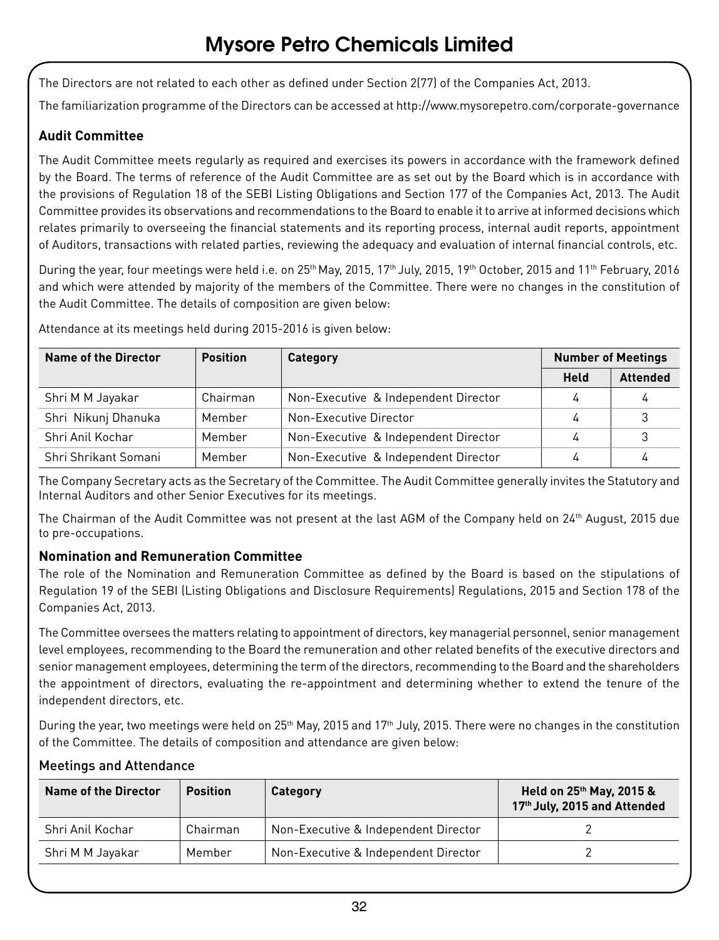The Directors are not related to each other as defined under Section 2(77) of the Companies Act, 2013.

The familiarization programme of the Directors can be accessed at http://www.mysorepetro.com/corporate-governance

### **Audit Committee**

The Audit Committee meets regularly as required and exercises its powers in accordance with the framework defined by the Board. The terms of reference of the Audit Committee are as set out by the Board which is in accordance with the provisions of Regulation 18 of the SEBI Listing Obligations and Section 177 of the Companies Act, 2013. The Audit Committee provides its observations and recommendations to the Board to enable it to arrive at informed decisions which relates primarily to overseeing the financial statements and its reporting process, internal audit reports, appointment of Auditors, transactions with related parties, reviewing the adequacy and evaluation of internal financial controls, etc.

During the year, four meetings were held i.e. on 25<sup>th</sup> May, 2015, 17<sup>th</sup> July, 2015, 19<sup>th</sup> October, 2015 and 11<sup>th</sup> February, 2016 and which were attended by majority of the members of the Committee. There were no changes in the constitution of the Audit Committee. The details of composition are given below:

Attendance at its meetings held during 2015-2016 is given below:

| <b>Name of the Director</b> | <b>Position</b> | Category                             | <b>Number of Meetings</b> |                 |
|-----------------------------|-----------------|--------------------------------------|---------------------------|-----------------|
|                             |                 |                                      | <b>Held</b>               | <b>Attended</b> |
| Shri M M Jayakar            | Chairman        | Non-Executive & Independent Director | 4                         | 4               |
| Shri Nikunj Dhanuka         | Member          | Non-Executive Director               | 4                         | 3               |
| Shri Anil Kochar            | Member          | Non-Executive & Independent Director | 4                         | 3               |
| Shri Shrikant Somani        | Member          | Non-Executive & Independent Director | 4                         | 4               |

The Company Secretary acts as the Secretary of the Committee. The Audit Committee generally invites the Statutory and Internal Auditors and other Senior Executives for its meetings.

The Chairman of the Audit Committee was not present at the last AGM of the Company held on 24<sup>th</sup> August, 2015 due to pre-occupations.

#### **Nomination and Remuneration Committee**

The role of the Nomination and Remuneration Committee as defined by the Board is based on the stipulations of Regulation 19 of the SEBI (Listing Obligations and Disclosure Requirements) Regulations, 2015 and Section 178 of the Companies Act, 2013.

The Committee oversees the matters relating to appointment of directors, key managerial personnel, senior management level employees, recommending to the Board the remuneration and other related benefits of the executive directors and senior management employees, determining the term of the directors, recommending to the Board and the shareholders the appointment of directors, evaluating the re-appointment and determining whether to extend the tenure of the independent directors, etc.

During the year, two meetings were held on 25<sup>th</sup> May, 2015 and 17<sup>th</sup> July, 2015. There were no changes in the constitution of the Committee. The details of composition and attendance are given below:

| Name of the Director | <b>Position</b> | Category                             | Held on 25th May, 2015 &<br>17th July, 2015 and Attended |
|----------------------|-----------------|--------------------------------------|----------------------------------------------------------|
| Shri Anil Kochar     | Chairman        | Non-Executive & Independent Director |                                                          |
| Shri M M Jayakar     | Member          | Non-Executive & Independent Director |                                                          |

#### Meetings and Attendance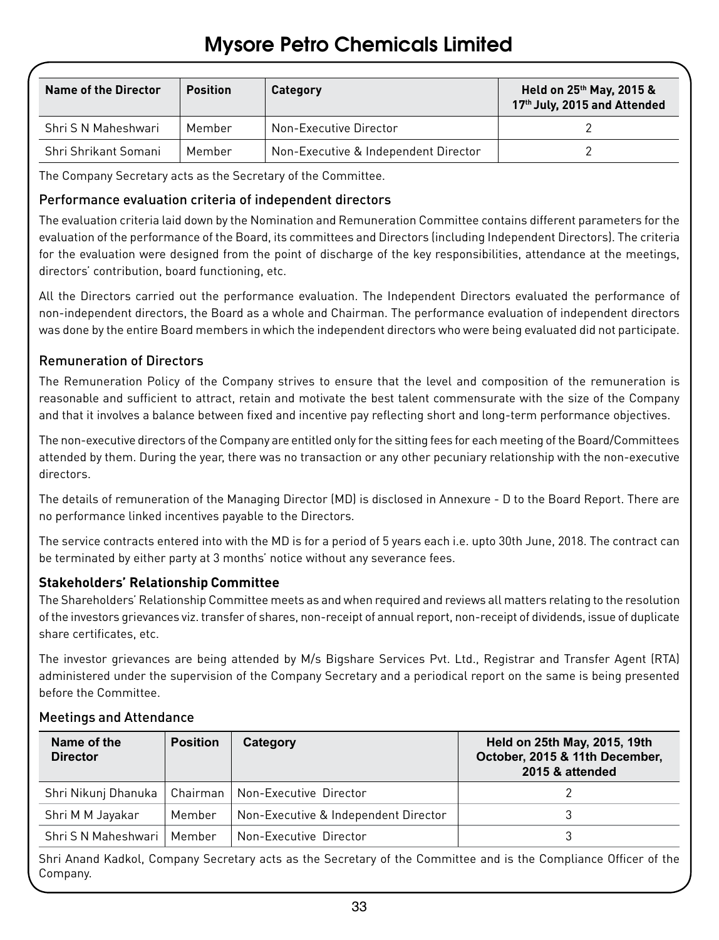| Name of the Director | <b>Position</b> | <b>Category</b>                      | Held on 25th May, 2015 &<br>17th July, 2015 and Attended |
|----------------------|-----------------|--------------------------------------|----------------------------------------------------------|
| Shri S N Maheshwari  | Member          | Non-Executive Director               |                                                          |
| Shri Shrikant Somani | Member          | Non-Executive & Independent Director |                                                          |

The Company Secretary acts as the Secretary of the Committee.

#### Performance evaluation criteria of independent directors

The evaluation criteria laid down by the Nomination and Remuneration Committee contains different parameters for the evaluation of the performance of the Board, its committees and Directors (including Independent Directors). The criteria for the evaluation were designed from the point of discharge of the key responsibilities, attendance at the meetings, directors' contribution, board functioning, etc.

All the Directors carried out the performance evaluation. The Independent Directors evaluated the performance of non-independent directors, the Board as a whole and Chairman. The performance evaluation of independent directors was done by the entire Board members in which the independent directors who were being evaluated did not participate.

#### Remuneration of Directors

The Remuneration Policy of the Company strives to ensure that the level and composition of the remuneration is reasonable and sufficient to attract, retain and motivate the best talent commensurate with the size of the Company and that it involves a balance between fixed and incentive pay reflecting short and long-term performance objectives.

The non-executive directors of the Company are entitled only for the sitting fees for each meeting of the Board/Committees attended by them. During the year, there was no transaction or any other pecuniary relationship with the non-executive directors.

The details of remuneration of the Managing Director (MD) is disclosed in Annexure - D to the Board Report. There are no performance linked incentives payable to the Directors.

The service contracts entered into with the MD is for a period of 5 years each i.e. upto 30th June, 2018. The contract can be terminated by either party at 3 months' notice without any severance fees.

#### **Stakeholders' Relationship Committee**

The Shareholders' Relationship Committee meets as and when required and reviews all matters relating to the resolution of the investors grievances viz. transfer of shares, non-receipt of annual report, non-receipt of dividends, issue of duplicate share certificates, etc.

The investor grievances are being attended by M/s Bigshare Services Pvt. Ltd., Registrar and Transfer Agent (RTA) administered under the supervision of the Company Secretary and a periodical report on the same is being presented before the Committee.

| Name of the<br><b>Director</b> | <b>Position</b> | Category                             | Held on 25th May, 2015, 19th<br>October, 2015 & 11th December,<br>2015 & attended |
|--------------------------------|-----------------|--------------------------------------|-----------------------------------------------------------------------------------|
| Shri Nikunj Dhanuka            |                 | Chairman   Non-Executive Director    |                                                                                   |
| Shri M M Jayakar               | Member          | Non-Executive & Independent Director |                                                                                   |
| Shri S N Maheshwari            | Member          | Non-Executive Director               |                                                                                   |

#### Meetings and Attendance

Shri Anand Kadkol, Company Secretary acts as the Secretary of the Committee and is the Compliance Officer of the Company.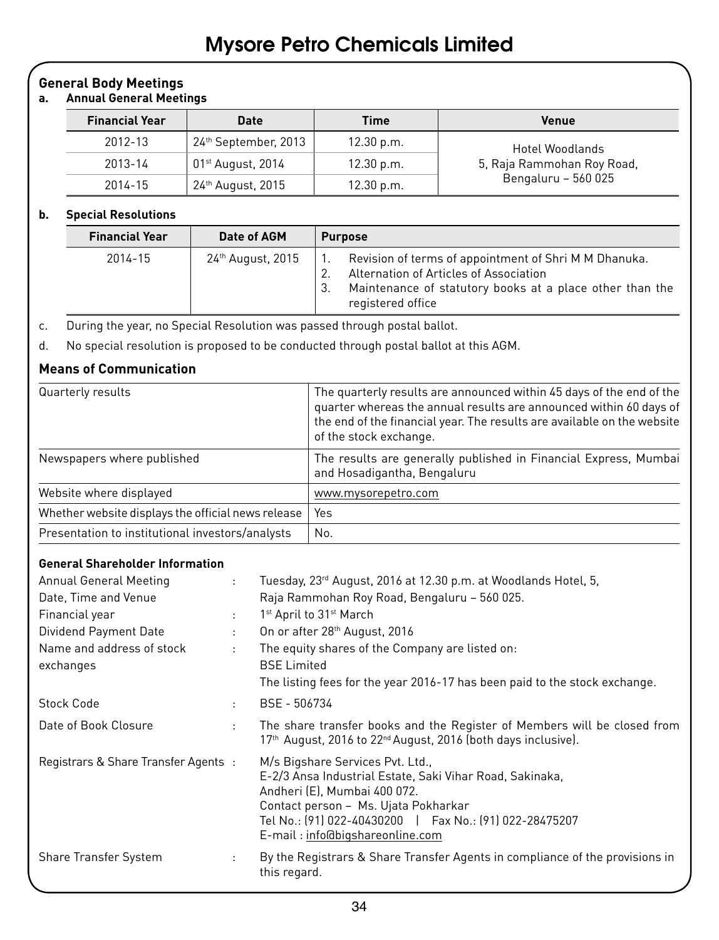#### **General Body Meetings**

#### **a. Annual General Meetings**

| <b>Financial Year</b> | <b>Date</b>                   | Time       | <b>Venue</b>               |
|-----------------------|-------------------------------|------------|----------------------------|
| 2012-13               | 24th September, 2013          | 12.30 p.m. | Hotel Woodlands            |
| 2013-14               | 01 <sup>st</sup> August, 2014 | 12.30 p.m. | 5, Raja Rammohan Roy Road, |
| 2014-15               | 24 <sup>th</sup> August, 2015 | 12.30 p.m. | Bengaluru - 560 025        |

#### **b. Special Resolutions**

| <b>Financial Year</b> | Date of AGM                   | <b>Purpose</b>                                                                                                                                                                          |
|-----------------------|-------------------------------|-----------------------------------------------------------------------------------------------------------------------------------------------------------------------------------------|
| 2014-15               | 24 <sup>th</sup> August, 2015 | Revision of terms of appointment of Shri M M Dhanuka.<br>Alternation of Articles of Association<br>Maintenance of statutory books at a place other than the<br>-3.<br>registered office |

c. During the year, no Special Resolution was passed through postal ballot.

d. No special resolution is proposed to be conducted through postal ballot at this AGM.

#### **Means of Communication**

| Quarterly results                                  | The quarterly results are announced within 45 days of the end of the<br>quarter whereas the annual results are announced within 60 days of<br>the end of the financial year. The results are available on the website<br>of the stock exchange. |
|----------------------------------------------------|-------------------------------------------------------------------------------------------------------------------------------------------------------------------------------------------------------------------------------------------------|
| Newspapers where published                         | The results are generally published in Financial Express, Mumbai<br>and Hosadigantha, Bengaluru                                                                                                                                                 |
| Website where displayed                            | www.mysorepetro.com                                                                                                                                                                                                                             |
| Whether website displays the official news release | Yes                                                                                                                                                                                                                                             |
| Presentation to institutional investors/analysts   | No.                                                                                                                                                                                                                                             |

#### **General Shareholder Information**

| Annual General Meeting<br>Date, Time and Venue<br>Financial year<br>Dividend Payment Date<br>Name and address of stock<br>exchanges | $\mathbf{r}$<br>$\mathbb{Z}^{\times}$<br>$\mathbb{Z}^{\mathbb{Z}}$<br>$\mathbf{r}$ | Tuesday, 23 <sup>rd</sup> August, 2016 at 12.30 p.m. at Woodlands Hotel, 5,<br>Raja Rammohan Roy Road, Bengaluru - 560 025.<br>1 <sup>st</sup> April to 31 <sup>st</sup> March<br>On or after 28 <sup>th</sup> August, 2016<br>The equity shares of the Company are listed on:<br><b>BSE Limited</b><br>The listing fees for the year 2016-17 has been paid to the stock exchange. |
|-------------------------------------------------------------------------------------------------------------------------------------|------------------------------------------------------------------------------------|------------------------------------------------------------------------------------------------------------------------------------------------------------------------------------------------------------------------------------------------------------------------------------------------------------------------------------------------------------------------------------|
| Stock Code                                                                                                                          | ÷.                                                                                 | BSE - 506734                                                                                                                                                                                                                                                                                                                                                                       |
| Date of Book Closure                                                                                                                | ÷.                                                                                 | The share transfer books and the Register of Members will be closed from<br>17 <sup>th</sup> August, 2016 to 22 <sup>nd</sup> August, 2016 (both days inclusive).                                                                                                                                                                                                                  |
| Registrars & Share Transfer Agents:                                                                                                 |                                                                                    | M/s Bigshare Services Pvt. Ltd.,<br>E-2/3 Ansa Industrial Estate, Saki Vihar Road, Sakinaka,<br>Andheri (E), Mumbai 400 072.<br>Contact person - Ms. Ujata Pokharkar<br>Tel No.: (91) 022-40430200   Fax No.: (91) 022-28475207<br>E-mail: info@bigshareonline.com                                                                                                                 |
| <b>Share Transfer System</b>                                                                                                        | $\mathcal{L}$                                                                      | By the Registrars & Share Transfer Agents in compliance of the provisions in<br>this regard.                                                                                                                                                                                                                                                                                       |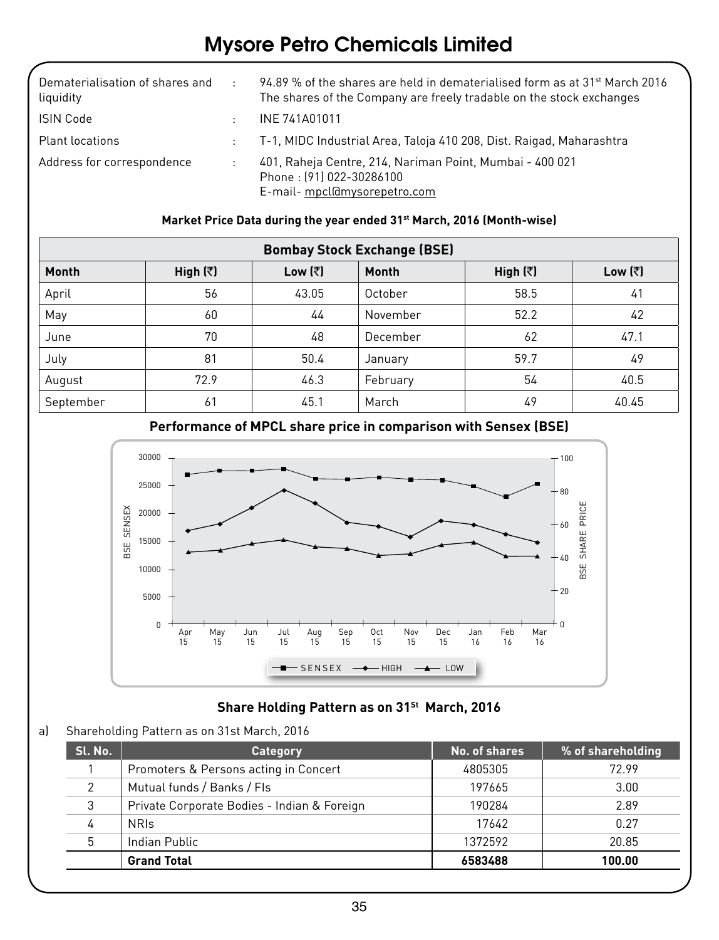| Dematerialisation of shares and<br>liquidity | $\sim$ | 94.89 % of the shares are held in dematerialised form as at $31^{st}$ March 2016<br>The shares of the Company are freely tradable on the stock exchanges |
|----------------------------------------------|--------|----------------------------------------------------------------------------------------------------------------------------------------------------------|
| ISIN Code                                    | ٠      | INE 741A01011                                                                                                                                            |
| <b>Plant locations</b>                       |        | : T-1, MIDC Industrial Area, Taloja 410 208, Dist. Raigad, Maharashtra                                                                                   |
| Address for correspondence                   |        | 401, Raheja Centre, 214, Nariman Point, Mumbai - 400 021<br>Phone: [91] 022-30286100<br>E-mail- mpcl@mysorepetro.com                                     |

#### **Market Price Data during the year ended 31st March, 2016 (Month-wise)**

| <b>Bombay Stock Exchange (BSE)</b> |                  |                 |          |                  |                 |
|------------------------------------|------------------|-----------------|----------|------------------|-----------------|
| Month                              | High $(\bar{z})$ | Low $(\bar{z})$ | Month    | High $(\bar{z})$ | Low $(\bar{z})$ |
| April                              | 56               | 43.05           | October  | 58.5             | 41              |
| May                                | 60               | 44              | November | 52.2             | 42              |
| June                               | 70               | 48              | December | 62               | 47.1            |
| July                               | 81               | 50.4            | January  | 59.7             | 49              |
| August                             | 72.9             | 46.3            | February | 54               | 40.5            |
| September                          | 61               | 45.1            | March    | 49               | 40.45           |



#### **Performance of MPCL share price in comparison with Sensex (BSE)**

#### **Share Holding Pattern as on 31st March, 2016**

#### a) Shareholding Pattern as on 31st March, 2016

| Sl. No.       | Category                                    | No. of shares | % of shareholding |
|---------------|---------------------------------------------|---------------|-------------------|
|               | Promoters & Persons acting in Concert       | 4805305       | 72.99             |
| $\mathcal{P}$ | Mutual funds / Banks / Fls                  | 197665        | 3.00              |
| 3             | Private Corporate Bodies - Indian & Foreign | 190284        | 2.89              |
| 4             | <b>NRIS</b>                                 | 17642         | 0.27              |
| 5             | Indian Public                               | 1372592       | 20.85             |
|               | <b>Grand Total</b>                          | 6583488       | 100.00            |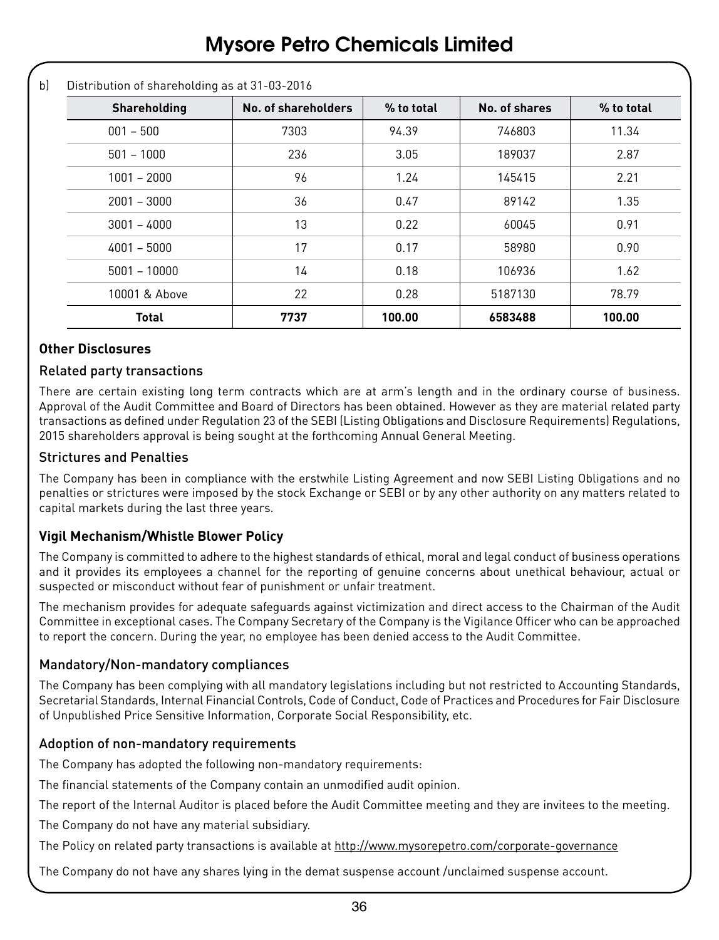b) Distribution of shareholding as at 31-03-2016

| Shareholding   | No. of shareholders | % to total | No. of shares | % to total |
|----------------|---------------------|------------|---------------|------------|
| $001 - 500$    | 7303                | 94.39      | 746803        | 11.34      |
| $501 - 1000$   | 236                 | 3.05       | 189037        | 2.87       |
| $1001 - 2000$  | 96                  | 1.24       | 145415        | 2.21       |
| $2001 - 3000$  | 36                  | 0.47       | 89142         | 1.35       |
| $3001 - 4000$  | 13                  | 0.22       | 60045         | 0.91       |
| $4001 - 5000$  | 17                  | 0.17       | 58980         | 0.90       |
| $5001 - 10000$ | 14                  | 0.18       | 106936        | 1.62       |
| 10001 & Above  | 22                  | 0.28       | 5187130       | 78.79      |
| <b>Total</b>   | 7737                | 100.00     | 6583488       | 100.00     |

#### **Other Disclosures**

#### Related party transactions

There are certain existing long term contracts which are at arm's length and in the ordinary course of business. Approval of the Audit Committee and Board of Directors has been obtained. However as they are material related party transactions as defined under Regulation 23 of the SEBI (Listing Obligations and Disclosure Requirements) Regulations, 2015 shareholders approval is being sought at the forthcoming Annual General Meeting.

#### Strictures and Penalties

The Company has been in compliance with the erstwhile Listing Agreement and now SEBI Listing Obligations and no penalties or strictures were imposed by the stock Exchange or SEBI or by any other authority on any matters related to capital markets during the last three years.

#### **Vigil Mechanism/Whistle Blower Policy**

The Company is committed to adhere to the highest standards of ethical, moral and legal conduct of business operations and it provides its employees a channel for the reporting of genuine concerns about unethical behaviour, actual or suspected or misconduct without fear of punishment or unfair treatment.

The mechanism provides for adequate safeguards against victimization and direct access to the Chairman of the Audit Committee in exceptional cases. The Company Secretary of the Company is the Vigilance Officer who can be approached to report the concern. During the year, no employee has been denied access to the Audit Committee.

#### Mandatory/Non-mandatory compliances

The Company has been complying with all mandatory legislations including but not restricted to Accounting Standards, Secretarial Standards, Internal Financial Controls, Code of Conduct, Code of Practices and Procedures for Fair Disclosure of Unpublished Price Sensitive Information, Corporate Social Responsibility, etc.

#### Adoption of non-mandatory requirements

The Company has adopted the following non-mandatory requirements:

The financial statements of the Company contain an unmodified audit opinion.

The report of the Internal Auditor is placed before the Audit Committee meeting and they are invitees to the meeting.

The Company do not have any material subsidiary.

The Policy on related party transactions is available at http://www.mysorepetro.com/corporate-governance

The Company do not have any shares lying in the demat suspense account /unclaimed suspense account.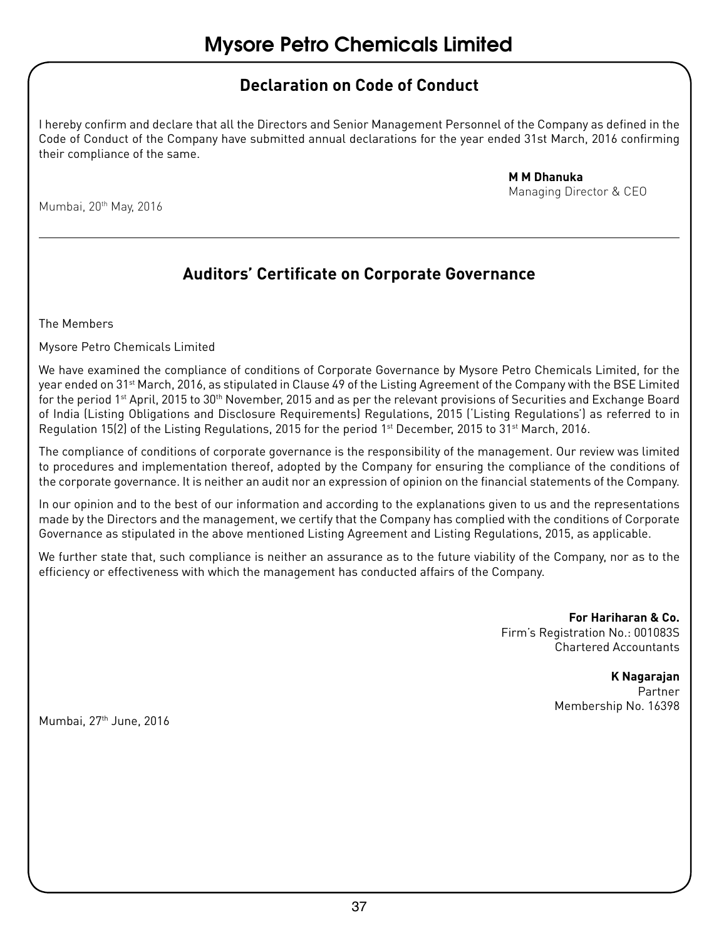### **Declaration on Code of Conduct**

I hereby confirm and declare that all the Directors and Senior Management Personnel of the Company as defined in the Code of Conduct of the Company have submitted annual declarations for the year ended 31st March, 2016 confirming their compliance of the same.

> **M M Dhanuka** Managing Director & CEO

Mumbai, 20<sup>th</sup> May, 2016

### **Auditors' Certificate on Corporate Governance**

The Members

Mysore Petro Chemicals Limited

We have examined the compliance of conditions of Corporate Governance by Mysore Petro Chemicals Limited, for the year ended on 31st March, 2016, as stipulated in Clause 49 of the Listing Agreement of the Company with the BSE Limited for the period 1<sup>st</sup> April, 2015 to 30<sup>th</sup> November, 2015 and as per the relevant provisions of Securities and Exchange Board of India (Listing Obligations and Disclosure Requirements) Regulations, 2015 ('Listing Regulations') as referred to in Regulation 15(2) of the Listing Regulations, 2015 for the period 1st December, 2015 to 31st March, 2016.

The compliance of conditions of corporate governance is the responsibility of the management. Our review was limited to procedures and implementation thereof, adopted by the Company for ensuring the compliance of the conditions of the corporate governance. It is neither an audit nor an expression of opinion on the financial statements of the Company.

In our opinion and to the best of our information and according to the explanations given to us and the representations made by the Directors and the management, we certify that the Company has complied with the conditions of Corporate Governance as stipulated in the above mentioned Listing Agreement and Listing Regulations, 2015, as applicable.

We further state that, such compliance is neither an assurance as to the future viability of the Company, nor as to the efficiency or effectiveness with which the management has conducted affairs of the Company.

> **For Hariharan & Co.** Firm's Registration No.: 001083S Chartered Accountants

#### **K Nagarajan**

Partner Membership No. 16398

Mumbai, 27<sup>th</sup> June, 2016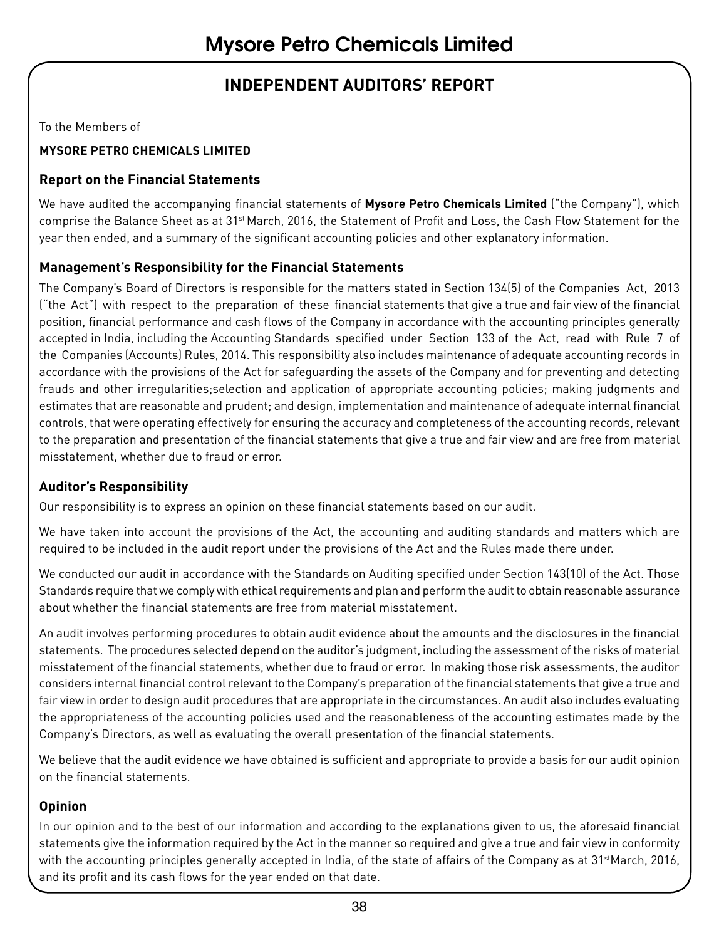### **INDEPENDENT AUDITORS' REPORT**

To the Members of

#### **MYSORE PETRO CHEMICALS LIMITED**

#### **Report on the Financial Statements**

We have audited the accompanying financial statements of **Mysore Petro Chemicals Limited** ("the Company"), which comprise the Balance Sheet as at 31<sup>st</sup> March, 2016, the Statement of Profit and Loss, the Cash Flow Statement for the year then ended, and a summary of the significant accounting policies and other explanatory information.

#### **Management's Responsibility for the Financial Statements**

The Company's Board of Directors is responsible for the matters stated in Section 134(5) of the Companies Act, 2013 ("the Act") with respect to the preparation of these financial statements that give a true and fair view of the financial position, financial performance and cash flows of the Company in accordance with the accounting principles generally accepted in India, including the Accounting Standards specified under Section 133 of the Act, read with Rule 7 of the Companies (Accounts) Rules, 2014. This responsibility also includes maintenance of adequate accounting records in accordance with the provisions of the Act for safeguarding the assets of the Company and for preventing and detecting frauds and other irregularities;selection and application of appropriate accounting policies; making judgments and estimates that are reasonable and prudent; and design, implementation and maintenance of adequate internal financial controls, that were operating effectively for ensuring the accuracy and completeness of the accounting records, relevant to the preparation and presentation of the financial statements that give a true and fair view and are free from material misstatement, whether due to fraud or error.

#### **Auditor's Responsibility**

Our responsibility is to express an opinion on these financial statements based on our audit.

We have taken into account the provisions of the Act, the accounting and auditing standards and matters which are required to be included in the audit report under the provisions of the Act and the Rules made there under.

We conducted our audit in accordance with the Standards on Auditing specified under Section 143(10) of the Act. Those Standards require that we comply with ethical requirements and plan and perform the audit to obtain reasonable assurance about whether the financial statements are free from material misstatement.

An audit involves performing procedures to obtain audit evidence about the amounts and the disclosures in the financial statements. The procedures selected depend on the auditor's judgment, including the assessment of the risks of material misstatement of the financial statements, whether due to fraud or error. In making those risk assessments, the auditor considers internal financial control relevant to the Company's preparation of the financial statements that give a true and fair view in order to design audit procedures that are appropriate in the circumstances. An audit also includes evaluating the appropriateness of the accounting policies used and the reasonableness of the accounting estimates made by the Company's Directors, as well as evaluating the overall presentation of the financial statements.

We believe that the audit evidence we have obtained is sufficient and appropriate to provide a basis for our audit opinion on the financial statements.

#### **Opinion**

In our opinion and to the best of our information and according to the explanations given to us, the aforesaid financial statements give the information required by the Act in the manner so required and give a true and fair view in conformity with the accounting principles generally accepted in India, of the state of affairs of the Company as at 31<sup>st</sup>March, 2016, and its profit and its cash flows for the year ended on that date.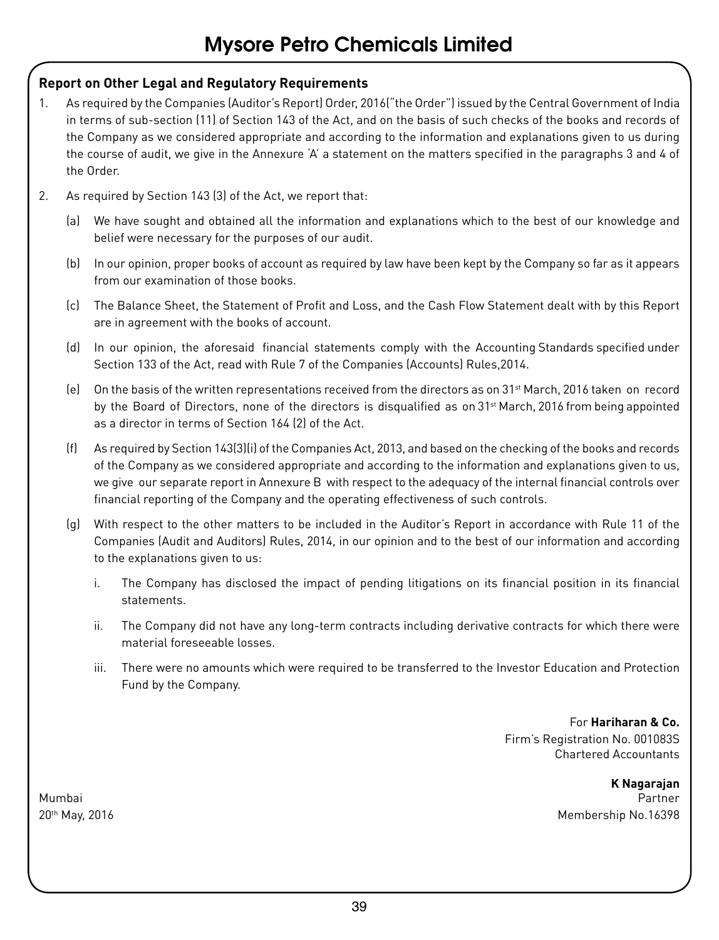#### **Report on Other Legal and Regulatory Requirements**

- 1. As required by the Companies (Auditor's Report) Order, 2016("the Order") issued by the Central Government of India in terms of sub-section (11) of Section 143 of the Act, and on the basis of such checks of the books and records of the Company as we considered appropriate and according to the information and explanations given to us during the course of audit, we give in the Annexure 'A' a statement on the matters specified in the paragraphs 3 and 4 of the Order.
- 2. As required by Section 143 (3) of the Act, we report that:
	- (a) We have sought and obtained all the information and explanations which to the best of our knowledge and belief were necessary for the purposes of our audit.
	- (b) In our opinion, proper books of account as required by law have been kept by the Company so far as it appears from our examination of those books.
	- (c) The Balance Sheet, the Statement of Profit and Loss, and the Cash Flow Statement dealt with by this Report are in agreement with the books of account.
	- (d) In our opinion, the aforesaid financial statements comply with the Accounting Standards specified under Section 133 of the Act, read with Rule 7 of the Companies (Accounts) Rules,2014.
	- (e) On the basis of the written representations received from the directors as on 31st March, 2016 taken on record by the Board of Directors, none of the directors is disqualified as on 31st March, 2016 from being appointed as a director in terms of Section 164 (2) of the Act.
	- (f) As required by Section 143(3)(i) of the Companies Act, 2013, and based on the checking of the books and records of the Company as we considered appropriate and according to the information and explanations given to us, we give our separate report in Annexure B with respect to the adequacy of the internal financial controls over financial reporting of the Company and the operating effectiveness of such controls.
	- (g) With respect to the other matters to be included in the Auditor's Report in accordance with Rule 11 of the Companies (Audit and Auditors) Rules, 2014, in our opinion and to the best of our information and according to the explanations given to us:
		- i. The Company has disclosed the impact of pending litigations on its financial position in its financial statements.
		- ii. The Company did not have any long-term contracts including derivative contracts for which there were material foreseeable losses.
		- iii. There were no amounts which were required to be transferred to the Investor Education and Protection Fund by the Company.

For **Hariharan & Co.** Firm's Registration No. 001083S Chartered Accountants

**K Nagarajan** Mumbai Partner 20th May, 2016 Membership No.16398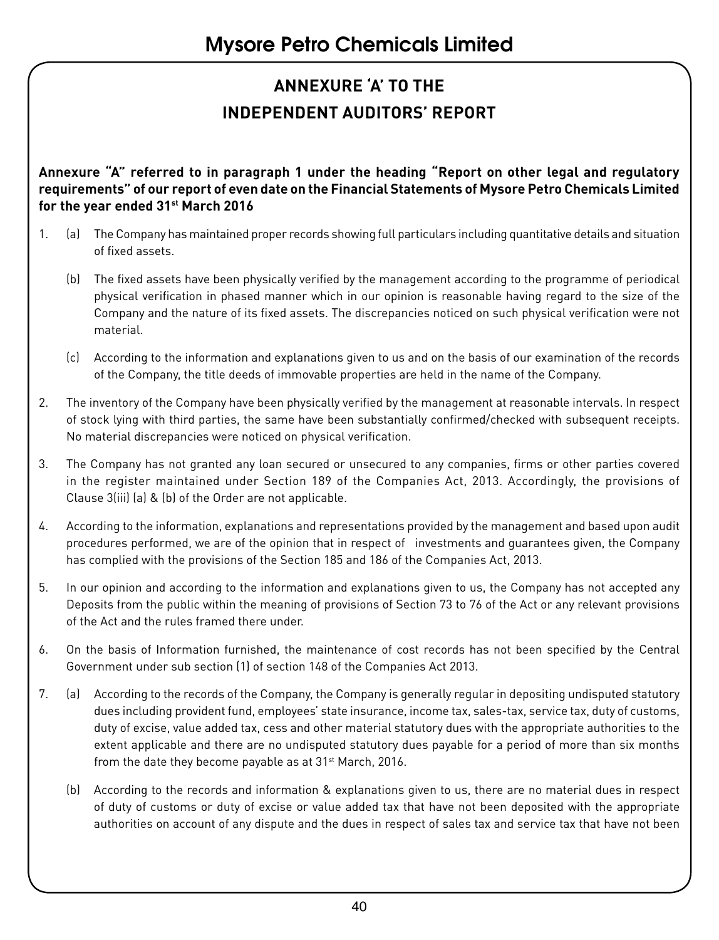## **ANNEXURE 'A' TO THE INDEPENDENT AUDITORS' REPORT**

**Annexure "A" referred to in paragraph 1 under the heading "Report on other legal and regulatory requirements" of our report of even date on the Financial Statements of Mysore Petro Chemicals Limited for the year ended 31st March 2016**

- 1. (a) The Company has maintained proper records showing full particulars including quantitative details and situation of fixed assets.
	- (b) The fixed assets have been physically verified by the management according to the programme of periodical physical verification in phased manner which in our opinion is reasonable having regard to the size of the Company and the nature of its fixed assets. The discrepancies noticed on such physical verification were not material.
	- (c) According to the information and explanations given to us and on the basis of our examination of the records of the Company, the title deeds of immovable properties are held in the name of the Company.
- 2. The inventory of the Company have been physically verified by the management at reasonable intervals. In respect of stock lying with third parties, the same have been substantially confirmed/checked with subsequent receipts. No material discrepancies were noticed on physical verification.
- 3. The Company has not granted any loan secured or unsecured to any companies, firms or other parties covered in the register maintained under Section 189 of the Companies Act, 2013. Accordingly, the provisions of Clause 3(iii) (a) & (b) of the Order are not applicable.
- 4. According to the information, explanations and representations provided by the management and based upon audit procedures performed, we are of the opinion that in respect of investments and guarantees given, the Company has complied with the provisions of the Section 185 and 186 of the Companies Act, 2013.
- 5. In our opinion and according to the information and explanations given to us, the Company has not accepted any Deposits from the public within the meaning of provisions of Section 73 to 76 of the Act or any relevant provisions of the Act and the rules framed there under.
- 6. On the basis of Information furnished, the maintenance of cost records has not been specified by the Central Government under sub section (1) of section 148 of the Companies Act 2013.
- 7. (a) According to the records of the Company, the Company is generally regular in depositing undisputed statutory dues including provident fund, employees' state insurance, income tax, sales-tax, service tax, duty of customs, duty of excise, value added tax, cess and other material statutory dues with the appropriate authorities to the extent applicable and there are no undisputed statutory dues payable for a period of more than six months from the date they become payable as at 31<sup>st</sup> March, 2016.
	- (b) According to the records and information & explanations given to us, there are no material dues in respect of duty of customs or duty of excise or value added tax that have not been deposited with the appropriate authorities on account of any dispute and the dues in respect of sales tax and service tax that have not been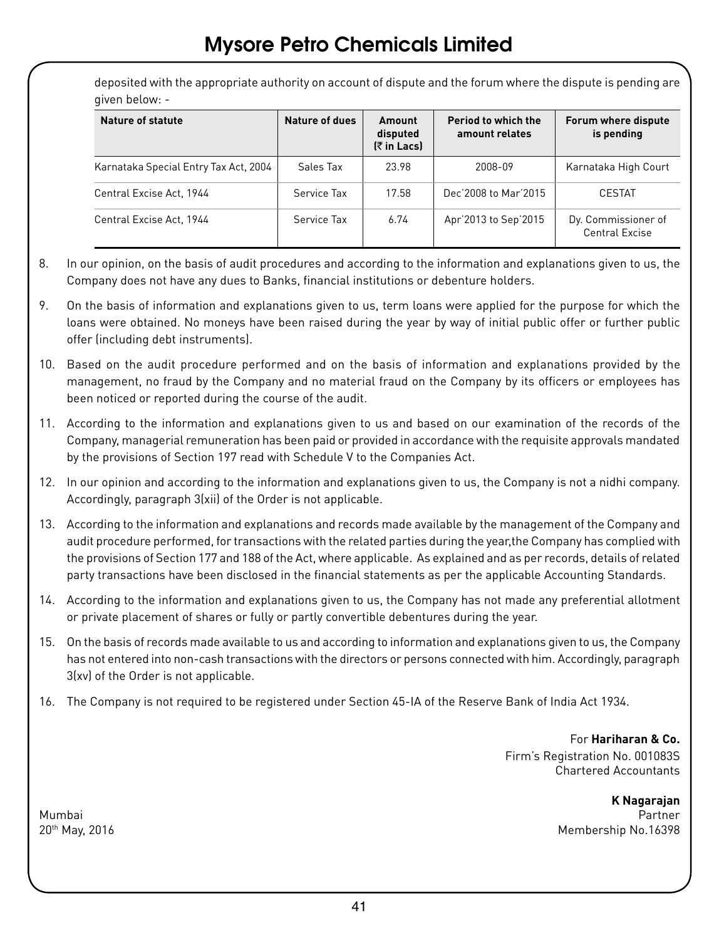deposited with the appropriate authority on account of dispute and the forum where the dispute is pending are given below: -

| Nature of statute                     | Nature of dues | Amount<br>disputed<br><b>(₹in Lacs)</b> | Period to which the<br>amount relates | Forum where dispute<br>is pending            |
|---------------------------------------|----------------|-----------------------------------------|---------------------------------------|----------------------------------------------|
| Karnataka Special Entry Tax Act, 2004 | Sales Tax      | 23.98                                   | 2008-09                               | Karnataka High Court                         |
| Central Excise Act, 1944              | Service Tax    | 17.58                                   | Dec'2008 to Mar'2015                  | <b>CESTAT</b>                                |
| Central Excise Act. 1944              | Service Tax    | 6.74                                    | Apr'2013 to Sep'2015                  | Dy. Commissioner of<br><b>Central Excise</b> |

- 8. In our opinion, on the basis of audit procedures and according to the information and explanations given to us, the Company does not have any dues to Banks, financial institutions or debenture holders.
- 9. On the basis of information and explanations given to us, term loans were applied for the purpose for which the loans were obtained. No moneys have been raised during the year by way of initial public offer or further public offer (including debt instruments).
- 10. Based on the audit procedure performed and on the basis of information and explanations provided by the management, no fraud by the Company and no material fraud on the Company by its officers or employees has been noticed or reported during the course of the audit.
- 11. According to the information and explanations given to us and based on our examination of the records of the Company, managerial remuneration has been paid or provided in accordance with the requisite approvals mandated by the provisions of Section 197 read with Schedule V to the Companies Act.
- 12. In our opinion and according to the information and explanations given to us, the Company is not a nidhi company. Accordingly, paragraph 3(xii) of the Order is not applicable.
- 13. According to the information and explanations and records made available by the management of the Company and audit procedure performed, for transactions with the related parties during the year,the Company has complied with the provisions of Section 177 and 188 of the Act, where applicable. As explained and as per records, details of related party transactions have been disclosed in the financial statements as per the applicable Accounting Standards.
- 14. According to the information and explanations given to us, the Company has not made any preferential allotment or private placement of shares or fully or partly convertible debentures during the year.
- 15. On the basis of records made available to us and according to information and explanations given to us, the Company has not entered into non-cash transactions with the directors or persons connected with him. Accordingly, paragraph 3(xv) of the Order is not applicable.
- 16. The Company is not required to be registered under Section 45-IA of the Reserve Bank of India Act 1934.

For **Hariharan & Co.** Firm's Registration No. 001083S Chartered Accountants

**K Nagarajan** Mumbai Partner 20th May, 2016 Membership No.16398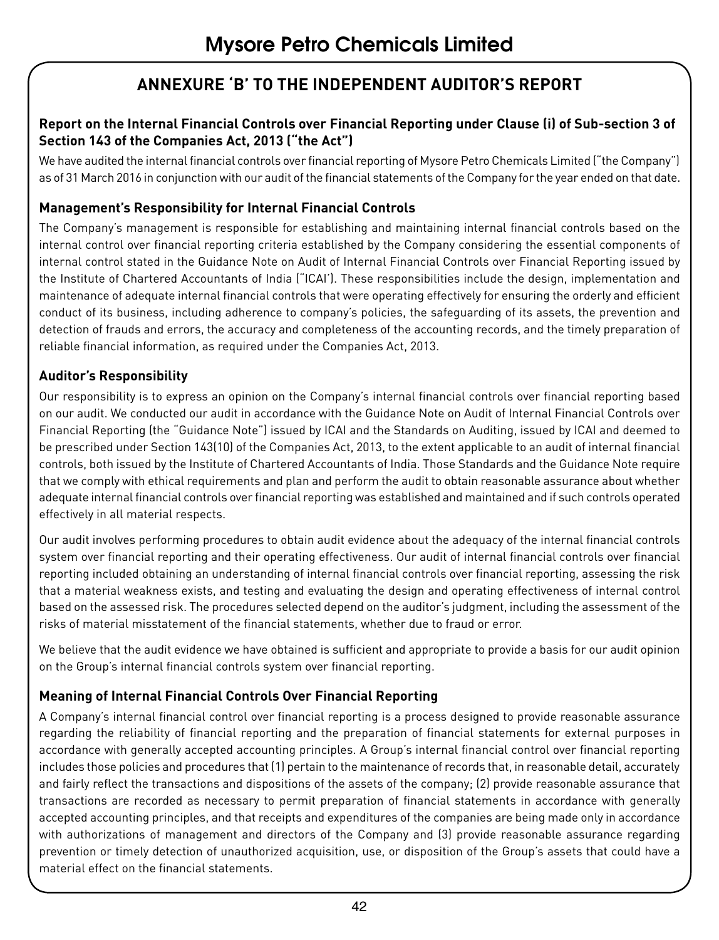### **ANNEXURE 'B' TO THE INDEPENDENT AUDITOR'S REPORT**

#### **Report on the Internal Financial Controls over Financial Reporting under Clause (i) of Sub-section 3 of Section 143 of the Companies Act, 2013 ("the Act")**

We have audited the internal financial controls over financial reporting of Mysore Petro Chemicals Limited ("the Company") as of 31 March 2016 in conjunction with our audit of the financial statements of the Company for the year ended on that date.

#### **Management's Responsibility for Internal Financial Controls**

The Company's management is responsible for establishing and maintaining internal financial controls based on the internal control over financial reporting criteria established by the Company considering the essential components of internal control stated in the Guidance Note on Audit of Internal Financial Controls over Financial Reporting issued by the Institute of Chartered Accountants of India ("ICAI'). These responsibilities include the design, implementation and maintenance of adequate internal financial controls that were operating effectively for ensuring the orderly and efficient conduct of its business, including adherence to company's policies, the safeguarding of its assets, the prevention and detection of frauds and errors, the accuracy and completeness of the accounting records, and the timely preparation of reliable financial information, as required under the Companies Act, 2013.

#### **Auditor's Responsibility**

Our responsibility is to express an opinion on the Company's internal financial controls over financial reporting based on our audit. We conducted our audit in accordance with the Guidance Note on Audit of Internal Financial Controls over Financial Reporting (the "Guidance Note") issued by ICAI and the Standards on Auditing, issued by ICAI and deemed to be prescribed under Section 143(10) of the Companies Act, 2013, to the extent applicable to an audit of internal financial controls, both issued by the Institute of Chartered Accountants of India. Those Standards and the Guidance Note require that we comply with ethical requirements and plan and perform the audit to obtain reasonable assurance about whether adequate internal financial controls over financial reporting was established and maintained and if such controls operated effectively in all material respects.

Our audit involves performing procedures to obtain audit evidence about the adequacy of the internal financial controls system over financial reporting and their operating effectiveness. Our audit of internal financial controls over financial reporting included obtaining an understanding of internal financial controls over financial reporting, assessing the risk that a material weakness exists, and testing and evaluating the design and operating effectiveness of internal control based on the assessed risk. The procedures selected depend on the auditor's judgment, including the assessment of the risks of material misstatement of the financial statements, whether due to fraud or error.

We believe that the audit evidence we have obtained is sufficient and appropriate to provide a basis for our audit opinion on the Group's internal financial controls system over financial reporting.

#### **Meaning of Internal Financial Controls Over Financial Reporting**

A Company's internal financial control over financial reporting is a process designed to provide reasonable assurance regarding the reliability of financial reporting and the preparation of financial statements for external purposes in accordance with generally accepted accounting principles. A Group's internal financial control over financial reporting includes those policies and procedures that (1) pertain to the maintenance of records that, in reasonable detail, accurately and fairly reflect the transactions and dispositions of the assets of the company; (2) provide reasonable assurance that transactions are recorded as necessary to permit preparation of financial statements in accordance with generally accepted accounting principles, and that receipts and expenditures of the companies are being made only in accordance with authorizations of management and directors of the Company and (3) provide reasonable assurance regarding prevention or timely detection of unauthorized acquisition, use, or disposition of the Group's assets that could have a material effect on the financial statements.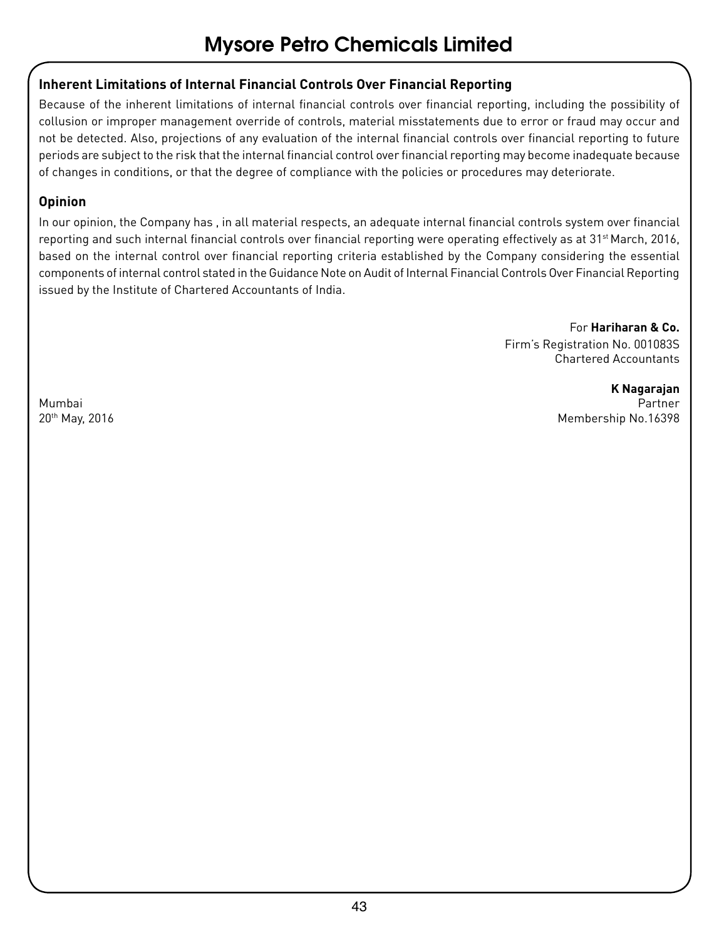#### **Inherent Limitations of Internal Financial Controls Over Financial Reporting**

Because of the inherent limitations of internal financial controls over financial reporting, including the possibility of collusion or improper management override of controls, material misstatements due to error or fraud may occur and not be detected. Also, projections of any evaluation of the internal financial controls over financial reporting to future periods are subject to the risk that the internal financial control over financial reporting may become inadequate because of changes in conditions, or that the degree of compliance with the policies or procedures may deteriorate.

#### **Opinion**

In our opinion, the Company has , in all material respects, an adequate internal financial controls system over financial reporting and such internal financial controls over financial reporting were operating effectively as at 31<sup>st</sup> March, 2016, based on the internal control over financial reporting criteria established by the Company considering the essential components of internal control stated in the Guidance Note on Audit of Internal Financial Controls Over Financial Reporting issued by the Institute of Chartered Accountants of India.

> For **Hariharan & Co.** Firm's Registration No. 001083S Chartered Accountants

**K Nagarajan** Mumbai Partner 20th May, 2016 Membership No.16398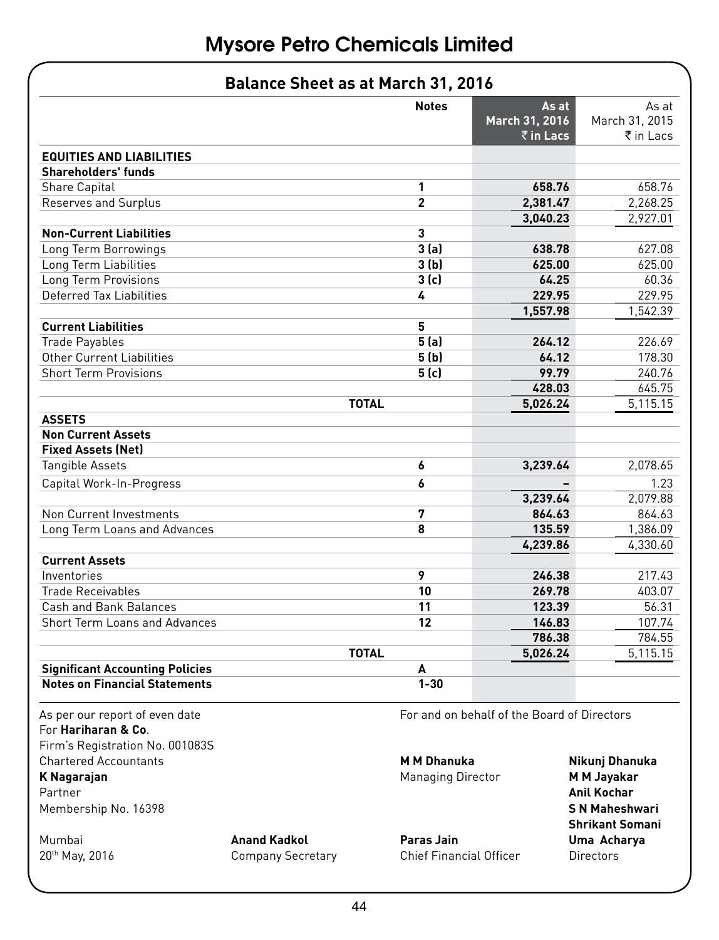| <b>Balance Sheet as at March 31, 2016</b> |                |                                              |                                      |
|-------------------------------------------|----------------|----------------------------------------------|--------------------------------------|
|                                           | <b>Notes</b>   | As at<br>March 31, 2016<br>$\bar{z}$ in Lacs | As at<br>March 31, 2015<br>₹ in Lacs |
| <b>EQUITIES AND LIABILITIES</b>           |                |                                              |                                      |
| <b>Shareholders' funds</b>                |                |                                              |                                      |
| <b>Share Capital</b>                      | 1              | 658.76                                       | 658.76                               |
| Reserves and Surplus                      | $\overline{2}$ | 2,381.47                                     | 2,268.25                             |
|                                           |                | 3,040.23                                     | 2,927.01                             |
| <b>Non-Current Liabilities</b>            | 3              |                                              |                                      |
| Long Term Borrowings                      | 3(a)           | 638.78                                       | 627.08                               |
| Long Term Liabilities                     | 3(b)           | 625.00                                       | 625.00                               |
| Long Term Provisions                      | 3(c)           | 64.25                                        | 60.36                                |
| Deferred Tax Liabilities                  | 4              | 229.95                                       | 229.95                               |
|                                           |                | 1,557.98                                     | 1,542.39                             |
| <b>Current Liabilities</b>                | 5              |                                              |                                      |
| <b>Trade Payables</b>                     | 5(a)           | 264.12                                       | 226.69                               |
| <b>Other Current Liabilities</b>          | 5(b)           | 64.12                                        | 178.30                               |
| <b>Short Term Provisions</b>              | 5(c)           | 99.79                                        | 240.76                               |
|                                           |                | 428.03                                       | 645.75                               |
|                                           | <b>TOTAL</b>   | 5,026.24                                     | 5,115.15                             |
| <b>ASSETS</b>                             |                |                                              |                                      |
| <b>Non Current Assets</b>                 |                |                                              |                                      |
| <b>Fixed Assets (Net)</b>                 |                |                                              |                                      |
| <b>Tangible Assets</b>                    | 6              | 3,239.64                                     | 2,078.65                             |
| Capital Work-In-Progress                  | 6              |                                              | 1.23                                 |
|                                           |                | 3,239.64                                     | 2,079.88                             |
| Non Current Investments                   | 7              | 864.63                                       | 864.63                               |
| Long Term Loans and Advances              | 8              | 135.59                                       | 1,386.09                             |
|                                           |                | 4,239.86                                     | 4,330.60                             |
| <b>Current Assets</b>                     |                |                                              |                                      |
| Inventories                               | 9              | 246.38                                       | 217.43                               |
| <b>Trade Receivables</b>                  | 10             | 269.78                                       | 403.07                               |
| Cash and Bank Balances                    | 11             | 123.39                                       | 56.31                                |
| <b>Short Term Loans and Advances</b>      | 12             | 146.83                                       | 107.74                               |
|                                           |                | 786.38                                       | 784.55                               |
|                                           | <b>TOTAL</b>   | 5,026.24                                     | 5,115.15                             |
| <b>Significant Accounting Policies</b>    | A              |                                              |                                      |
| <b>Notes on Financial Statements</b>      | $1 - 30$       |                                              |                                      |

For **Hariharan & Co**. Firm's Registration No. 001083S Chartered Accountants **M M Dhanuka Nikunj Dhanuka** Partner **Anil Kochar** Membership No. 16398 **S N Maheshwari**

As per our report of even date For and on behalf of the Board of Directors

**Managing Director MM Jayakar** 

Mumbai **Anand Kadkol Paras Jain Uma Acharya** 20th May, 2016 Company Secretary Chief Financial Officer Directors

 **Shrikant Somani**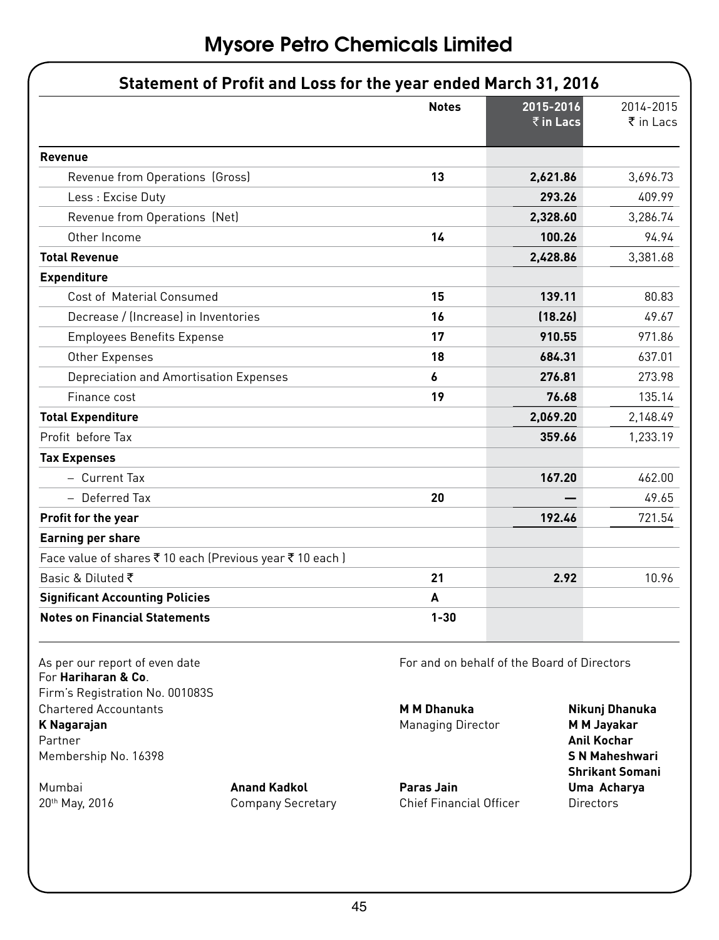|                                                                   | <b>Notes</b>                                | 2015-2016            | 2014-2015                         |
|-------------------------------------------------------------------|---------------------------------------------|----------------------|-----------------------------------|
|                                                                   |                                             | $\bar{\tau}$ in Lacs | ₹ in Lacs                         |
| Revenue                                                           |                                             |                      |                                   |
| Revenue from Operations (Gross)                                   | 13                                          | 2,621.86             | 3,696.73                          |
| Less : Excise Duty                                                |                                             | 293.26               | 409.99                            |
| Revenue from Operations (Net)                                     |                                             | 2,328.60             | 3,286.74                          |
| Other Income                                                      | 14                                          | 100.26               | 94.94                             |
| <b>Total Revenue</b>                                              |                                             | 2,428.86             | 3,381.68                          |
| <b>Expenditure</b>                                                |                                             |                      |                                   |
| Cost of Material Consumed                                         | 15                                          | 139.11               | 80.83                             |
| Decrease / (Increase) in Inventories                              | 16                                          | (18.26)              | 49.67                             |
| <b>Employees Benefits Expense</b>                                 | 17                                          | 910.55               | 971.86                            |
| Other Expenses                                                    | 18                                          | 684.31               | 637.01                            |
| Depreciation and Amortisation Expenses                            | 6                                           | 276.81               | 273.98                            |
| Finance cost                                                      | 19                                          | 76.68                | 135.14                            |
| <b>Total Expenditure</b>                                          |                                             | 2,069.20             | 2,148.49                          |
| Profit before Tax                                                 |                                             | 359.66               | 1,233.19                          |
| <b>Tax Expenses</b>                                               |                                             |                      |                                   |
| - Current Tax                                                     |                                             | 167.20               | 462.00                            |
| - Deferred Tax                                                    | 20                                          |                      | 49.65                             |
| Profit for the year                                               |                                             | 192.46               | 721.54                            |
| <b>Earning per share</b>                                          |                                             |                      |                                   |
| Face value of shares ₹ 10 each (Previous year ₹ 10 each)          |                                             |                      |                                   |
| Basic & Diluted ₹                                                 | 21                                          | 2.92                 | 10.96                             |
| <b>Significant Accounting Policies</b>                            | A                                           |                      |                                   |
| <b>Notes on Financial Statements</b>                              | $1 - 30$                                    |                      |                                   |
| As per our report of even date                                    | For and on behalf of the Board of Directors |                      |                                   |
| For <b>Hariharan &amp; Co.</b><br>Firm's Registration No. 001083S |                                             |                      |                                   |
| <b>Chartered Accountants</b>                                      | <b>M M Dhanuka</b>                          |                      | Nikunj Dhanuka                    |
| K Nagarajan<br>Partner                                            | <b>Managing Director</b>                    |                      | <b>M M Jayakar</b><br>Anil Kochar |

Mumbai **Anand Kadkol Paras Jain Uma Acharya 2016** Company Secretary Chief Financial Officer Directors

Membership No. 16398 **S N Maheshwari Shrikant Somani**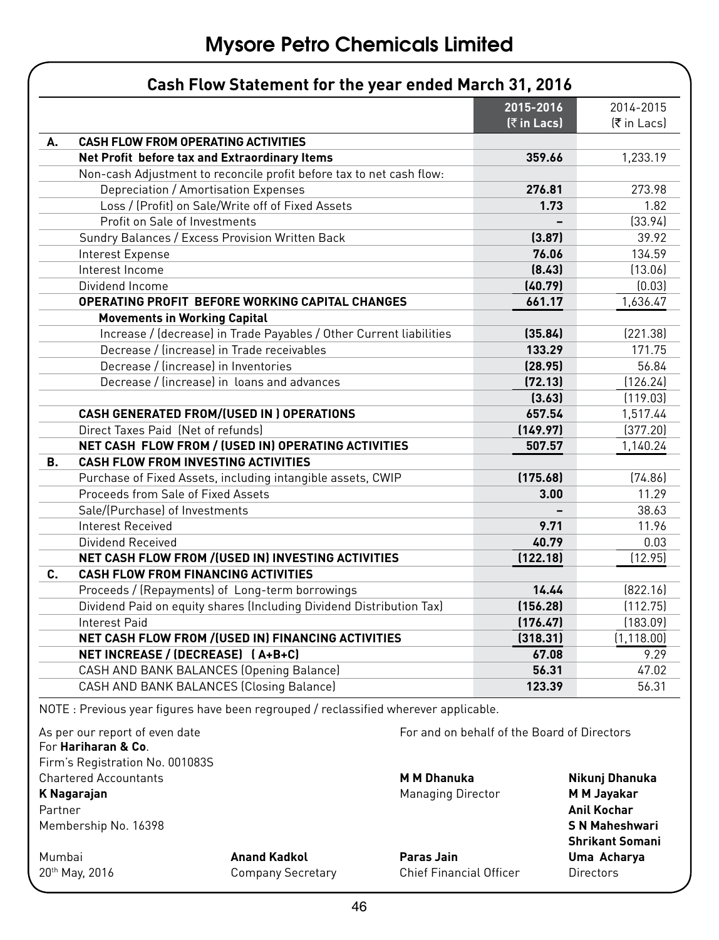|    |                                                                      | 2015-2016                | 2014-2015         |
|----|----------------------------------------------------------------------|--------------------------|-------------------|
|    |                                                                      | $[\overline{z} in Lacs]$ | <b>₹</b> in Lacsl |
| А. | <b>CASH FLOW FROM OPERATING ACTIVITIES</b>                           |                          |                   |
|    | Net Profit before tax and Extraordinary Items                        | 359.66                   | 1,233.19          |
|    | Non-cash Adjustment to reconcile profit before tax to net cash flow: |                          |                   |
|    | Depreciation / Amortisation Expenses                                 | 276.81                   | 273.98            |
|    | Loss / (Profit) on Sale/Write off of Fixed Assets                    | 1.73                     | 1.82              |
|    | Profit on Sale of Investments                                        |                          | [33.94]           |
|    | Sundry Balances / Excess Provision Written Back                      | (3.87)                   | 39.92             |
|    | Interest Expense                                                     | 76.06                    | 134.59            |
|    | Interest Income                                                      | (8.43)                   | (13.06)           |
|    | Dividend Income                                                      | (40.79)                  | [0.03]            |
|    | OPERATING PROFIT BEFORE WORKING CAPITAL CHANGES                      | 661.17                   | 1,636.47          |
|    | <b>Movements in Working Capital</b>                                  |                          |                   |
|    | Increase / (decrease) in Trade Payables / Other Current liabilities  | (35.84)                  | (221.38)          |
|    | Decrease / lincreasel in Trade receivables                           | 133.29                   | 171.75            |
|    | Decrease / lincreasel in Inventories                                 | (28.95)                  | 56.84             |
|    | Decrease / lincreasel in loans and advances                          | (72.13)                  | (126.24)          |
|    |                                                                      | (3.63)                   | [119.03]          |
|    | CASH GENERATED FROM/(USED IN ) OPERATIONS                            | 657.54                   | 1,517.44          |
|    | Direct Taxes Paid (Net of refunds)                                   | (149.97)                 | (377.20)          |
|    | NET CASH FLOW FROM / (USED IN) OPERATING ACTIVITIES                  | 507.57                   | 1,140.24          |
| В. | <b>CASH FLOW FROM INVESTING ACTIVITIES</b>                           |                          |                   |
|    | Purchase of Fixed Assets, including intangible assets, CWIP          | (175.68)                 | [74.86]           |
|    | Proceeds from Sale of Fixed Assets                                   | 3.00                     | 11.29             |
|    | Sale/(Purchase) of Investments                                       |                          | 38.63             |
|    | <b>Interest Received</b>                                             | 9.71                     | 11.96             |
|    | Dividend Received                                                    | 40.79                    | 0.03              |
|    | NET CASH FLOW FROM / (USED IN) INVESTING ACTIVITIES                  | (122.18)                 | [12.95]           |
| C. | <b>CASH FLOW FROM FINANCING ACTIVITIES</b>                           |                          |                   |
|    | Proceeds / (Repayments) of Long-term borrowings                      | 14.44                    | [822.16]          |
|    | Dividend Paid on equity shares (Including Dividend Distribution Tax) | (156.28)                 | (112.75)          |
|    | <b>Interest Paid</b>                                                 | (176.47)                 | (183.09)          |
|    | NET CASH FLOW FROM / (USED IN) FINANCING ACTIVITIES                  | (318.31)                 | (1, 118.00)       |
|    | NET INCREASE / (DECREASE) [A+B+C]                                    | 67.08                    | 9.29              |
|    | CASH AND BANK BALANCES (Opening Balance)                             | 56.31                    | 47.02             |
|    | CASH AND BANK BALANCES (Closing Balance)                             | 123.39                   | 56.31             |

For **Hariharan & Co**. Firm's Registration No. 001083S Chartered Accountants **M M Dhanuka Nikunj Dhanuka**

Partner **Anil Kochar** Membership No. 16398 **S N Maheshwari**

Mumbai **Anand Kadkol Paras Jain Uma Acharya** 20<sup>th</sup> May, 2016 **Company Secretary** Chief Financial Officer **Chief Chief Chief Chief Chief Chief** Chief Chief Chief Chief Chief Chief Chief Chief Chief Chief Chief Chief Chief Chief Chief Chief Chief Chief Chief Chief Chi

**K Nagarajan Managing Director M M Jayakar** 

 **Shrikant Somani**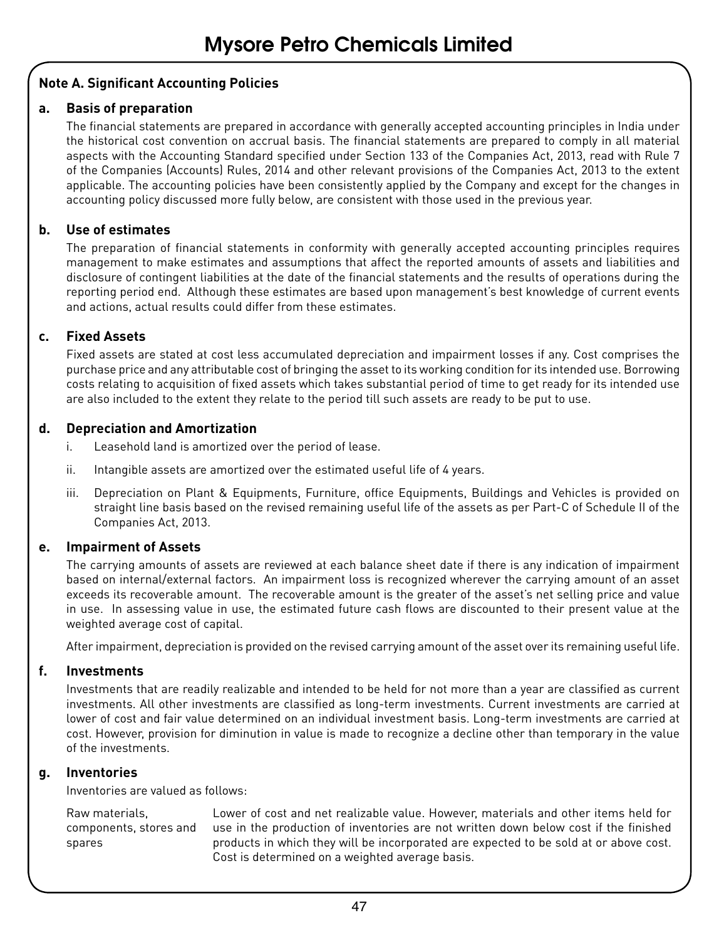#### **Note A. Significant Accounting Policies**

#### **a. Basis of preparation**

The financial statements are prepared in accordance with generally accepted accounting principles in India under the historical cost convention on accrual basis. The financial statements are prepared to comply in all material aspects with the Accounting Standard specified under Section 133 of the Companies Act, 2013, read with Rule 7 of the Companies (Accounts) Rules, 2014 and other relevant provisions of the Companies Act, 2013 to the extent applicable. The accounting policies have been consistently applied by the Company and except for the changes in accounting policy discussed more fully below, are consistent with those used in the previous year.

#### **b. Use of estimates**

The preparation of financial statements in conformity with generally accepted accounting principles requires management to make estimates and assumptions that affect the reported amounts of assets and liabilities and disclosure of contingent liabilities at the date of the financial statements and the results of operations during the reporting period end. Although these estimates are based upon management's best knowledge of current events and actions, actual results could differ from these estimates.

#### **c. Fixed Assets**

Fixed assets are stated at cost less accumulated depreciation and impairment losses if any. Cost comprises the purchase price and any attributable cost of bringing the asset to its working condition for its intended use. Borrowing costs relating to acquisition of fixed assets which takes substantial period of time to get ready for its intended use are also included to the extent they relate to the period till such assets are ready to be put to use.

#### **d. Depreciation and Amortization**

- i. Leasehold land is amortized over the period of lease.
- ii. Intangible assets are amortized over the estimated useful life of 4 years.
- iii. Depreciation on Plant & Equipments, Furniture, office Equipments, Buildings and Vehicles is provided on straight line basis based on the revised remaining useful life of the assets as per Part-C of Schedule II of the Companies Act, 2013.

#### **e. Impairment of Assets**

The carrying amounts of assets are reviewed at each balance sheet date if there is any indication of impairment based on internal/external factors. An impairment loss is recognized wherever the carrying amount of an asset exceeds its recoverable amount. The recoverable amount is the greater of the asset's net selling price and value in use. In assessing value in use, the estimated future cash flows are discounted to their present value at the weighted average cost of capital.

After impairment, depreciation is provided on the revised carrying amount of the asset over its remaining useful life.

#### **f. Investments**

Investments that are readily realizable and intended to be held for not more than a year are classified as current investments. All other investments are classified as long-term investments. Current investments are carried at lower of cost and fair value determined on an individual investment basis. Long-term investments are carried at cost. However, provision for diminution in value is made to recognize a decline other than temporary in the value of the investments.

#### **g. Inventories**

Inventories are valued as follows:

Raw materials, components, stores and spares

Lower of cost and net realizable value. However, materials and other items held for use in the production of inventories are not written down below cost if the finished products in which they will be incorporated are expected to be sold at or above cost. Cost is determined on a weighted average basis.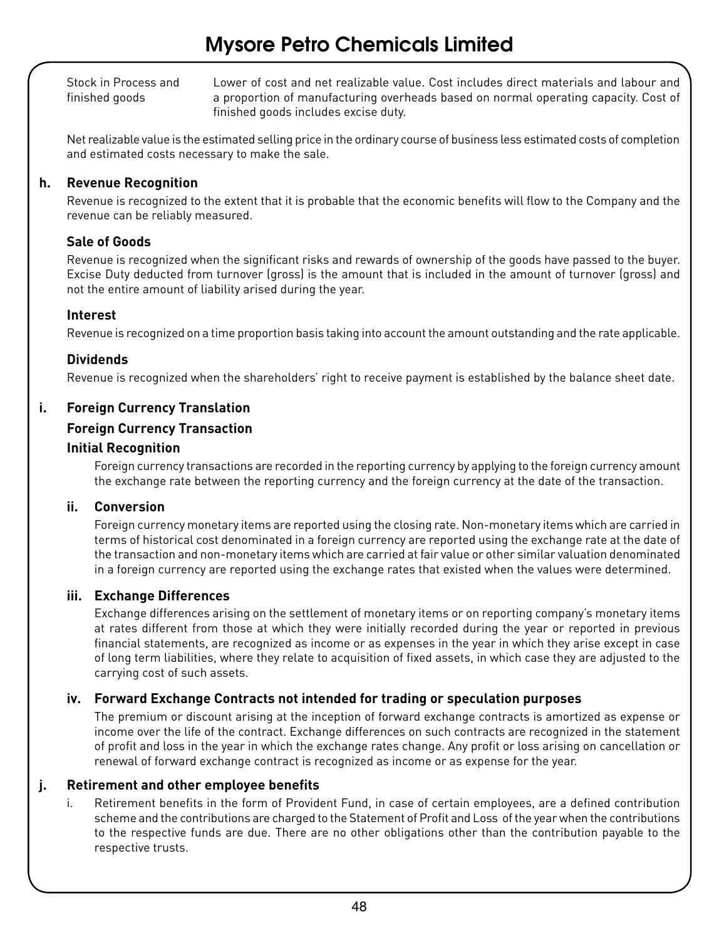Stock in Process and finished goods

Lower of cost and net realizable value. Cost includes direct materials and labour and a proportion of manufacturing overheads based on normal operating capacity. Cost of finished goods includes excise duty.

Net realizable value is the estimated selling price in the ordinary course of business less estimated costs of completion and estimated costs necessary to make the sale.

#### **h. Revenue Recognition**

Revenue is recognized to the extent that it is probable that the economic benefits will flow to the Company and the revenue can be reliably measured.

#### **Sale of Goods**

Revenue is recognized when the significant risks and rewards of ownership of the goods have passed to the buyer. Excise Duty deducted from turnover (gross) is the amount that is included in the amount of turnover (gross) and not the entire amount of liability arised during the year.

#### **Interest**

Revenue is recognized on a time proportion basis taking into account the amount outstanding and the rate applicable.

#### **Dividends**

Revenue is recognized when the shareholders' right to receive payment is established by the balance sheet date.

#### **i. Foreign Currency Translation**

#### **Foreign Currency Transaction**

#### **Initial Recognition**

Foreign currency transactions are recorded in the reporting currency by applying to the foreign currency amount the exchange rate between the reporting currency and the foreign currency at the date of the transaction.

#### **ii. Conversion**

Foreign currency monetary items are reported using the closing rate. Non-monetary items which are carried in terms of historical cost denominated in a foreign currency are reported using the exchange rate at the date of the transaction and non-monetary items which are carried at fair value or other similar valuation denominated in a foreign currency are reported using the exchange rates that existed when the values were determined.

#### **iii. Exchange Differences**

Exchange differences arising on the settlement of monetary items or on reporting company's monetary items at rates different from those at which they were initially recorded during the year or reported in previous financial statements, are recognized as income or as expenses in the year in which they arise except in case of long term liabilities, where they relate to acquisition of fixed assets, in which case they are adjusted to the carrying cost of such assets.

#### **iv. Forward Exchange Contracts not intended for trading or speculation purposes**

The premium or discount arising at the inception of forward exchange contracts is amortized as expense or income over the life of the contract. Exchange differences on such contracts are recognized in the statement of profit and loss in the year in which the exchange rates change. Any profit or loss arising on cancellation or renewal of forward exchange contract is recognized as income or as expense for the year.

#### **j. Retirement and other employee benefits**

i. Retirement benefits in the form of Provident Fund, in case of certain employees, are a defined contribution scheme and the contributions are charged to the Statement of Profit and Loss of the year when the contributions to the respective funds are due. There are no other obligations other than the contribution payable to the respective trusts.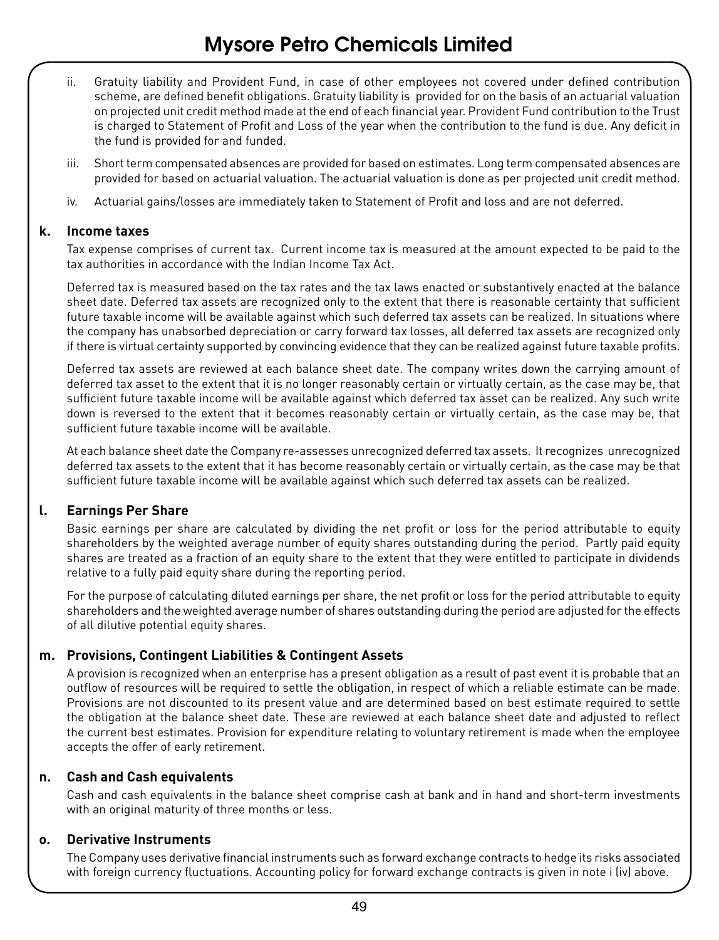- ii. Gratuity liability and Provident Fund, in case of other employees not covered under defined contribution scheme, are defined benefit obligations. Gratuity liability is provided for on the basis of an actuarial valuation on projected unit credit method made at the end of each financial year. Provident Fund contribution to the Trust is charged to Statement of Profit and Loss of the year when the contribution to the fund is due. Any deficit in the fund is provided for and funded.
- iii. Short term compensated absences are provided for based on estimates. Long term compensated absences are provided for based on actuarial valuation. The actuarial valuation is done as per projected unit credit method.
- iv. Actuarial gains/losses are immediately taken to Statement of Profit and loss and are not deferred.

#### **k. Income taxes**

Tax expense comprises of current tax. Current income tax is measured at the amount expected to be paid to the tax authorities in accordance with the Indian Income Tax Act.

Deferred tax is measured based on the tax rates and the tax laws enacted or substantively enacted at the balance sheet date. Deferred tax assets are recognized only to the extent that there is reasonable certainty that sufficient future taxable income will be available against which such deferred tax assets can be realized. In situations where the company has unabsorbed depreciation or carry forward tax losses, all deferred tax assets are recognized only if there is virtual certainty supported by convincing evidence that they can be realized against future taxable profits.

Deferred tax assets are reviewed at each balance sheet date. The company writes down the carrying amount of deferred tax asset to the extent that it is no longer reasonably certain or virtually certain, as the case may be, that sufficient future taxable income will be available against which deferred tax asset can be realized. Any such write down is reversed to the extent that it becomes reasonably certain or virtually certain, as the case may be, that sufficient future taxable income will be available.

At each balance sheet date the Company re-assesses unrecognized deferred tax assets. It recognizes unrecognized deferred tax assets to the extent that it has become reasonably certain or virtually certain, as the case may be that sufficient future taxable income will be available against which such deferred tax assets can be realized.

#### **l. Earnings Per Share**

Basic earnings per share are calculated by dividing the net profit or loss for the period attributable to equity shareholders by the weighted average number of equity shares outstanding during the period. Partly paid equity shares are treated as a fraction of an equity share to the extent that they were entitled to participate in dividends relative to a fully paid equity share during the reporting period.

For the purpose of calculating diluted earnings per share, the net profit or loss for the period attributable to equity shareholders and the weighted average number of shares outstanding during the period are adjusted for the effects of all dilutive potential equity shares.

#### **m. Provisions, Contingent Liabilities & Contingent Assets**

A provision is recognized when an enterprise has a present obligation as a result of past event it is probable that an outflow of resources will be required to settle the obligation, in respect of which a reliable estimate can be made. Provisions are not discounted to its present value and are determined based on best estimate required to settle the obligation at the balance sheet date. These are reviewed at each balance sheet date and adjusted to reflect the current best estimates. Provision for expenditure relating to voluntary retirement is made when the employee accepts the offer of early retirement.

#### **n. Cash and Cash equivalents**

Cash and cash equivalents in the balance sheet comprise cash at bank and in hand and short-term investments with an original maturity of three months or less.

#### **o. Derivative Instruments**

The Company uses derivative financial instruments such as forward exchange contracts to hedge its risks associated with foreign currency fluctuations. Accounting policy for forward exchange contracts is given in note i (iv) above.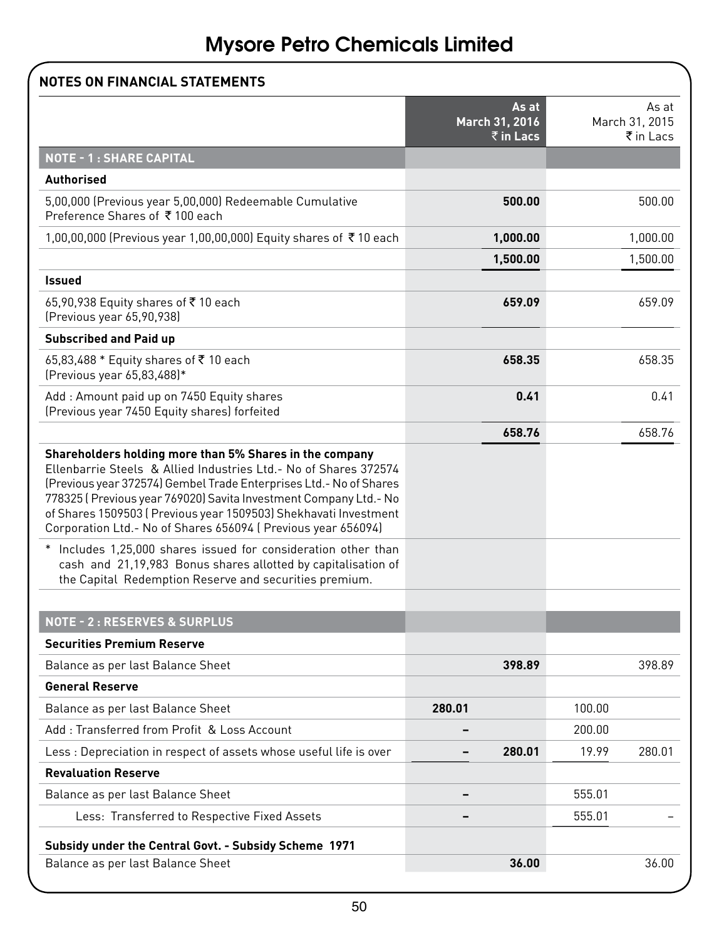|                                                                                                                                                                                                                                                                                                                                                                                                             |        | As at<br>March 31, 2016 |        | As at<br>March 31, 2015 |
|-------------------------------------------------------------------------------------------------------------------------------------------------------------------------------------------------------------------------------------------------------------------------------------------------------------------------------------------------------------------------------------------------------------|--------|-------------------------|--------|-------------------------|
|                                                                                                                                                                                                                                                                                                                                                                                                             |        | $\bar{z}$ in Lacs       |        | ₹ in Lacs               |
| <b>NOTE - 1: SHARE CAPITAL</b>                                                                                                                                                                                                                                                                                                                                                                              |        |                         |        |                         |
| Authorised                                                                                                                                                                                                                                                                                                                                                                                                  |        |                         |        |                         |
| 5,00,000 (Previous year 5,00,000) Redeemable Cumulative<br>Preference Shares of ₹100 each                                                                                                                                                                                                                                                                                                                   |        | 500.00                  |        | 500.00                  |
| 1,00,00,000 (Previous year 1,00,00,000) Equity shares of ₹10 each                                                                                                                                                                                                                                                                                                                                           |        | 1,000.00                |        | 1,000.00                |
|                                                                                                                                                                                                                                                                                                                                                                                                             |        | 1,500.00                |        | 1,500.00                |
| <b>Issued</b>                                                                                                                                                                                                                                                                                                                                                                                               |        |                         |        |                         |
| 65,90,938 Equity shares of ₹10 each<br>(Previous year 65,90,938)                                                                                                                                                                                                                                                                                                                                            |        | 659.09                  |        | 659.09                  |
| <b>Subscribed and Paid up</b>                                                                                                                                                                                                                                                                                                                                                                               |        |                         |        |                         |
| 65,83,488 * Equity shares of ₹10 each<br>(Previous year 65,83,488)*                                                                                                                                                                                                                                                                                                                                         |        | 658.35                  |        | 658.35                  |
| Add: Amount paid up on 7450 Equity shares<br>(Previous year 7450 Equity shares) forfeited                                                                                                                                                                                                                                                                                                                   |        | 0.41                    |        | 0.41                    |
|                                                                                                                                                                                                                                                                                                                                                                                                             |        | 658.76                  |        | 658.76                  |
| Shareholders holding more than 5% Shares in the company<br>Ellenbarrie Steels & Allied Industries Ltd. - No of Shares 372574<br>(Previous year 372574) Gembel Trade Enterprises Ltd. - No of Shares<br>778325 (Previous year 769020) Savita Investment Company Ltd. - No<br>of Shares 1509503 (Previous year 1509503) Shekhavati Investment<br>Corporation Ltd.- No of Shares 656094 (Previous year 656094) |        |                         |        |                         |
| * Includes 1,25,000 shares issued for consideration other than<br>cash and 21,19,983 Bonus shares allotted by capitalisation of<br>the Capital Redemption Reserve and securities premium.                                                                                                                                                                                                                   |        |                         |        |                         |
| <b>NOTE - 2: RESERVES &amp; SURPLUS</b>                                                                                                                                                                                                                                                                                                                                                                     |        |                         |        |                         |
| <b>Securities Premium Reserve</b>                                                                                                                                                                                                                                                                                                                                                                           |        |                         |        |                         |
| Balance as per last Balance Sheet                                                                                                                                                                                                                                                                                                                                                                           |        | 398.89                  |        | 398.89                  |
| <b>General Reserve</b>                                                                                                                                                                                                                                                                                                                                                                                      |        |                         |        |                         |
| Balance as per last Balance Sheet                                                                                                                                                                                                                                                                                                                                                                           | 280.01 |                         | 100.00 |                         |
| Add: Transferred from Profit & Loss Account                                                                                                                                                                                                                                                                                                                                                                 |        |                         | 200.00 |                         |
| Less : Depreciation in respect of assets whose useful life is over                                                                                                                                                                                                                                                                                                                                          |        | 280.01                  | 19.99  | 280.01                  |
| <b>Revaluation Reserve</b>                                                                                                                                                                                                                                                                                                                                                                                  |        |                         |        |                         |
| Balance as per last Balance Sheet                                                                                                                                                                                                                                                                                                                                                                           |        |                         | 555.01 |                         |
| Less: Transferred to Respective Fixed Assets                                                                                                                                                                                                                                                                                                                                                                |        |                         | 555.01 |                         |
| Subsidy under the Central Govt. - Subsidy Scheme 1971                                                                                                                                                                                                                                                                                                                                                       |        |                         |        |                         |
| Balance as per last Balance Sheet                                                                                                                                                                                                                                                                                                                                                                           |        | 36.00                   |        | 36.00                   |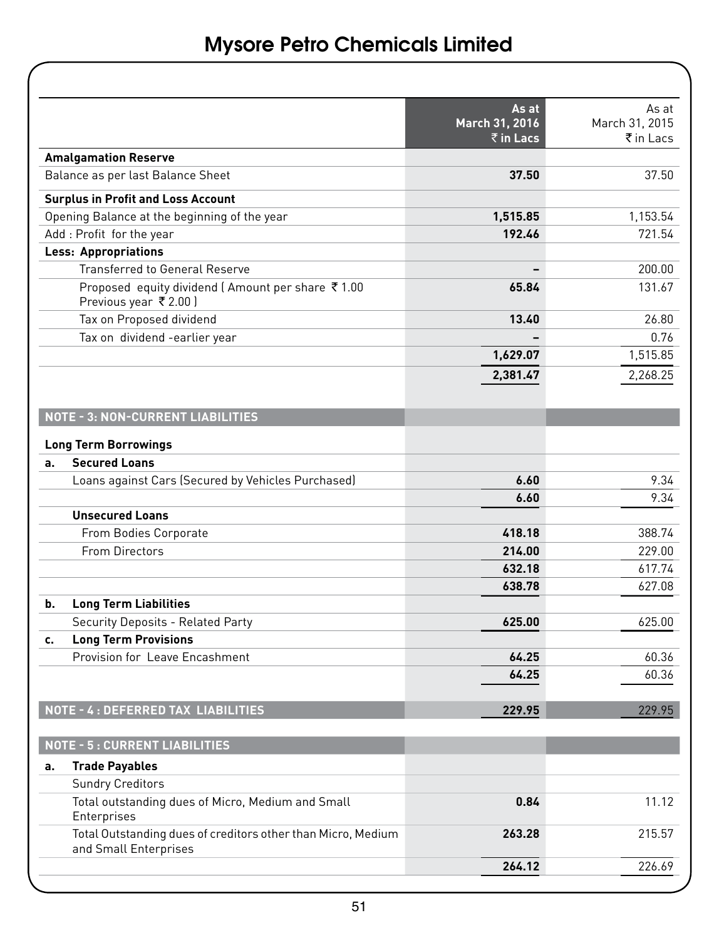|    |                                                                                       | As at<br>March 31, 2016<br>$\bar{z}$ in Lacs | As at<br>March 31, 2015<br>$\bar{\tau}$ in Lacs |
|----|---------------------------------------------------------------------------------------|----------------------------------------------|-------------------------------------------------|
|    | <b>Amalgamation Reserve</b>                                                           |                                              |                                                 |
|    | Balance as per last Balance Sheet                                                     | 37.50                                        | 37.50                                           |
|    | <b>Surplus in Profit and Loss Account</b>                                             |                                              |                                                 |
|    | Opening Balance at the beginning of the year                                          | 1,515.85                                     | 1,153.54                                        |
|    | Add: Profit for the year                                                              | 192.46                                       | 721.54                                          |
|    | <b>Less: Appropriations</b>                                                           |                                              |                                                 |
|    | <b>Transferred to General Reserve</b>                                                 |                                              | 200.00                                          |
|    | Proposed equity dividend (Amount per share ₹1.00<br>Previous year ₹ 2.00)             | 65.84                                        | 131.67                                          |
|    | Tax on Proposed dividend                                                              | 13.40                                        | 26.80                                           |
|    | Tax on dividend -earlier year                                                         |                                              | 0.76                                            |
|    |                                                                                       | 1,629.07                                     | 1,515.85                                        |
|    |                                                                                       | 2,381.47                                     | 2,268.25                                        |
|    | <b>NOTE - 3: NON-CURRENT LIABILITIES</b><br><b>Long Term Borrowings</b>               |                                              |                                                 |
| a. | <b>Secured Loans</b>                                                                  |                                              |                                                 |
|    | Loans against Cars (Secured by Vehicles Purchased)                                    | 6.60                                         | 9.34                                            |
|    |                                                                                       | 6.60                                         | 9.34                                            |
|    | <b>Unsecured Loans</b>                                                                |                                              |                                                 |
|    | From Bodies Corporate                                                                 | 418.18                                       | 388.74                                          |
|    | From Directors                                                                        | 214.00                                       | 229.00                                          |
|    |                                                                                       | 632.18                                       | 617.74                                          |
|    |                                                                                       | 638.78                                       | 627.08                                          |
| b. | <b>Long Term Liabilities</b>                                                          |                                              |                                                 |
|    | Security Deposits - Related Party                                                     | 625.00                                       | 625.00                                          |
| c. | <b>Long Term Provisions</b>                                                           |                                              |                                                 |
|    | Provision for Leave Encashment                                                        | 64.25                                        | 60.36                                           |
|    |                                                                                       | 64.25                                        | 60.36                                           |
|    | NOTE - 4 : DEFERRED TAX LIABILITIES                                                   | 229.95                                       | 229.95                                          |
|    | <b>NOTE - 5: CURRENT LIABILITIES</b>                                                  |                                              |                                                 |
| a. | <b>Trade Payables</b>                                                                 |                                              |                                                 |
|    | <b>Sundry Creditors</b>                                                               |                                              |                                                 |
|    | Total outstanding dues of Micro, Medium and Small<br>Enterprises                      | 0.84                                         | 11.12                                           |
|    | Total Outstanding dues of creditors other than Micro, Medium<br>and Small Enterprises | 263.28                                       | 215.57                                          |
|    |                                                                                       | 264.12                                       | 226.69                                          |
|    |                                                                                       |                                              |                                                 |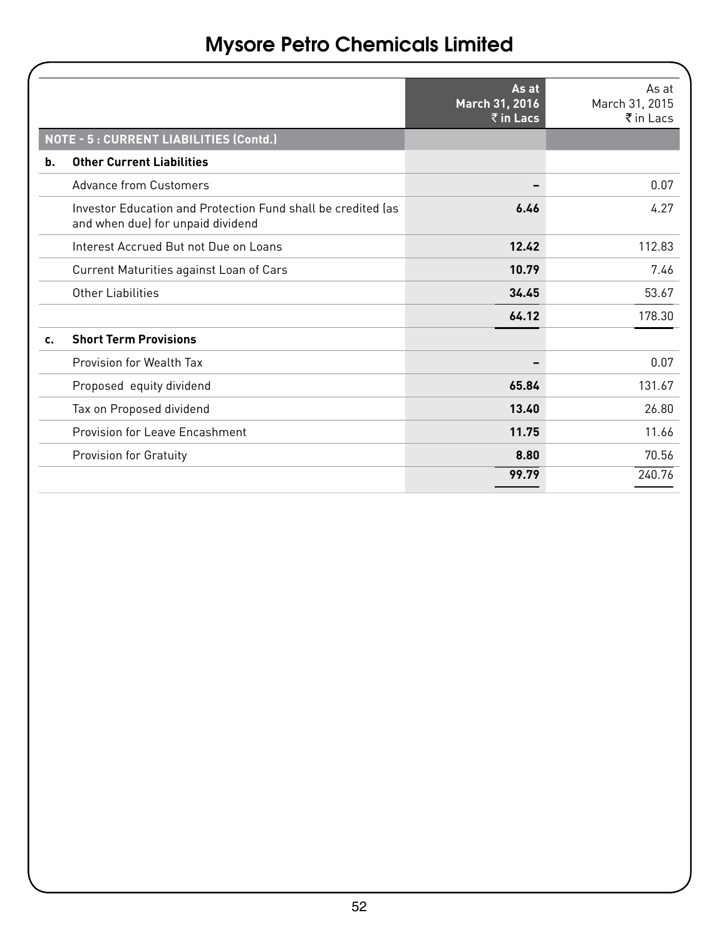|                                                                                                   | As at<br>March 31, 2016<br>$\bar{z}$ in Lacs | $As$ at<br>March 31, 2015<br>$\bar{\tau}$ in Lacs |
|---------------------------------------------------------------------------------------------------|----------------------------------------------|---------------------------------------------------|
| NOTE - 5 : CURRENT LIABILITIES (Contd.)                                                           |                                              |                                                   |
| <b>Other Current Liabilities</b><br>b.                                                            |                                              |                                                   |
| Advance from Customers                                                                            |                                              | 0.07                                              |
| Investor Education and Protection Fund shall be credited las<br>and when due) for unpaid dividend | 6.46                                         | 4 27                                              |
| Interest Accrued But not Due on Loans                                                             | 12.42                                        | 112.83                                            |
| Current Maturities against Loan of Cars                                                           | 10.79                                        | 7.46                                              |
| Other Liabilities                                                                                 | 34.45                                        | 53.67                                             |
|                                                                                                   | 64.12                                        | 178.30                                            |
| <b>Short Term Provisions</b><br>c.                                                                |                                              |                                                   |
| Provision for Wealth Tax                                                                          |                                              | 0.07                                              |
| Proposed equity dividend                                                                          | 65.84                                        | 131.67                                            |
| Tax on Proposed dividend                                                                          | 13.40                                        | 26.80                                             |
| Provision for Leave Encashment                                                                    | 11.75                                        | 11.66                                             |
| Provision for Gratuity                                                                            | 8.80                                         | 70.56                                             |
|                                                                                                   | 99.79                                        | 240.76                                            |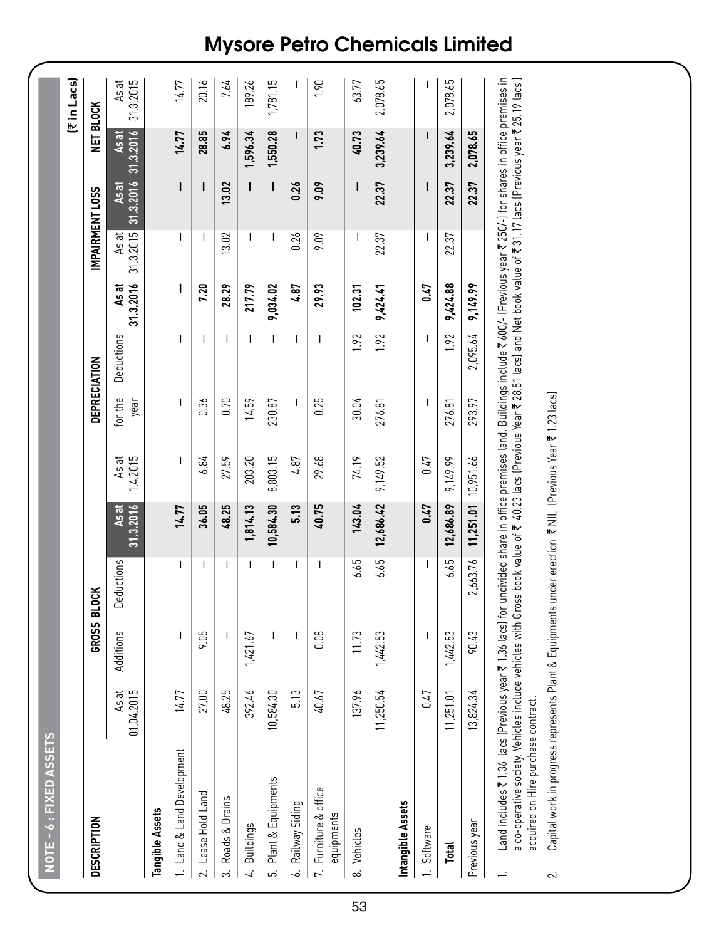| <b>DESCRIPTION</b>                  |                     | GROSS BLOCK              |                          |                           |                   | DEPRECIATION    |                          |                           |                          | <b>IMPAIRMENT LOSS</b> | <b>NET BLOCK</b>   |                    |
|-------------------------------------|---------------------|--------------------------|--------------------------|---------------------------|-------------------|-----------------|--------------------------|---------------------------|--------------------------|------------------------|--------------------|--------------------|
|                                     | As at<br>01.04.2015 | Additions                | Deductions               | 31.3.2016<br><b>As at</b> | 1.4.2015<br>As at | for the<br>year | Deductions               | 31.3.2016<br><b>As at</b> | 31.3.2015<br>As at       | 31.3.2016<br>As at     | 31.3.2016<br>As at | 31.3.2015<br>As at |
| Tangible Assets                     |                     |                          |                          |                           |                   |                 |                          |                           |                          |                        |                    |                    |
| 1. Land & Land Development          | 14.77               | $\overline{\phantom{a}}$ | $\overline{\phantom{a}}$ | 14.77                     | I                 | I               | I                        | ı                         | I                        | ı                      | 14.77              | 14.77              |
| 2. Lease Hold Land                  | 27.00               | 9.05                     | T                        | 36.05                     | 6.84              | 0.36            | I                        | <b>P20</b>                | T                        | I                      | 28.85              | 20.16              |
| 3. Roads & Drains                   | 48.25               | I                        | $\overline{\phantom{a}}$ | 48.25                     | 27.59             | 0.70            | I                        | 28.29                     | 13.02                    | 13.02                  | 9.94               | 7.64               |
| 4. Buildings                        | 392.46              | 1,421.67                 | $\overline{1}$           | 1,814.13                  | 203.20            | 14.59           | $\mathsf{I}$             | 217.79                    | I                        | I                      | 1,596.34           | 189.26             |
| Plant & Equipments<br>.<br>م        | 10,584.30           | T                        | $\overline{1}$           | 10,584.30                 | 8,803.15          | 230.87          | T                        | 9,034.02                  | T                        | T                      | 1,550.28           | 1,781.15           |
| 6. Railway Siding                   | 5.13                | I                        | I                        | 5.13                      | 4.87              | I               | $\overline{\phantom{a}}$ | 4.87                      | 0.26                     | 0.26                   | I                  | I                  |
| 7. Furniture & office<br>equipments | 40.67               | 0.08                     | $\mathsf I$              | 40.75                     | 29.68             | 0.25            | $\overline{\phantom{a}}$ | 29.93                     | 9.09                     | 9.09                   | 1.73               | 1.90               |
| 8. Vehicles                         | 137.96              | 11.73                    | 6.65                     | 143.04                    | 74.19             | 30.04           | 1.92                     | 102.31                    | $\overline{\phantom{a}}$ | I                      | 40.73              | 63.77              |
|                                     | 11,250.54           | 1,442.53                 | 6.65                     | 12,686.42                 | 9,149.52          | 276.81          | 1.92                     | 9,424.41                  | 22.37                    | 22.37                  | 3,239.64           | 2,078.65           |
| Intangible Assets                   |                     |                          |                          |                           |                   |                 |                          |                           |                          |                        |                    |                    |
| 1. Software                         | 0.47                | I                        | $\overline{\phantom{a}}$ | 0.47                      | 0.47              | I               | I                        | <b>CTO</b>                | I                        | ı                      | ı                  | ı                  |
| Total                               | 11,251.01           | 1,442.53                 | 6.65                     | 12,686.89                 | 9,149.99          | 276.81          | 1.92                     | 9,424.88                  | 22.37                    | 22.37                  | 3,239.64           | 2,078.65           |
| Previous year                       | 13,824.34           | 90.43                    | 2,663.76                 | 11,251.01 10,951.66       |                   | 293.97          | 2,095.64                 | 9,149.99                  |                          | 22.37                  | 2,078.65           |                    |

Capital work in progress represents Plant & Equipments under erection ₹ NIL (Previous Year ₹ 1.23 lacs) 2. Capital work in progress represents Plant & Equipments under erection ₹ NIL (Previous Year ₹ 1.23 lacs)

 $\sim$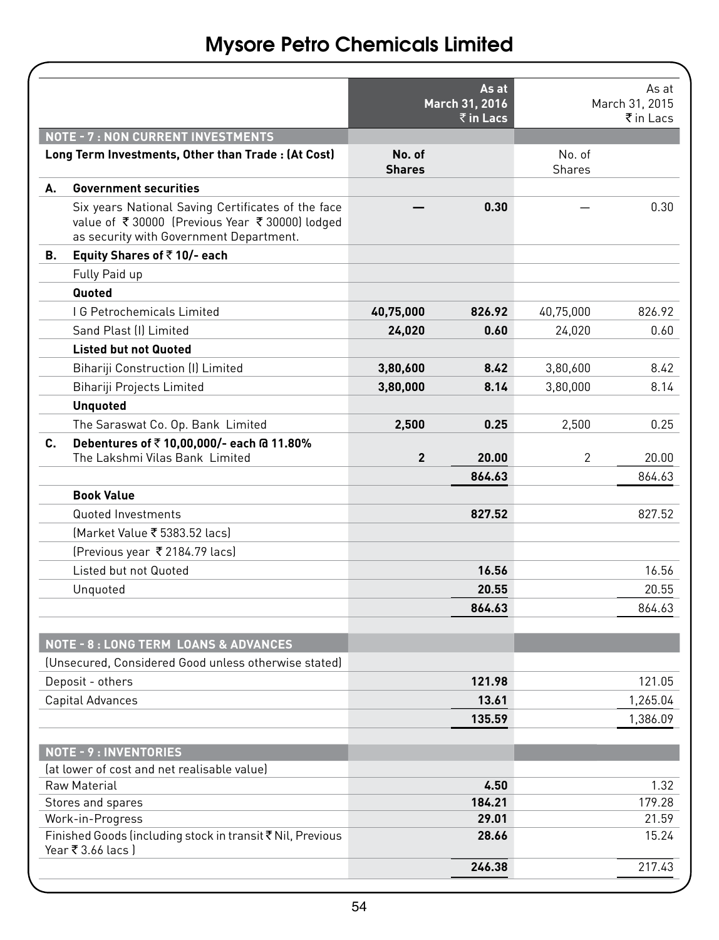|    |                                                                                                                                                |                         | As at<br>March 31, 2016<br>$\bar{\bar{\tau}}$ in Lacs |                  | As at<br>March 31, 2015<br>₹in Lacs |
|----|------------------------------------------------------------------------------------------------------------------------------------------------|-------------------------|-------------------------------------------------------|------------------|-------------------------------------|
|    | <b>NOTE - 7: NON CURRENT INVESTMENTS</b>                                                                                                       |                         |                                                       |                  |                                     |
|    | Long Term Investments, Other than Trade: (At Cost)                                                                                             | No. of<br><b>Shares</b> |                                                       | No. of<br>Shares |                                     |
| А. | <b>Government securities</b>                                                                                                                   |                         |                                                       |                  |                                     |
|    | Six years National Saving Certificates of the face<br>value of ₹30000 (Previous Year ₹30000) lodged<br>as security with Government Department. |                         | 0.30                                                  |                  | 0.30                                |
| В. | Equity Shares of ₹10/- each                                                                                                                    |                         |                                                       |                  |                                     |
|    | Fully Paid up                                                                                                                                  |                         |                                                       |                  |                                     |
|    | Quoted                                                                                                                                         |                         |                                                       |                  |                                     |
|    | <b>IG Petrochemicals Limited</b>                                                                                                               | 40,75,000               | 826.92                                                | 40,75,000        | 826.92                              |
|    | Sand Plast (I) Limited                                                                                                                         | 24,020                  | 0.60                                                  | 24,020           | 0.60                                |
|    | <b>Listed but not Quoted</b>                                                                                                                   |                         |                                                       |                  |                                     |
|    | Bihariji Construction (I) Limited                                                                                                              | 3,80,600                | 8.42                                                  | 3,80,600         | 8.42                                |
|    | Bihariji Projects Limited                                                                                                                      | 3,80,000                | 8.14                                                  | 3,80,000         | 8.14                                |
|    | <b>Unquoted</b>                                                                                                                                |                         |                                                       |                  |                                     |
|    | The Saraswat Co. Op. Bank Limited                                                                                                              | 2,500                   | 0.25                                                  | 2,500            | 0.25                                |
| C. | Debentures of ₹10,00,000/- each @ 11.80%<br>The Lakshmi Vilas Bank Limited                                                                     | 2                       | 20.00                                                 | 2                | 20.00                               |
|    |                                                                                                                                                |                         | 864.63                                                |                  | 864.63                              |
|    | <b>Book Value</b>                                                                                                                              |                         |                                                       |                  |                                     |
|    | Quoted Investments                                                                                                                             |                         | 827.52                                                |                  | 827.52                              |
|    | (Market Value ₹ 5383.52 lacs)                                                                                                                  |                         |                                                       |                  |                                     |
|    | (Previous year ₹2184.79 lacs)                                                                                                                  |                         |                                                       |                  |                                     |
|    | Listed but not Quoted                                                                                                                          |                         | 16.56                                                 |                  | 16.56                               |
|    | Unquoted                                                                                                                                       |                         | 20.55                                                 |                  | 20.55                               |
|    |                                                                                                                                                |                         | 864.63                                                |                  | 864.63                              |
|    |                                                                                                                                                |                         |                                                       |                  |                                     |
|    | <b>NOTE - 8: LONG TERM LOANS &amp; ADVANCES</b>                                                                                                |                         |                                                       |                  |                                     |
|    | (Unsecured, Considered Good unless otherwise stated)                                                                                           |                         |                                                       |                  |                                     |
|    | Deposit - others                                                                                                                               |                         | 121.98                                                |                  | 121.05                              |
|    | Capital Advances                                                                                                                               |                         | 13.61                                                 |                  | 1,265.04                            |
|    |                                                                                                                                                |                         | 135.59                                                |                  | 1,386.09                            |
|    | <b>NOTE - 9: INVENTORIES</b>                                                                                                                   |                         |                                                       |                  |                                     |
|    | (at lower of cost and net realisable value)                                                                                                    |                         |                                                       |                  |                                     |
|    | Raw Material                                                                                                                                   |                         | 4.50                                                  |                  | 1.32                                |
|    | Stores and spares                                                                                                                              |                         | 184.21<br>29.01                                       |                  | 179.28                              |
|    | Work-in-Progress<br>Finished Goods (including stock in transit ₹ Nil, Previous                                                                 |                         | 28.66                                                 |                  | 21.59<br>15.24                      |
|    | Year ₹ 3.66 lacs)                                                                                                                              |                         |                                                       |                  |                                     |
|    |                                                                                                                                                |                         | 246.38                                                |                  | 217.43                              |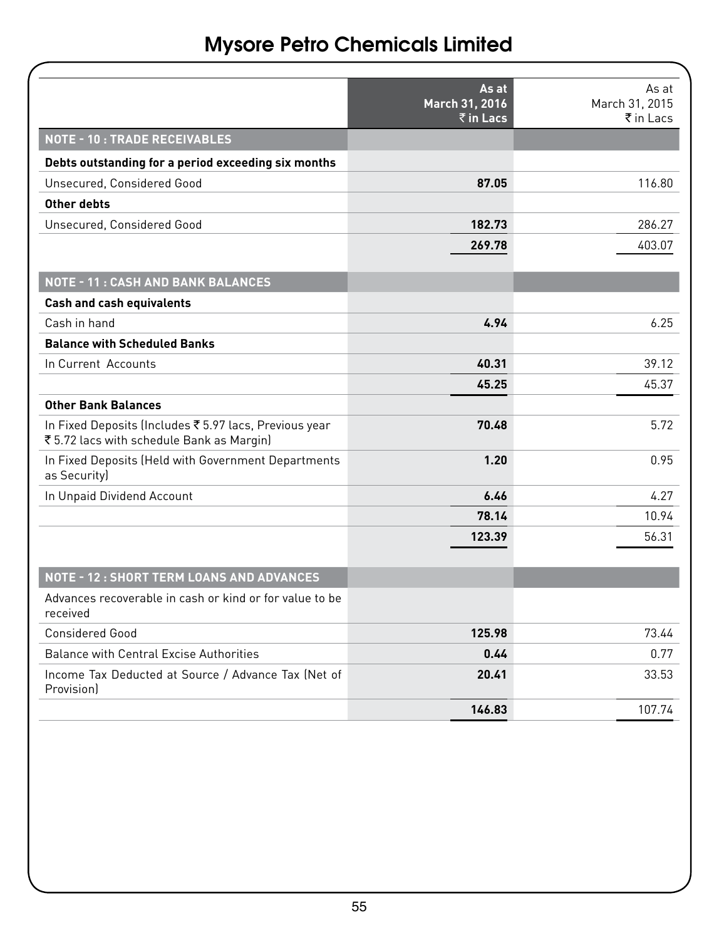|                                                                                                   | As at<br>March 31, 2016               | As at<br>March 31, 2015 |
|---------------------------------------------------------------------------------------------------|---------------------------------------|-------------------------|
|                                                                                                   | $\overline{\overline{\zeta}}$ in Lacs | ₹ in Lacs               |
| <b>NOTE - 10: TRADE RECEIVABLES</b>                                                               |                                       |                         |
| Debts outstanding for a period exceeding six months                                               |                                       |                         |
| Unsecured, Considered Good                                                                        | 87.05                                 | 116.80                  |
| Other debts                                                                                       |                                       |                         |
| Unsecured, Considered Good                                                                        | 182.73                                | 286.27                  |
|                                                                                                   | 269.78                                | 403.07                  |
| <b>NOTE - 11: CASH AND BANK BALANCES</b>                                                          |                                       |                         |
| <b>Cash and cash equivalents</b>                                                                  |                                       |                         |
| Cash in hand                                                                                      | 4.94                                  | 6.25                    |
| <b>Balance with Scheduled Banks</b>                                                               |                                       |                         |
| In Current Accounts                                                                               | 40.31                                 | 39.12                   |
|                                                                                                   | 45.25                                 | 45.37                   |
| <b>Other Bank Balances</b>                                                                        |                                       |                         |
| In Fixed Deposits (Includes ₹5.97 lacs, Previous year<br>₹5.72 lacs with schedule Bank as Margin) | 70.48                                 | 5.72                    |
| In Fixed Deposits (Held with Government Departments<br>as Security)                               | 1.20                                  | 0.95                    |
| In Unpaid Dividend Account                                                                        | 6.46                                  | 4.27                    |
|                                                                                                   | 78.14                                 | 10.94                   |
|                                                                                                   | 123.39                                | 56.31                   |
| <b>NOTE - 12: SHORT TERM LOANS AND ADVANCES</b>                                                   |                                       |                         |
| Advances recoverable in cash or kind or for value to be<br>received                               |                                       |                         |
| Considered Good                                                                                   | 125.98                                | 73.44                   |
| <b>Balance with Central Excise Authorities</b>                                                    | 0.44                                  | 0.77                    |
| Income Tax Deducted at Source / Advance Tax (Net of<br>Provisionl                                 | 20.41                                 | 33.53                   |
|                                                                                                   | 146.83                                | 107.74                  |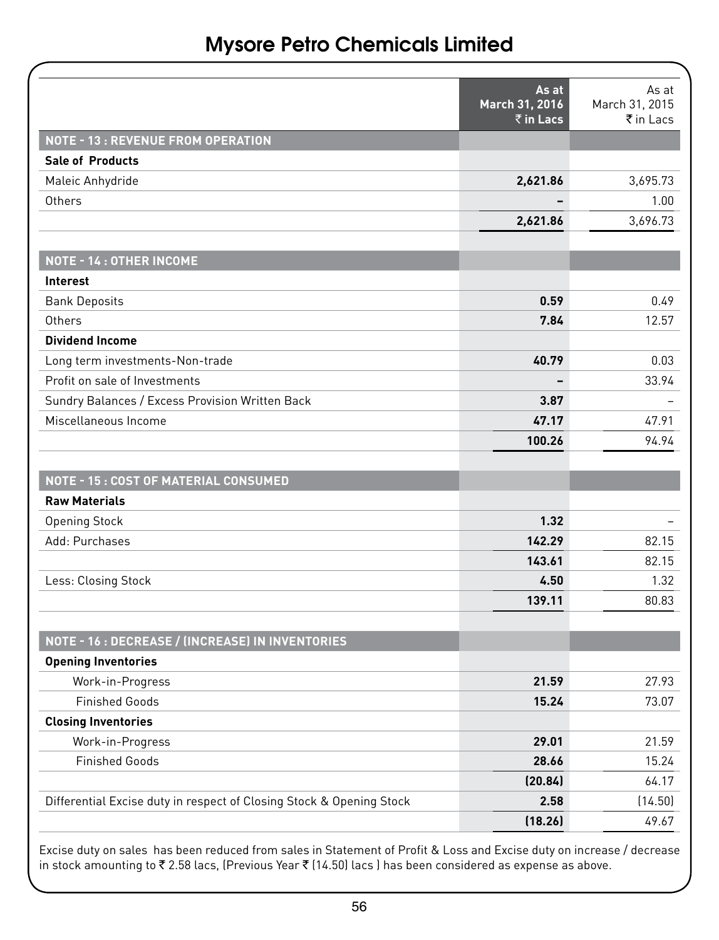|                                                                      | As at<br>March 31, 2016  | As at<br>March 31, 2015 |
|----------------------------------------------------------------------|--------------------------|-------------------------|
|                                                                      | ₹ in Lacs                | ₹ in Lacs               |
| <b>NOTE - 13: REVENUE FROM OPERATION</b>                             |                          |                         |
| <b>Sale of Products</b>                                              |                          |                         |
| Maleic Anhydride                                                     | 2,621.86                 | 3,695.73                |
| Others                                                               |                          | 1.00                    |
|                                                                      | 2,621.86                 | 3,696.73                |
| NOTE - 14 : OTHER INCOME                                             |                          |                         |
| Interest                                                             |                          |                         |
| <b>Bank Deposits</b>                                                 | 0.59                     | 0.49                    |
| Others                                                               | 7.84                     | 12.57                   |
| <b>Dividend Income</b>                                               |                          |                         |
| Long term investments-Non-trade                                      | 40.79                    | 0.03                    |
| Profit on sale of Investments                                        | $\overline{\phantom{0}}$ | 33.94                   |
| Sundry Balances / Excess Provision Written Back                      | 3.87                     |                         |
| Miscellaneous Income                                                 | 47.17                    | 47.91                   |
|                                                                      | 100.26                   | 94.94                   |
| NOTE - 15: COST OF MATERIAL CONSUMED                                 |                          |                         |
| <b>Raw Materials</b>                                                 |                          |                         |
| <b>Opening Stock</b>                                                 | 1.32                     |                         |
| Add: Purchases                                                       | 142.29                   | 82.15                   |
|                                                                      | 143.61                   | 82.15                   |
| Less: Closing Stock                                                  | 4.50                     | 1.32                    |
|                                                                      | 139.11                   | 80.83                   |
| NOTE - 16 : DECREASE / (INCREASE) IN INVENTORIES                     |                          |                         |
| <b>Opening Inventories</b>                                           |                          |                         |
| Work-in-Progress                                                     | 21.59                    | 27.93                   |
| <b>Finished Goods</b>                                                | 15.24                    | 73.07                   |
| <b>Closing Inventories</b>                                           |                          |                         |
| Work-in-Progress                                                     | 29.01                    | 21.59                   |
| <b>Finished Goods</b>                                                | 28.66                    | 15.24                   |
|                                                                      | (20.84)                  | 64.17                   |
| Differential Excise duty in respect of Closing Stock & Opening Stock | 2.58                     | (14.50)                 |
|                                                                      | (18.26)                  | 49.67                   |

Excise duty on sales has been reduced from sales in Statement of Profit & Loss and Excise duty on increase / decrease in stock amounting to ₹2.58 lacs, (Previous Year ₹ (14.50) lacs) has been considered as expense as above.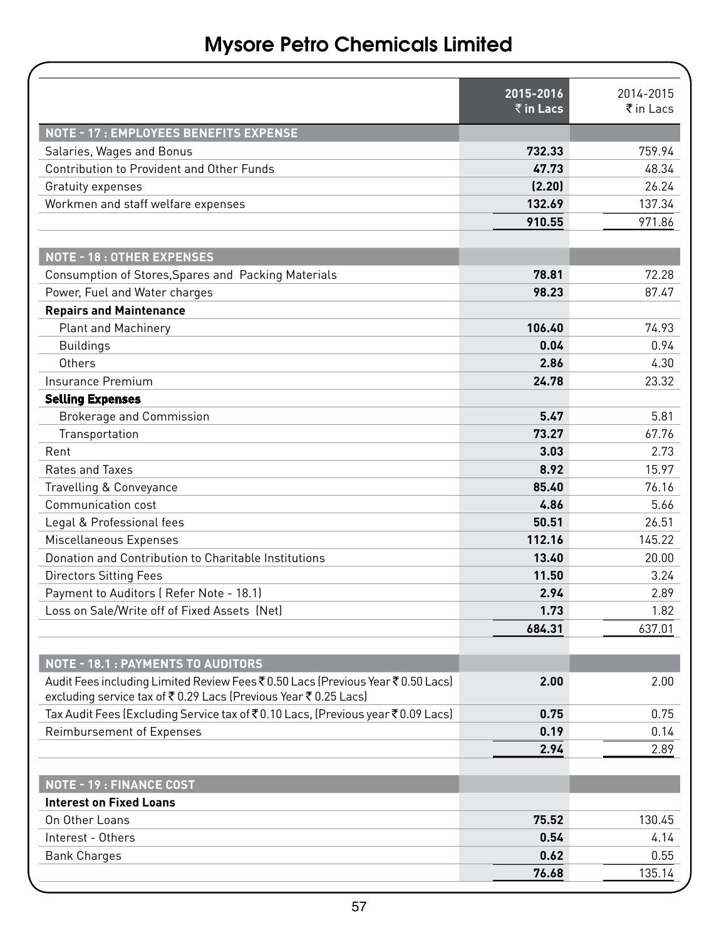|                                                                                                                                                  | $2015 - 2016$<br>$\bar{\bar{\tau}}$ in Lacs | 2014-2015<br>₹ in Lacs |
|--------------------------------------------------------------------------------------------------------------------------------------------------|---------------------------------------------|------------------------|
| NOTE - 17 : EMPLOYEES BENEFITS EXPENSE                                                                                                           |                                             |                        |
| Salaries, Wages and Bonus                                                                                                                        | 732.33                                      | 759.94                 |
| Contribution to Provident and Other Funds                                                                                                        | 47.73                                       | 48.34                  |
| Gratuity expenses                                                                                                                                | (2.20)                                      | 26.24                  |
| Workmen and staff welfare expenses                                                                                                               | 132.69                                      | 137.34                 |
|                                                                                                                                                  | 910.55                                      | 971.86                 |
| <b>NOTE - 18: OTHER EXPENSES</b>                                                                                                                 |                                             |                        |
| Consumption of Stores, Spares and Packing Materials                                                                                              | 78.81                                       | 72.28                  |
| Power, Fuel and Water charges                                                                                                                    | 98.23                                       | 87.47                  |
| <b>Repairs and Maintenance</b>                                                                                                                   |                                             |                        |
| <b>Plant and Machinery</b>                                                                                                                       | 106.40                                      | 74.93                  |
| <b>Buildings</b>                                                                                                                                 | 0.04                                        | 0.94                   |
| Others                                                                                                                                           | 2.86                                        | 4.30                   |
| Insurance Premium                                                                                                                                | 24.78                                       | 23.32                  |
| <b>Selling Expenses</b>                                                                                                                          |                                             |                        |
| <b>Brokerage and Commission</b>                                                                                                                  | 5.47                                        | 5.81                   |
| Transportation                                                                                                                                   | 73.27                                       | 67.76                  |
| Rent                                                                                                                                             | 3.03                                        | 2.73                   |
| Rates and Taxes                                                                                                                                  | 8.92                                        | 15.97                  |
| Travelling & Conveyance                                                                                                                          | 85.40                                       | 76.16                  |
| Communication cost                                                                                                                               | 4.86                                        | 5.66                   |
| Legal & Professional fees                                                                                                                        | 50.51                                       | 26.51                  |
| Miscellaneous Expenses                                                                                                                           | 112.16                                      | 145.22                 |
| Donation and Contribution to Charitable Institutions                                                                                             | 13.40                                       | 20.00                  |
| Directors Sitting Fees                                                                                                                           | 11.50                                       | 3.24                   |
| Payment to Auditors (Refer Note - 18.1)                                                                                                          | 2.94                                        | 2.89                   |
| Loss on Sale/Write off of Fixed Assets (Net)                                                                                                     | 1.73                                        | 1.82                   |
|                                                                                                                                                  | 684.31                                      | 637.01                 |
| NOTE - 18.1 : PAYMENTS TO AUDITORS                                                                                                               |                                             |                        |
| Audit Fees including Limited Review Fees ₹0.50 Lacs (Previous Year ₹0.50 Lacs)<br>excluding service tax of ₹0.29 Lacs (Previous Year ₹0.25 Lacs) | 2.00                                        | 2.00                   |
| Tax Audit Fees (Excluding Service tax of ₹0.10 Lacs, (Previous year ₹0.09 Lacs)                                                                  | 0.75                                        | 0.75                   |
| Reimbursement of Expenses                                                                                                                        | 0.19                                        | 0.14                   |
|                                                                                                                                                  | 2.94                                        | 2.89                   |
| <b>NOTE - 19: FINANCE COST</b>                                                                                                                   |                                             |                        |
| <b>Interest on Fixed Loans</b>                                                                                                                   |                                             |                        |
| On Other Loans                                                                                                                                   | 75.52                                       | 130.45                 |
| Interest - Others                                                                                                                                | 0.54                                        | 4.14                   |
| <b>Bank Charges</b>                                                                                                                              | 0.62                                        | 0.55                   |
|                                                                                                                                                  | 76.68                                       | 135.14                 |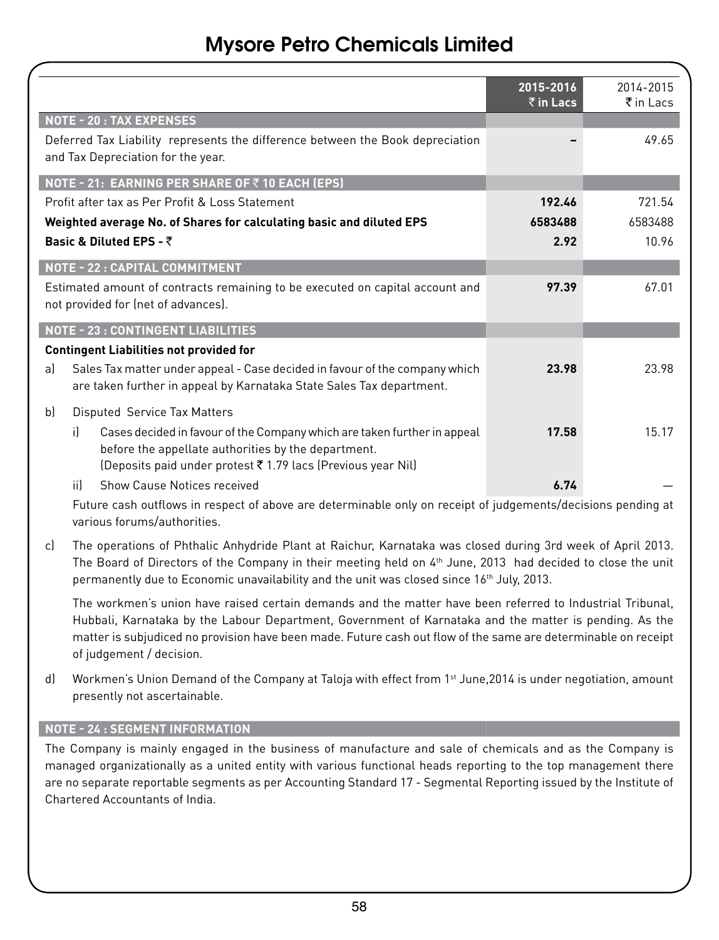|                                                                                                                                                                                                       | 2015-2016<br>$\bar{z}$ in Lacs | 2014-2015<br>₹in Lacs |
|-------------------------------------------------------------------------------------------------------------------------------------------------------------------------------------------------------|--------------------------------|-----------------------|
| <b>NOTE - 20: TAX EXPENSES</b>                                                                                                                                                                        |                                |                       |
| Deferred Tax Liability represents the difference between the Book depreciation<br>and Tax Depreciation for the year.                                                                                  |                                | 49.65                 |
| NOTE - 21: EARNING PER SHARE OF ₹10 EACH (EPS)                                                                                                                                                        |                                |                       |
| Profit after tax as Per Profit & Loss Statement                                                                                                                                                       | 192.46                         | 721.54                |
| Weighted average No. of Shares for calculating basic and diluted EPS                                                                                                                                  | 6583488                        | 6583488               |
| Basic & Diluted EPS - ₹                                                                                                                                                                               | 2.92                           | 10.96                 |
| NOTE - 22 : CAPITAL COMMITMENT                                                                                                                                                                        |                                |                       |
| Estimated amount of contracts remaining to be executed on capital account and<br>not provided for (net of advances).                                                                                  | 97.39                          | 67.01                 |
| <b>NOTE - 23: CONTINGENT LIABILITIES</b>                                                                                                                                                              |                                |                       |
| <b>Contingent Liabilities not provided for</b>                                                                                                                                                        |                                |                       |
| Sales Tax matter under appeal - Case decided in favour of the company which<br>a)<br>are taken further in appeal by Karnataka State Sales Tax department.                                             | 23.98                          | 23.98                 |
| Disputed Service Tax Matters<br>bl                                                                                                                                                                    |                                |                       |
| Cases decided in favour of the Company which are taken further in appeal<br>il.<br>before the appellate authorities by the department.<br>(Deposits paid under protest ₹1.79 lacs (Previous year Nil) | 17.58                          | 15.17                 |
| iil.<br>Show Cause Notices received                                                                                                                                                                   | 6.74                           |                       |
| Future cash outflows in respect of above are determinable only on receipt of judgements/decisions pending at                                                                                          |                                |                       |

various forums/authorities.

c) The operations of Phthalic Anhydride Plant at Raichur, Karnataka was closed during 3rd week of April 2013. The Board of Directors of the Company in their meeting held on 4<sup>th</sup> June, 2013 had decided to close the unit permanently due to Economic unavailability and the unit was closed since 16th July, 2013.

The workmen's union have raised certain demands and the matter have been referred to Industrial Tribunal, Hubbali, Karnataka by the Labour Department, Government of Karnataka and the matter is pending. As the matter is subjudiced no provision have been made. Future cash out flow of the same are determinable on receipt of judgement / decision.

d) Workmen's Union Demand of the Company at Taloja with effect from 1<sup>st</sup> June, 2014 is under negotiation, amount presently not ascertainable.

#### **NOTE - 24 : SEGMENT INFORMATION**

The Company is mainly engaged in the business of manufacture and sale of chemicals and as the Company is managed organizationally as a united entity with various functional heads reporting to the top management there are no separate reportable segments as per Accounting Standard 17 - Segmental Reporting issued by the Institute of Chartered Accountants of India.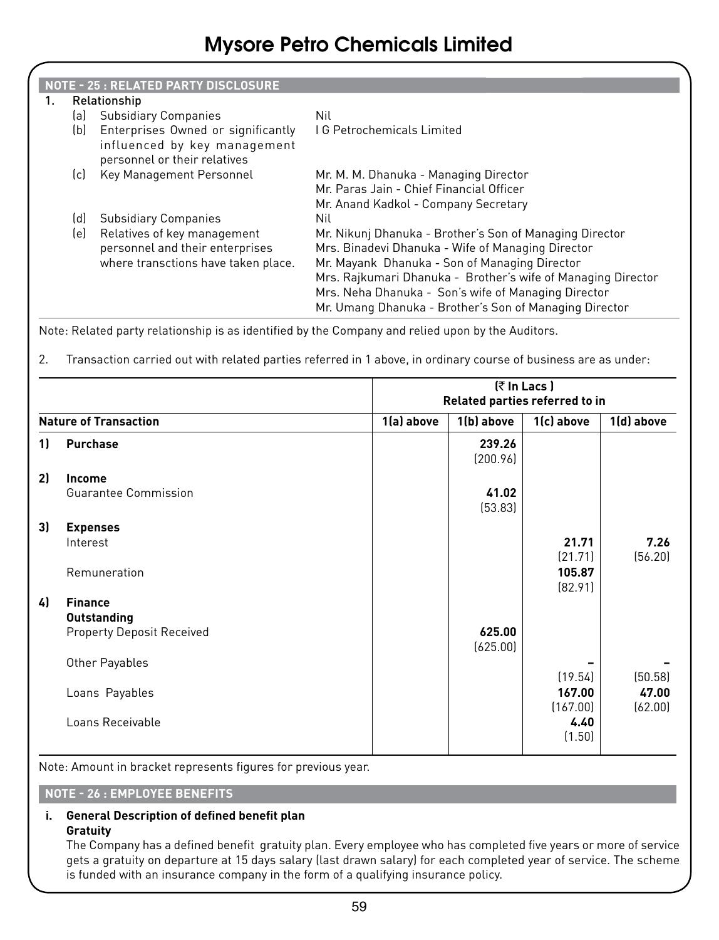|    |     | <b>NOTE - 25: RELATED PARTY DISCLOSURE</b>                                                            |                                                                                                                                                                                                                                                                                                                                                |
|----|-----|-------------------------------------------------------------------------------------------------------|------------------------------------------------------------------------------------------------------------------------------------------------------------------------------------------------------------------------------------------------------------------------------------------------------------------------------------------------|
| 1. |     | Relationship                                                                                          |                                                                                                                                                                                                                                                                                                                                                |
|    | lal | <b>Subsidiary Companies</b>                                                                           | Nil                                                                                                                                                                                                                                                                                                                                            |
|    | (b) | Enterprises Owned or significantly<br>influenced by key management<br>personnel or their relatives    | <b>IG Petrochemicals Limited</b>                                                                                                                                                                                                                                                                                                               |
|    | [c] | Key Management Personnel                                                                              | Mr. M. M. Dhanuka - Managing Director<br>Mr. Paras Jain - Chief Financial Officer<br>Mr. Anand Kadkol - Company Secretary                                                                                                                                                                                                                      |
|    | (d) | <b>Subsidiary Companies</b>                                                                           | Nil.                                                                                                                                                                                                                                                                                                                                           |
|    | le) | Relatives of key management<br>personnel and their enterprises<br>where transctions have taken place. | Mr. Nikunj Dhanuka - Brother's Son of Managing Director<br>Mrs. Binadevi Dhanuka - Wife of Managing Director<br>Mr. Mayank Dhanuka - Son of Managing Director<br>Mrs. Rajkumari Dhanuka - Brother's wife of Managing Director<br>Mrs. Neha Dhanuka - Son's wife of Managing Director<br>Mr. Umang Dhanuka - Brother's Son of Managing Director |

Note: Related party relationship is as identified by the Company and relied upon by the Auditors.

2. Transaction carried out with related parties referred in 1 above, in ordinary course of business are as under:

|    |                                  |            |                    | (₹ In Lacs)<br>Related parties referred to in |                  |
|----|----------------------------------|------------|--------------------|-----------------------------------------------|------------------|
|    | <b>Nature of Transaction</b>     | 1(a) above | 1(b) above         | 1(c) above                                    | 1(d) above       |
| 11 | <b>Purchase</b>                  |            | 239.26<br>(200.96) |                                               |                  |
| 2) | Income                           |            |                    |                                               |                  |
|    | <b>Guarantee Commission</b>      |            | 41.02<br>(53.83)   |                                               |                  |
| 3) | <b>Expenses</b>                  |            |                    |                                               |                  |
|    | Interest                         |            |                    | 21.71<br>[21.71]                              | 7.26<br>(56.20)  |
|    | Remuneration                     |            |                    | 105.87<br>[82.91]                             |                  |
| 4) | <b>Finance</b>                   |            |                    |                                               |                  |
|    | <b>Outstanding</b>               |            |                    |                                               |                  |
|    | <b>Property Deposit Received</b> |            | 625.00<br>(625.00) |                                               |                  |
|    | Other Payables                   |            |                    | (19.54)                                       | (50.58)          |
|    | Loans Payables                   |            |                    | 167.00<br>(167.00)                            | 47.00<br>(62.00) |
|    | Loans Receivable                 |            |                    | 4.40<br>(1.50)                                |                  |

Note: Amount in bracket represents figures for previous year.

#### **NOTE - 26 : EMPLOYEE BENEFITS**

#### **i. General Description of defined benefit plan Gratuity**

The Company has a defined benefit gratuity plan. Every employee who has completed five years or more of service gets a gratuity on departure at 15 days salary (last drawn salary) for each completed year of service. The scheme is funded with an insurance company in the form of a qualifying insurance policy.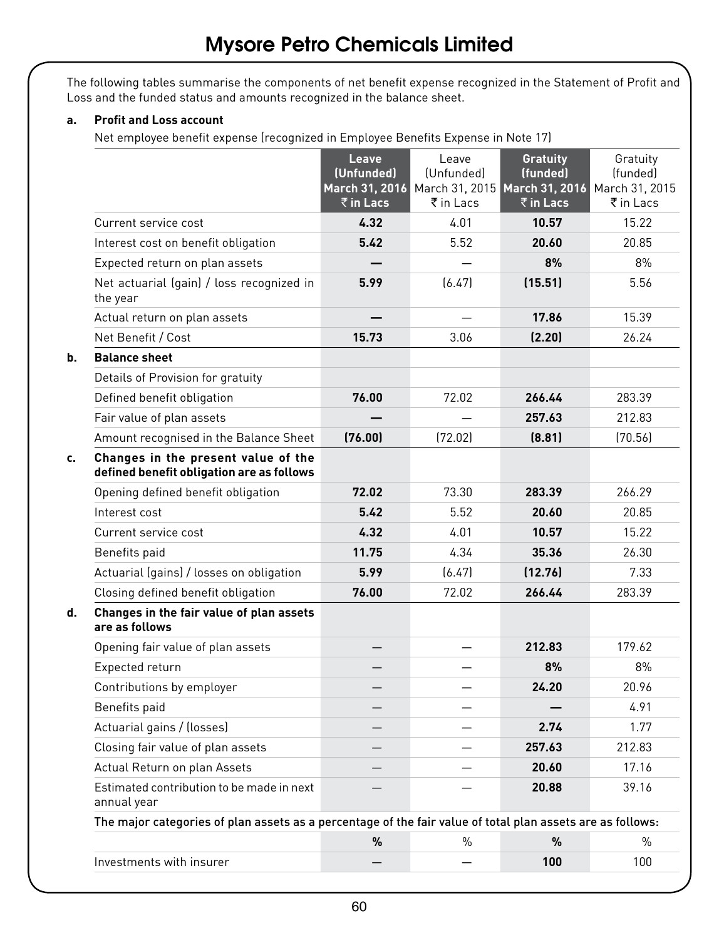The following tables summarise the components of net benefit expense recognized in the Statement of Profit and Loss and the funded status and amounts recognized in the balance sheet.

#### **a. Profit and Loss account**

Net employee benefit expense (recognized in Employee Benefits Expense in Note 17)

|                                                                                                            | Leave<br>(Unfunded)<br>$\bar{\bar{\tau}}$ in Lacs | Leave<br>(Unfunded)<br>March 31, 2016 March 31, 2015 March 31, 2016 March 31, 2015<br>₹ in Lacs | <b>Gratuity</b><br>(funded)<br>₹ in Lacs | Gratuity<br>(funded)<br>₹ in Lacs |
|------------------------------------------------------------------------------------------------------------|---------------------------------------------------|-------------------------------------------------------------------------------------------------|------------------------------------------|-----------------------------------|
| Current service cost                                                                                       | 4.32                                              | 4.01                                                                                            | 10.57                                    | 15.22                             |
| Interest cost on benefit obligation                                                                        | 5.42                                              | 5.52                                                                                            | 20.60                                    | 20.85                             |
| Expected return on plan assets                                                                             |                                                   |                                                                                                 | 8%                                       | 8%                                |
| Net actuarial (gain) / loss recognized in<br>the year                                                      | 5.99                                              | [6.47]                                                                                          | (15.51)                                  | 5.56                              |
| Actual return on plan assets                                                                               |                                                   |                                                                                                 | 17.86                                    | 15.39                             |
| Net Benefit / Cost                                                                                         | 15.73                                             | 3.06                                                                                            | (2.20)                                   | 26.24                             |
| b.<br><b>Balance sheet</b>                                                                                 |                                                   |                                                                                                 |                                          |                                   |
| Details of Provision for gratuity                                                                          |                                                   |                                                                                                 |                                          |                                   |
| Defined benefit obligation                                                                                 | 76.00                                             | 72.02                                                                                           | 266.44                                   | 283.39                            |
| Fair value of plan assets                                                                                  |                                                   |                                                                                                 | 257.63                                   | 212.83                            |
| Amount recognised in the Balance Sheet                                                                     | (76.00)                                           | (72.02)                                                                                         | (8.81)                                   | [70.56]                           |
| Changes in the present value of the<br>c.<br>defined benefit obligation are as follows                     |                                                   |                                                                                                 |                                          |                                   |
| Opening defined benefit obligation                                                                         | 72.02                                             | 73.30                                                                                           | 283.39                                   | 266.29                            |
| Interest cost                                                                                              | 5.42                                              | 5.52                                                                                            | 20.60                                    | 20.85                             |
| Current service cost                                                                                       | 4.32                                              | 4.01                                                                                            | 10.57                                    | 15.22                             |
| Benefits paid                                                                                              | 11.75                                             | 4.34                                                                                            | 35.36                                    | 26.30                             |
| Actuarial (gains) / losses on obligation                                                                   | 5.99                                              | [6.47]                                                                                          | (12.76)                                  | 7.33                              |
| Closing defined benefit obligation                                                                         | 76.00                                             | 72.02                                                                                           | 266.44                                   | 283.39                            |
| Changes in the fair value of plan assets<br>d.<br>are as follows                                           |                                                   |                                                                                                 |                                          |                                   |
| Opening fair value of plan assets                                                                          |                                                   | $\overline{\phantom{0}}$                                                                        | 212.83                                   | 179.62                            |
| Expected return                                                                                            |                                                   |                                                                                                 | 8%                                       | 8%                                |
| Contributions by employer                                                                                  |                                                   |                                                                                                 | 24.20                                    | 20.96                             |
| Benefits paid                                                                                              |                                                   |                                                                                                 |                                          | 4.91                              |
| Actuarial gains / (losses)                                                                                 |                                                   |                                                                                                 | 2.74                                     | 1.77                              |
| Closing fair value of plan assets                                                                          |                                                   |                                                                                                 | 257.63                                   | 212.83                            |
| Actual Return on plan Assets                                                                               |                                                   |                                                                                                 | 20.60                                    | 17.16                             |
| Estimated contribution to be made in next<br>annual year                                                   |                                                   |                                                                                                 | 20.88                                    | 39.16                             |
| The major categories of plan assets as a percentage of the fair value of total plan assets are as follows: |                                                   |                                                                                                 |                                          |                                   |
|                                                                                                            | %                                                 | $\%$                                                                                            | %                                        | $\%$                              |
| Investments with insurer                                                                                   |                                                   |                                                                                                 | 100                                      | 100                               |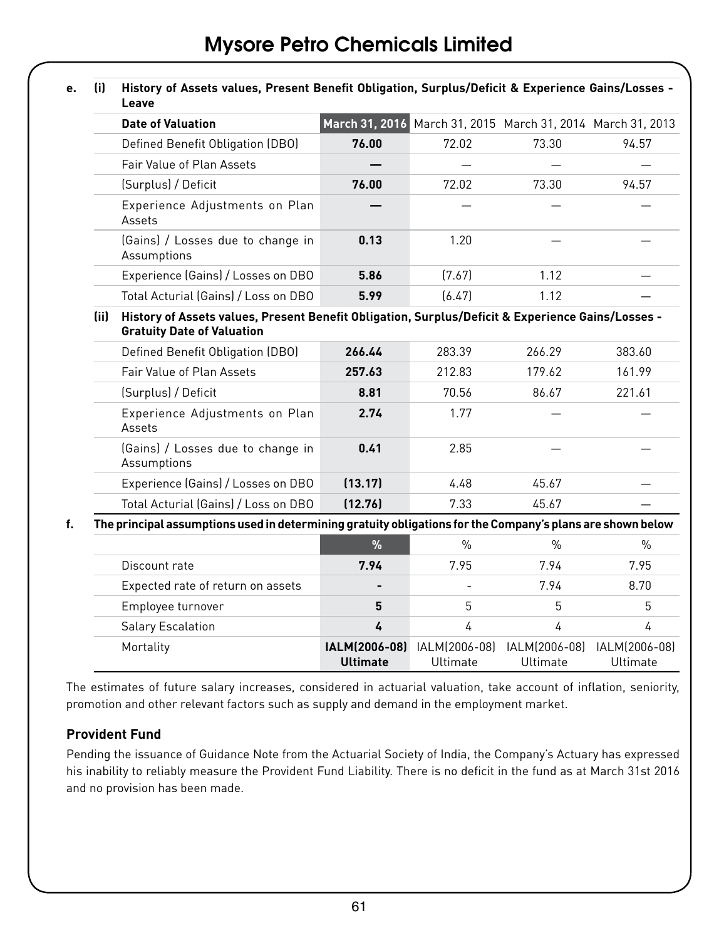| e. | (i)                                                                                                                                            | History of Assets values, Present Benefit Obligation, Surplus/Deficit & Experience Gains/Losses -<br>Leave |                           |                           |                                              |                           |  |  |
|----|------------------------------------------------------------------------------------------------------------------------------------------------|------------------------------------------------------------------------------------------------------------|---------------------------|---------------------------|----------------------------------------------|---------------------------|--|--|
|    |                                                                                                                                                | <b>Date of Valuation</b>                                                                                   | March 31, 2016            |                           | March 31, 2015 March 31, 2014 March 31, 2013 |                           |  |  |
|    |                                                                                                                                                | Defined Benefit Obligation (DBO)                                                                           | 76.00                     | 72.02                     | 73.30                                        | 94.57                     |  |  |
|    |                                                                                                                                                | Fair Value of Plan Assets                                                                                  |                           |                           |                                              |                           |  |  |
|    |                                                                                                                                                | (Surplus) / Deficit                                                                                        | 76.00                     | 72.02                     | 73.30                                        | 94.57                     |  |  |
|    |                                                                                                                                                | Experience Adjustments on Plan<br>Assets                                                                   |                           |                           |                                              |                           |  |  |
|    |                                                                                                                                                | (Gains) / Losses due to change in<br>Assumptions                                                           | 0.13                      | 1.20                      |                                              |                           |  |  |
|    |                                                                                                                                                | Experience (Gains) / Losses on DBO                                                                         | 5.86                      | (7.67)                    | 1.12                                         |                           |  |  |
|    |                                                                                                                                                | Total Acturial (Gains) / Loss on DBO                                                                       | 5.99                      | [6.47]                    | 1.12                                         |                           |  |  |
|    | History of Assets values, Present Benefit Obligation, Surplus/Deficit & Experience Gains/Losses -<br>(ii)<br><b>Gratuity Date of Valuation</b> |                                                                                                            |                           |                           |                                              |                           |  |  |
|    |                                                                                                                                                | Defined Benefit Obligation (DBO)                                                                           | 266.44                    | 283.39                    | 266.29                                       | 383.60                    |  |  |
|    |                                                                                                                                                | Fair Value of Plan Assets                                                                                  | 257.63                    | 212.83                    | 179.62                                       | 161.99                    |  |  |
|    |                                                                                                                                                | (Surplus) / Deficit                                                                                        | 8.81                      | 70.56                     | 86.67                                        | 221.61                    |  |  |
|    |                                                                                                                                                | Experience Adjustments on Plan<br>Assets                                                                   | 2.74                      | 1.77                      |                                              |                           |  |  |
|    |                                                                                                                                                | (Gains) / Losses due to change in<br>Assumptions                                                           | 0.41                      | 2.85                      |                                              |                           |  |  |
|    |                                                                                                                                                | Experience (Gains) / Losses on DBO                                                                         | (13.17)                   | 4.48                      | 45.67                                        |                           |  |  |
|    |                                                                                                                                                | Total Acturial (Gains) / Loss on DBO                                                                       | (12.76)                   | 7.33                      | 45.67                                        |                           |  |  |
| f. |                                                                                                                                                | The principal assumptions used in determining gratuity obligations for the Company's plans are shown below |                           |                           |                                              |                           |  |  |
|    |                                                                                                                                                |                                                                                                            | $\%$                      | $\frac{0}{0}$             | $\frac{0}{0}$                                | $\frac{0}{0}$             |  |  |
|    |                                                                                                                                                | Discount rate                                                                                              | 7.94                      | 7.95                      | 7.94                                         | 7.95                      |  |  |
|    |                                                                                                                                                | Expected rate of return on assets                                                                          |                           |                           | 7.94                                         | 8.70                      |  |  |
|    |                                                                                                                                                | Employee turnover                                                                                          | 5                         | 5                         | 5                                            | 5                         |  |  |
|    |                                                                                                                                                | <b>Salary Escalation</b>                                                                                   | 4                         | $\overline{4}$            | $\overline{4}$                               | 4                         |  |  |
|    |                                                                                                                                                | Mortality                                                                                                  | IALM(2006-08)<br>Ultimate | IALM(2006-08)<br>Ultimate | IALM(2006-08)<br>Ultimate                    | IALM(2006-08)<br>Ultimate |  |  |

The estimates of future salary increases, considered in actuarial valuation, take account of inflation, seniority, promotion and other relevant factors such as supply and demand in the employment market.

#### **Provident Fund**

Pending the issuance of Guidance Note from the Actuarial Society of India, the Company's Actuary has expressed his inability to reliably measure the Provident Fund Liability. There is no deficit in the fund as at March 31st 2016 and no provision has been made.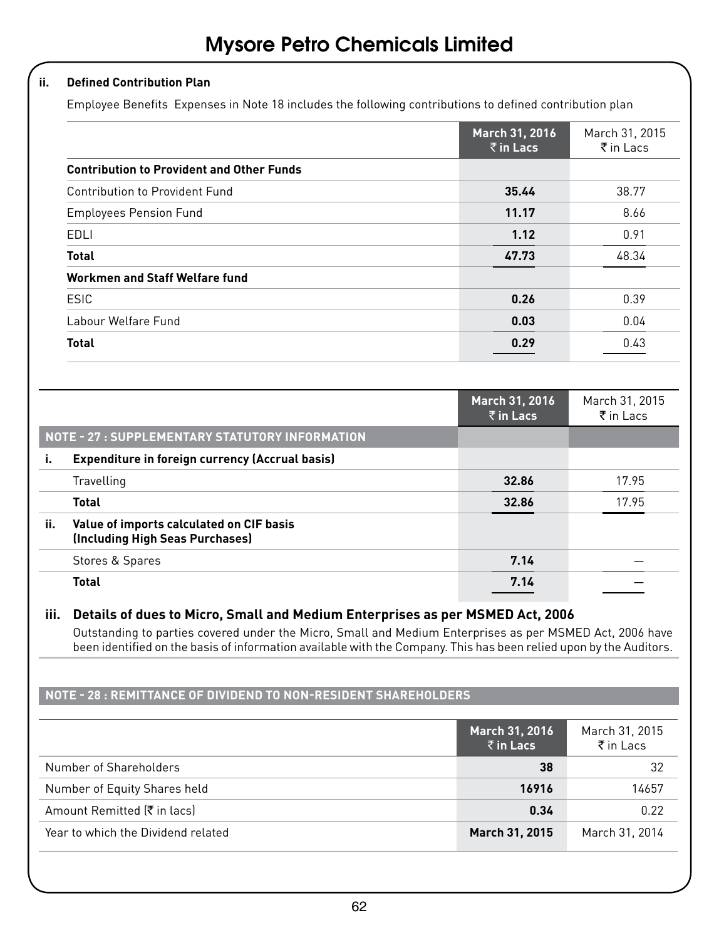#### **ii. Defined Contribution Plan**

Employee Benefits Expenses in Note 18 includes the following contributions to defined contribution plan

|                                                  | March 31, 2016<br>$\bar{z}$ in Lacs | March 31, 2015<br>$\bar{\tau}$ in Lacs |
|--------------------------------------------------|-------------------------------------|----------------------------------------|
| <b>Contribution to Provident and Other Funds</b> |                                     |                                        |
| Contribution to Provident Fund                   | 35.44                               | 38.77                                  |
| <b>Employees Pension Fund</b>                    | 11.17                               | 8.66                                   |
| EDLI                                             | 1.12                                | 0.91                                   |
| <b>Total</b>                                     | 47.73                               | 48.34                                  |
| Workmen and Staff Welfare fund                   |                                     |                                        |
| ESIC                                             | 0.26                                | 0.39                                   |
| Labour Welfare Fund                              | 0.03                                | 0.04                                   |
| <b>Total</b>                                     | 0.29                                | 0.43                                   |

|     |                                                                             | March 31, 2016<br>$\bar{z}$ in Lacs | March 31, 2015<br>$\bar{\bar{\tau}}$ in Lacs |
|-----|-----------------------------------------------------------------------------|-------------------------------------|----------------------------------------------|
|     | NOTE - 27 : SUPPLEMENTARY STATUTORY INFORMATION                             |                                     |                                              |
| ι.  | <b>Expenditure in foreign currency (Accrual basis)</b>                      |                                     |                                              |
|     | Travelling                                                                  | 32.86                               | 17.95                                        |
|     | <b>Total</b>                                                                | 32.86                               | 17.95                                        |
| ii. | Value of imports calculated on CIF basis<br>(Including High Seas Purchases) |                                     |                                              |
|     | Stores & Spares                                                             | 7.14                                |                                              |
|     | <b>Total</b>                                                                | 7.14                                |                                              |

#### **iii. Details of dues to Micro, Small and Medium Enterprises as per MSMED Act, 2006**

Outstanding to parties covered under the Micro, Small and Medium Enterprises as per MSMED Act, 2006 have been identified on the basis of information available with the Company. This has been relied upon by the Auditors.

#### **NOTE - 28 : REMITTANCE OF DIVIDEND TO NON-RESIDENT SHAREHOLDERS**

|                                    | March 31, 2016<br>$\bar{z}$ in Lacs | March 31, 2015<br>$\bar{\tau}$ in Lacs |
|------------------------------------|-------------------------------------|----------------------------------------|
| Number of Shareholders             | 38                                  | 32                                     |
| Number of Equity Shares held       | 16916                               | 14657                                  |
| Amount Remitted (₹ in lacs)        | 0.34                                | 0.22                                   |
| Year to which the Dividend related | March 31, 2015                      | March 31, 2014                         |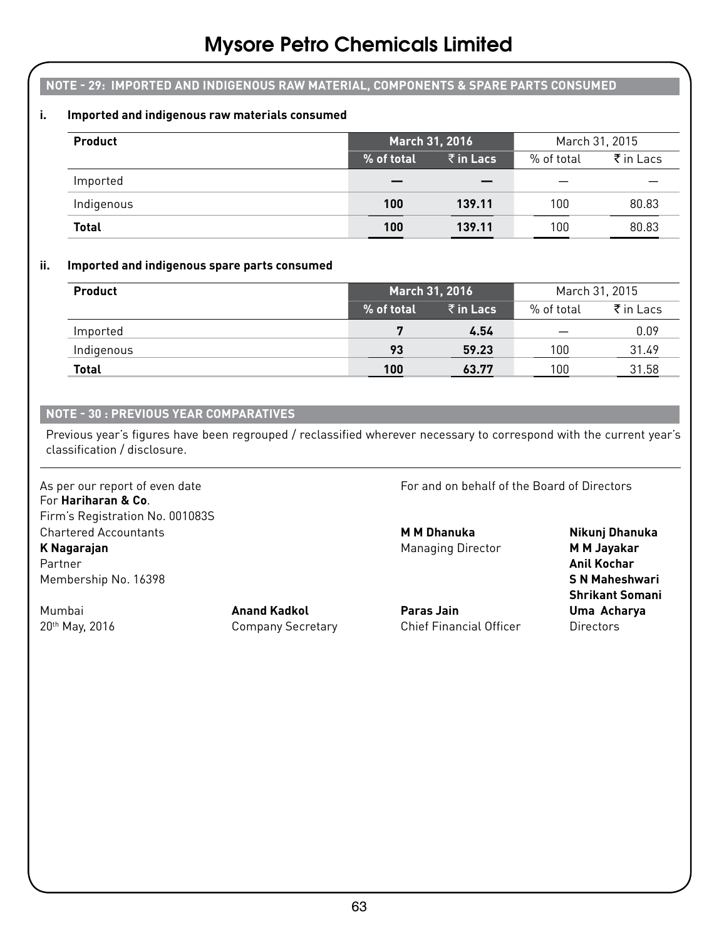#### **NOTE - 29: IMPORTED AND INDIGENOUS RAW MATERIAL, COMPONENTS & SPARE PARTS CONSUMED**

#### **i. Imported and indigenous raw materials consumed**

| Product      | March 31, 2016 |                   | March 31, 2015 |                            |
|--------------|----------------|-------------------|----------------|----------------------------|
|              | % of total     | $\bar{z}$ in Lacs | % of total     | $\bar{\bar{\tau}}$ in Lacs |
| Imported     |                |                   |                |                            |
| Indigenous   | 100            | 139.11            | 100            | 80.83                      |
| <b>Total</b> | 100            | 139.11            | 100            | 80.83                      |

#### **ii. Imported and indigenous spare parts consumed**

| Product      | March 31, 2016 |                   | March 31, 2015 |                      |
|--------------|----------------|-------------------|----------------|----------------------|
|              | % of total     | $\bar{z}$ in Lacs | % of total     | $\bar{\tau}$ in Lacs |
| Imported     |                | 4.54              |                | 0.09                 |
| Indigenous   | 93             | 59.23             | 100            | 31.49                |
| <b>Total</b> | 100            | 63.77             | 100            | 31.58                |

#### **NOTE - 30 : PREVIOUS YEAR COMPARATIVES**

Previous year's figures have been regrouped / reclassified wherever necessary to correspond with the current year's classification / disclosure.

For **Hariharan & Co**. Firm's Registration No. 001083S Chartered Accountants **M M Dhanuka Nikunj Dhanuka K Nagarajan Managing Director M M Jayakar** Partner **Anil Kochar** Membership No. 16398 **S N Maheshwari**

As per our report of even date For and on behalf of the Board of Directors

Mumbai **Anand Kadkol Paras Jain Uma Acharya** 20<sup>th</sup> May, 2016 **Company Secretary** Chief Financial Officer **Chief Financial Officer** 

 **Shrikant Somani**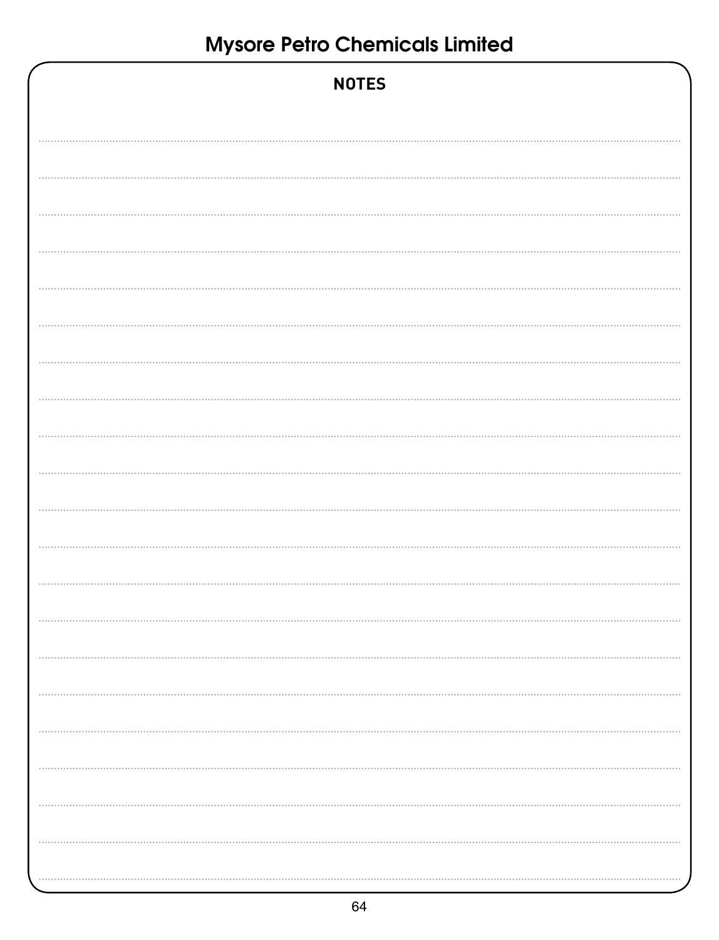| <b>NOTES</b> |
|--------------|
|              |
|              |
|              |
|              |
|              |
|              |
|              |
|              |
|              |
|              |
|              |
|              |
|              |
|              |
|              |
|              |
| $\cdots$     |
|              |
|              |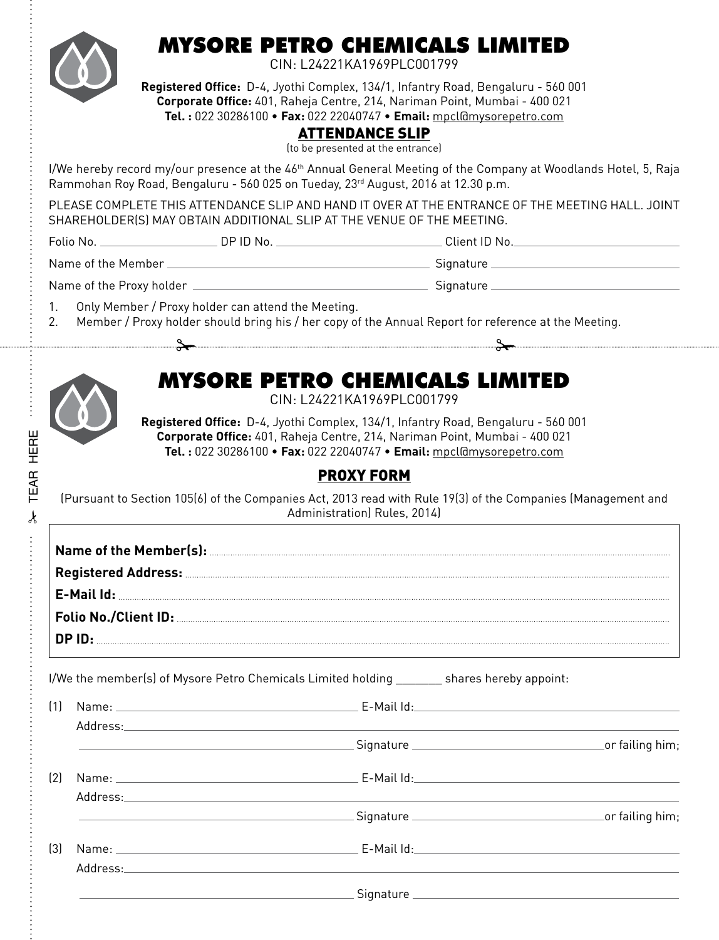## MYSORE PETRO CHEMICALS LIMITED

CIN: L24221KA1969PLC001799

**Registered Office:** D-4, Jyothi Complex, 134/1, Infantry Road, Bengaluru - 560 001 **Corporate Office:** 401, Raheja Centre, 214, Nariman Point, Mumbai - 400 021 **Tel. :** 022 30286100 • **Fax:** 022 22040747 • **Email:** mpcl@mysorepetro.com

#### ATTENDANCE SLIP

(to be presented at the entrance)

I/We hereby record my/our presence at the 46<sup>th</sup> Annual General Meeting of the Company at Woodlands Hotel, 5, Raja Rammohan Roy Road, Bengaluru - 560 025 on Tueday, 23<sup>rd</sup> August, 2016 at 12.30 p.m.

PLEASE COMPLETE THIS ATTENDANCE SLIP AND HAND IT OVER AT THE ENTRANCE OF THE MEETING HALL. JOINT SHAREHOLDER(S) MAY OBTAIN ADDITIONAL SLIP AT THE VENUE OF THE MEETING.

 $\lambda$ 

TEAR HERE

**TEAR HERE** 

Folio No. DP ID No. Client ID No.

Name of the Member Signature

Name of the Proxy holder Signature

- 1. Only Member / Proxy holder can attend the Meeting.
- 2. Member / Proxy holder should bring his / her copy of the Annual Report for reference at the Meeting.

## MYSORE PETRO CHEMICALS LIMITED

CIN: L24221KA1969PLC001799

**Registered Office:** D-4, Jyothi Complex, 134/1, Infantry Road, Bengaluru - 560 001 **Corporate Office:** 401, Raheja Centre, 214, Nariman Point, Mumbai - 400 021 **Tel. :** 022 30286100 • **Fax:** 022 22040747 • **Email:** mpcl@mysorepetro.com

### PROXY FORM

(Pursuant to Section 105(6) of the Companies Act, 2013 read with Rule 19(3) of the Companies (Management and Administration) Rules, 2014)

|                  | I/We the member(s) of Mysore Petro Chemicals Limited holding shares hereby appoint:                                                                                                                                                                           |  |
|------------------|---------------------------------------------------------------------------------------------------------------------------------------------------------------------------------------------------------------------------------------------------------------|--|
| (1)              |                                                                                                                                                                                                                                                               |  |
|                  | en and the state of the state of the state of the Signature Community of the Signature Community of the Signatur                                                                                                                                              |  |
| $\left[2\right]$ | Name: E-Mail Id: E-Mail Id:<br>Address: the contract of the contract of the contract of the contract of the contract of the contract of the contract of the contract of the contract of the contract of the contract of the contract of the contract of the c |  |
|                  | er failing him;                                                                                                                                                                                                                                               |  |
| $\left[3\right]$ | Address: Address:                                                                                                                                                                                                                                             |  |
|                  | <u> Expansion Signature Communication and Communication and Communication and Communication and Communication and Communication and Communication and Communication and Communication and Communication and Communication and Co</u>                          |  |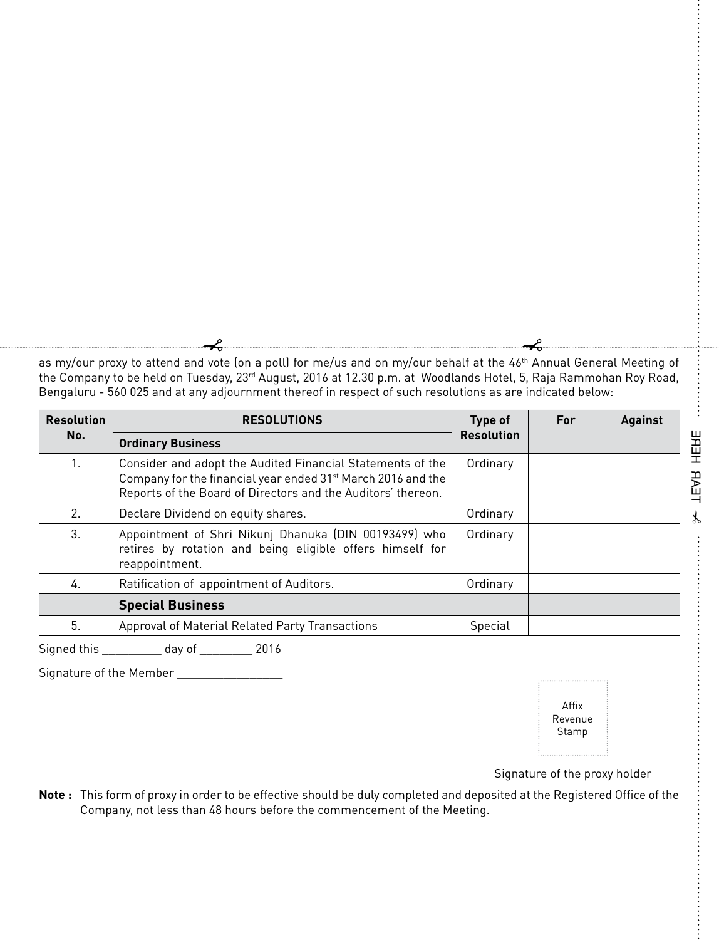as my/our proxy to attend and vote (on a poll) for me/us and on my/our behalf at the 46<sup>th</sup> Annual General Meeting of the Company to be held on Tuesday, 23rd August, 2016 at 12.30 p.m. at Woodlands Hotel, 5, Raja Rammohan Roy Road, Bengaluru - 560 025 and at any adjournment thereof in respect of such resolutions as are indicated below:

| <b>Resolution</b>                              | <b>RESOLUTIONS</b>                                                                                                                                                                                     | Type of           | For | <b>Against</b> |
|------------------------------------------------|--------------------------------------------------------------------------------------------------------------------------------------------------------------------------------------------------------|-------------------|-----|----------------|
| No.                                            | <b>Ordinary Business</b>                                                                                                                                                                               | <b>Resolution</b> |     |                |
| 1.                                             | Consider and adopt the Audited Financial Statements of the<br>Company for the financial year ended 31 <sup>st</sup> March 2016 and the<br>Reports of the Board of Directors and the Auditors' thereon. | Ordinary          |     |                |
| 2.<br>Declare Dividend on equity shares.       |                                                                                                                                                                                                        | Ordinary          |     |                |
| 3.                                             | Appointment of Shri Nikunj Dhanuka (DIN 00193499) who<br>retires by rotation and being eligible offers himself for<br>reappointment.                                                                   | Ordinary          |     |                |
| Ratification of appointment of Auditors.<br>4. |                                                                                                                                                                                                        | Ordinary          |     |                |
|                                                | <b>Special Business</b>                                                                                                                                                                                |                   |     |                |
| 5.                                             | Approval of Material Related Party Transactions                                                                                                                                                        | Special           |     |                |

Signed this \_\_\_\_\_\_\_\_\_ day of \_\_\_\_\_\_\_\_ 2016

Signature of the Member

Affix Revenue Stamp

**393H RAR HERE** TEAR HERE

÷

Signature of the proxy holder

**Note :** This form of proxy in order to be effective should be duly completed and deposited at the Registered Office of the Company, not less than 48 hours before the commencement of the Meeting.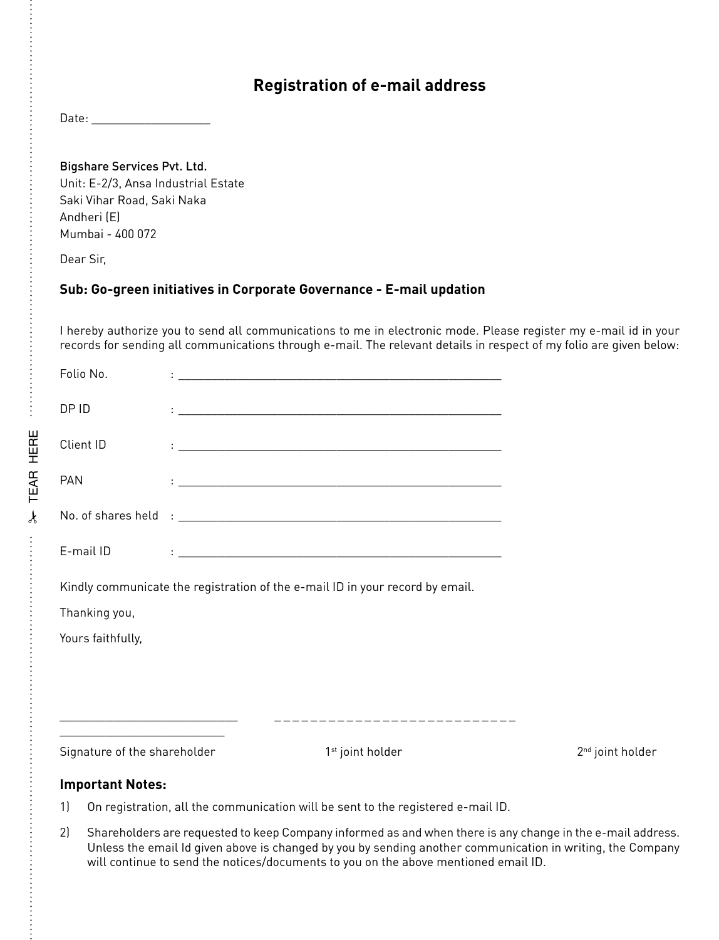#### **Registration of e-mail address**

Date: \_\_\_\_\_\_\_\_\_\_\_\_\_\_\_\_\_\_

Bigshare Services Pvt. Ltd. Unit: E-2/3, Ansa Industrial Estate Saki Vihar Road, Saki Naka Andheri (E) Mumbai - 400 072

Dear Sir,

> TEAR HERE TEAR HERE

 $\ddot{\cdot}$ 

#### **Sub: Go-green initiatives in Corporate Governance - E-mail updation**

I hereby authorize you to send all communications to me in electronic mode. Please register my e-mail id in your records for sending all communications through e-mail. The relevant details in respect of my folio are given below:

| <b>Important Notes:</b>      |                                                                                                                                                                                                                               |                              |
|------------------------------|-------------------------------------------------------------------------------------------------------------------------------------------------------------------------------------------------------------------------------|------------------------------|
| Signature of the shareholder | 1 <sup>st</sup> joint holder                                                                                                                                                                                                  | 2 <sup>nd</sup> joint holder |
| Yours faithfully,            |                                                                                                                                                                                                                               |                              |
| Thanking you,                |                                                                                                                                                                                                                               |                              |
|                              | Kindly communicate the registration of the e-mail ID in your record by email.                                                                                                                                                 |                              |
| E-mail ID                    | the control of the control of the control of the control of the control of the control of the control of the control of the control of the control of the control of the control of the control of the control of the control |                              |
|                              |                                                                                                                                                                                                                               |                              |
| <b>PAN</b>                   |                                                                                                                                                                                                                               |                              |
| Client ID                    | the contract of the contract of the contract of the contract of the contract of the contract of the                                                                                                                           |                              |
| DP ID                        | <u> 1988 - Johann John Stone, mars et al. (1988)</u>                                                                                                                                                                          |                              |
| Folio No.                    | <u> 1989 - Andrea Stadt Britain, amerikansk politiker (d. 1989)</u>                                                                                                                                                           |                              |

1) On registration, all the communication will be sent to the registered e-mail ID.

2) Shareholders are requested to keep Company informed as and when there is any change in the e-mail address. Unless the email Id given above is changed by you by sending another communication in writing, the Company will continue to send the notices/documents to you on the above mentioned email ID.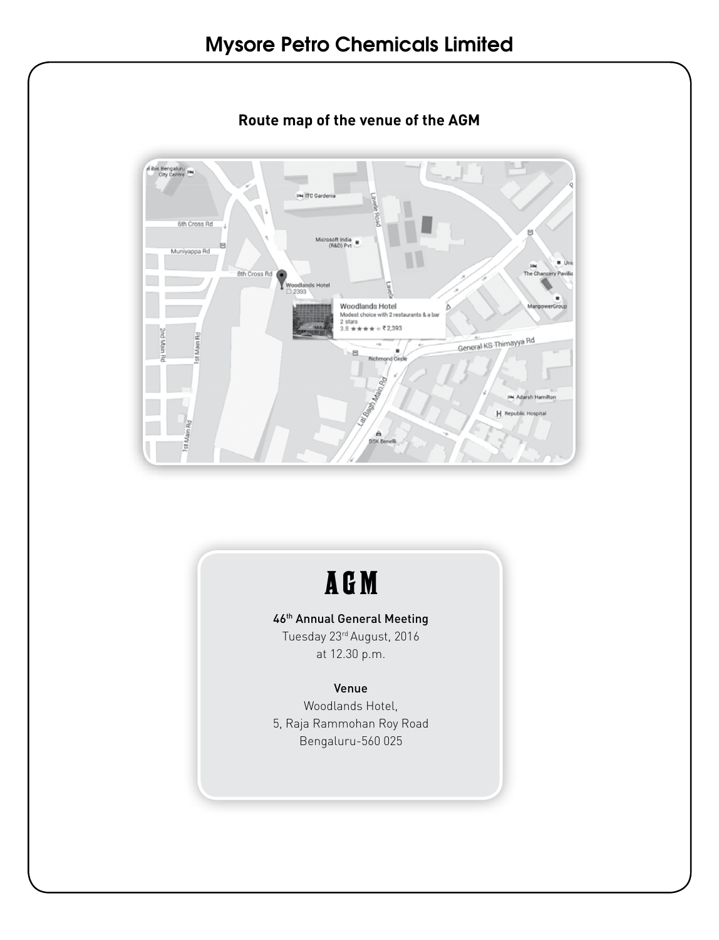

**Route map of the venue of the AGM**

# AGM

#### 46th Annual General Meeting

Tuesday 23rd August, 2016 at 12.30 p.m.

#### Venue

Woodlands Hotel, 5, Raja Rammohan Roy Road Bengaluru-560 025